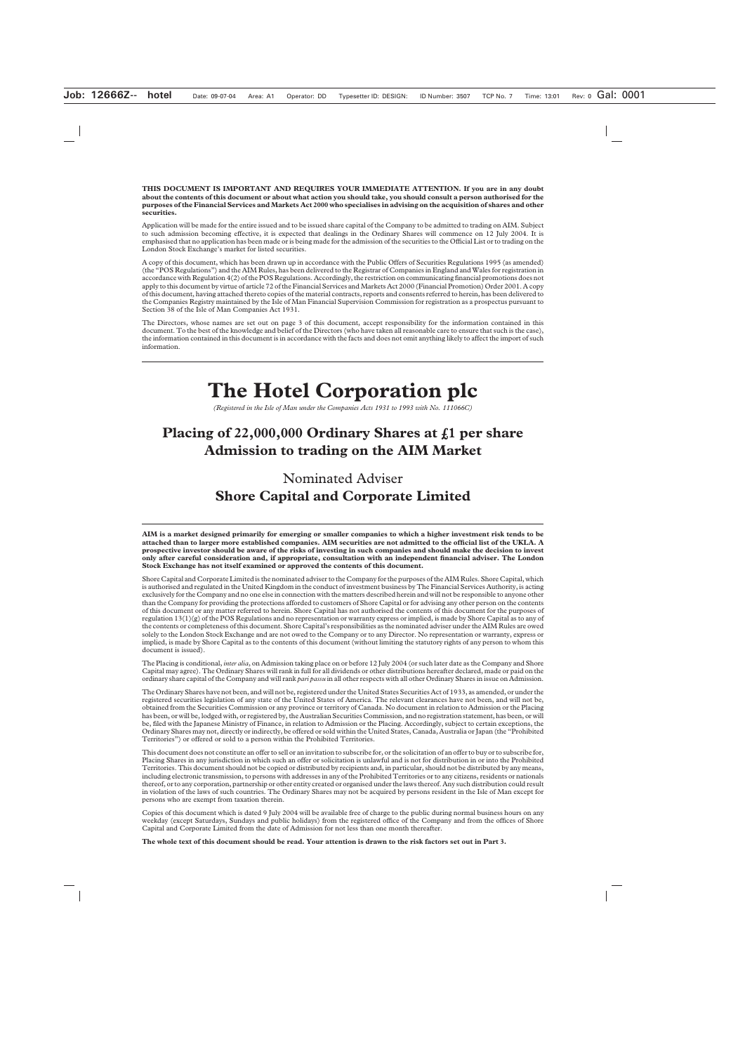**THIS DOCUMENT IS IMPORTANT AND REQUIRES YOUR IMMEDIATE ATTENTION. If you are in any doubt about the contents of this document or about what action you should take, you should consult a person authorised for the purposes of the Financial Services and Markets Act 2000 who specialises in advising on the acquisition of shares and other securities.**

Application will be made for the entire issued and to be issued share capital of the Company to be admitted to trading on AIM. Subject to such admission becoming effective, it is expected that dealings in the Ordinary Shares will commence on 12 July 2004. It is emphasised that no application has been made or is being made for the admission of the securities to the Official List or to trading on the London Stock Exchange's market for listed securities.

A copy of this document, which has been drawn up in accordance with the Public Offers of Securities Regulations 1995 (as amended) (the "POS Regulations") and the AIM Rules, has been delivered to the Registrar of Companies in England and Wales for registration in accordance with Regulation 4(2) of the POS Regulations. Accordingly, the restriction on communicating financial promotions does not apply to this document by virtue of article 72 of the Financial Services and Markets Act 2000 (Financial Promotion) Order 2001. A copy of this document, having attached thereto copies of the material contracts, reports and consents referred to herein, has been delivered to the Companies Registry maintained by the Isle of Man Financial Supervision Commission for registration as a prospectus pursuant to Section 38 of the Isle of Man Companies Act 1931.

The Directors, whose names are set out on page 3 of this document, accept responsibility for the information contained in this document. To the best of the knowledge and belief of the Directors (who have taken all reasonable care to ensure that such is the case), the information contained in this document is in accordance with the facts and does not omit anything likely to affect the import of such information.

# **The Hotel Corporation plc**

*(Registered in the Isle of Man under the Companies Acts 1931 to 1993 with No. 111066C)*

# **Placing of 22,000,000 Ordinary Shares at £1 per share Admission to trading on the AIM Market**

Nominated Adviser **Shore Capital and Corporate Limited**

**AIM is a market designed primarily for emerging or smaller companies to which a higher investment risk tends to be attached than to larger more established companies. AIM securities are not admitted to the official list of the UKLA. A prospective investor should be aware of the risks of investing in such companies and should make the decision to invest only after careful consideration and, if appropriate, consultation with an independent financial adviser. The London Stock Exchange has not itself examined or approved the contents of this document.**

Shore Capital and Corporate Limited is the nominated adviser to the Company for the purposes of the AIM Rules. Shore Capital, which is authorised and regulated in the United Kingdom in the conduct of investment business by The Financial Services Authority, is acting exclusively for the Company and no one else in connection with the matters described herein and will not be responsible to anyone other than the Company for providing the protections afforded to customers of Shore Capital or for advising any other person on the contents of this document or any matter referred to herein. Shore Capital has not authorised the contents of this document for the purposes of regulation 13(1)(g) of the POS Regulations and no representation or warranty express or implied, is made by Shore Capital as to any of the contents or completeness of this document. Shore Capital's responsibilities as the nominated adviser under the AIM Rules are owed solely to the London Stock Exchange and are not owed to the Company or to any Director. No representation or warranty, express or implied, is made by Shore Capital as to the contents of this document (without limiting the statutory rights of any person to whom this document is issued).

The Placing is conditional, *inter alia*, on Admission taking place on or before 12 July 2004 (or such later date as the Company and Shore Capital may agree). The Ordinary Shares will rank in full for all dividends or other distributions hereafter declared, made or paid on the ordinary share capital of the Company and will rank *pari passu* in all other respects with all other Ordinary Shares in issue on Admission.

The Ordinary Shares have not been, and will not be, registered under the United States Securities Act of 1933, as amended, or under the registered securities legislation of any state of the United States of America. The relevant clearances have not been, and will not be, obtained from the Securities Commission or any province or territory of Canada. No document in relation to Admission or the Placing has been, or will be, lodged with, or registered by, the Australian Securities Commission, and no registration statement, has been, or will be, filed with the Japanese Ministry of Finance, in relation to Admission or the Placing. Accordingly, subject to certain exceptions, the Ordinary Shares may not, directly or indirectly, be offered or sold within the United States, Canada, Australia or Japan (the "Prohibited Territories") or offered or sold to a person within the Prohibited Territories.

This document does not constitute an offer to sell or an invitation to subscribe for, or the solicitation of an offer to buy or to subscribe for, Placing Shares in any jurisdiction in which such an offer or solicitation is unlawful and is not for distribution in or into the Prohibited Territories. This document should not be copied or distributed by recipients and, in particular, should not be distributed by any means, including electronic transmission, to persons with addresses in any of the Prohibited Territories or to any citizens, residents or nationals thereof, or to any corporation, partnership or other entity created or organised under the laws thereof. Any such distribution could result in violation of the laws of such countries. The Ordinary Shares may not be acquired by persons resident in the Isle of Man except for persons who are exempt from taxation therein.

Copies of this document which is dated 9 July 2004 will be available free of charge to the public during normal business hours on any weekday (except Saturdays, Sundays and public holidays) from the registered office of the Company and from the offices of Shore Capital and Corporate Limited from the date of Admission for not less than one month thereafter.

**The whole text of this document should be read. Your attention is drawn to the risk factors set out in Part 3.**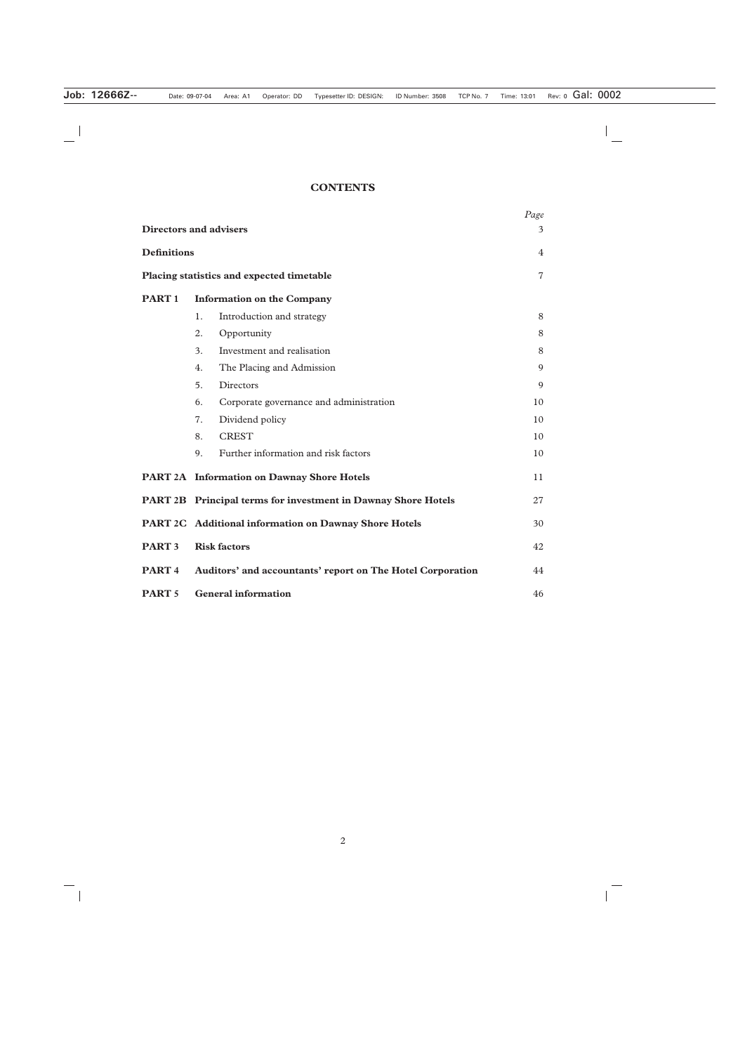# **CONTENTS**

|                    | <b>Directors and advisers</b>                                 | Page<br>3      |
|--------------------|---------------------------------------------------------------|----------------|
| <b>Definitions</b> |                                                               | $\overline{4}$ |
|                    | Placing statistics and expected timetable                     | $\overline{7}$ |
| PART <sub>1</sub>  | <b>Information on the Company</b>                             |                |
|                    | Introduction and strategy<br>1.                               | 8              |
|                    | 2.<br>Opportunity                                             | 8              |
|                    | Investment and realisation<br>3.                              | 8              |
|                    | The Placing and Admission<br>4.                               | 9              |
|                    | 5.<br>Directors                                               | 9              |
|                    | Corporate governance and administration<br>6.                 | 10             |
|                    | Dividend policy<br>7.                                         | 10             |
|                    | <b>CREST</b><br>8.                                            | 10             |
|                    | Further information and risk factors<br>9.                    | 10             |
|                    | <b>PART 2A</b> Information on Dawnay Shore Hotels             | 11             |
|                    | PART 2B Principal terms for investment in Dawnay Shore Hotels | 27             |
|                    | PART 2C Additional information on Dawnay Shore Hotels         | 30             |
| <b>PART 3</b>      | <b>Risk factors</b>                                           | 42             |
| PART <sub>4</sub>  | Auditors' and accountants' report on The Hotel Corporation    | 44             |
| <b>PART 5</b>      | <b>General information</b>                                    | 46             |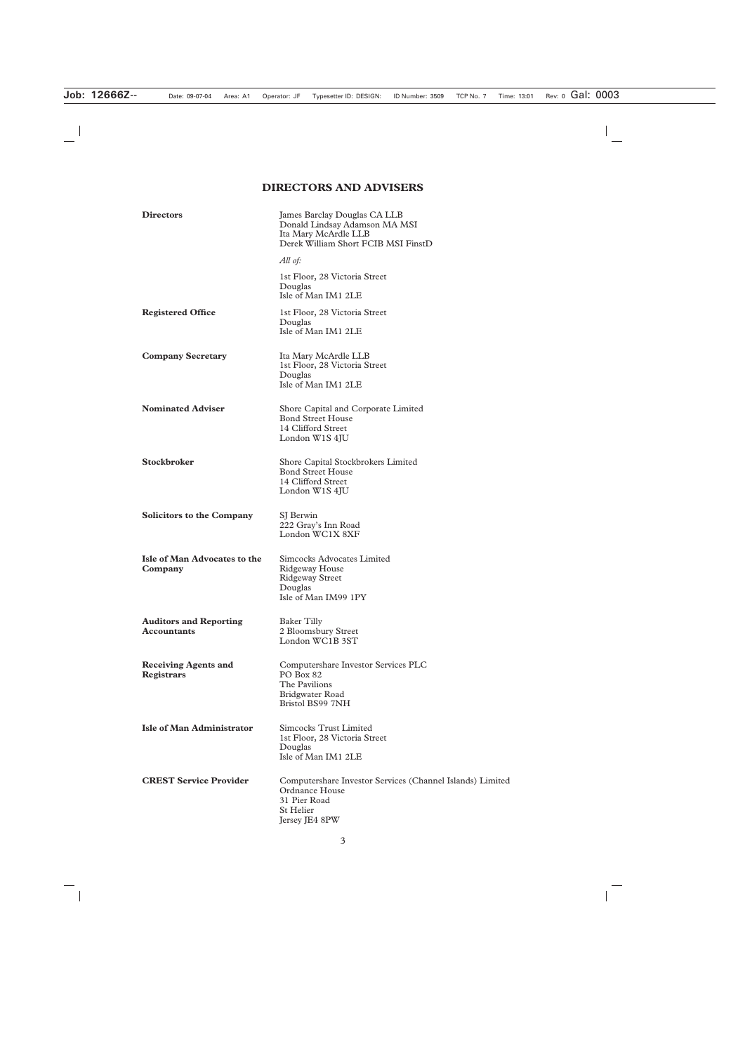# **DIRECTORS AND ADVISERS**

| <b>Directors</b>                                    | James Barclay Douglas CA LLB<br>Donald Lindsay Adamson MA MSI<br>Ita Mary McArdle LLB<br>Derek William Short FCIB MSI FinstD      |
|-----------------------------------------------------|-----------------------------------------------------------------------------------------------------------------------------------|
|                                                     | All of:                                                                                                                           |
|                                                     | 1st Floor, 28 Victoria Street<br>Douglas<br>Isle of Man IM1 2LE                                                                   |
| <b>Registered Office</b>                            | 1st Floor, 28 Victoria Street<br>Douglas<br>Isle of Man IM1 2LE                                                                   |
| <b>Company Secretary</b>                            | Ita Mary McArdle LLB<br>1st Floor, 28 Victoria Street<br>Douglas<br>Isle of Man IM1 2LE                                           |
| <b>Nominated Adviser</b>                            | Shore Capital and Corporate Limited<br><b>Bond Street House</b><br>14 Clifford Street<br>London W1S 4JU                           |
| <b>Stockbroker</b>                                  | Shore Capital Stockbrokers Limited<br><b>Bond Street House</b><br>14 Clifford Street<br>London W1S 4JU                            |
| <b>Solicitors to the Company</b>                    | SJ Berwin<br>222 Gray's Inn Road<br>London WC1X 8XF                                                                               |
| Isle of Man Advocates to the<br>Company             | Simcocks Advocates Limited<br>Ridgeway House<br><b>Ridgeway Street</b><br>Douglas<br>Isle of Man IM99 1PY                         |
| <b>Auditors and Reporting</b><br><b>Accountants</b> | <b>Baker Tilly</b><br>2 Bloomsbury Street<br>London WC1B 3ST                                                                      |
| <b>Receiving Agents and</b><br><b>Registrars</b>    | Computershare Investor Services PLC<br><b>PO Box 82</b><br>The Pavilions<br>Bridgwater Road<br>Bristol BS99 7NH                   |
| <b>Isle of Man Administrator</b>                    | Simcocks Trust Limited<br>1st Floor, 28 Victoria Street<br>Douglas<br>Isle of Man IM1 2LE                                         |
| <b>CREST Service Provider</b>                       | Computershare Investor Services (Channel Islands) Limited<br>Ordnance House<br>31 Pier Road<br><b>St Helier</b><br>Jersey JE4 8PW |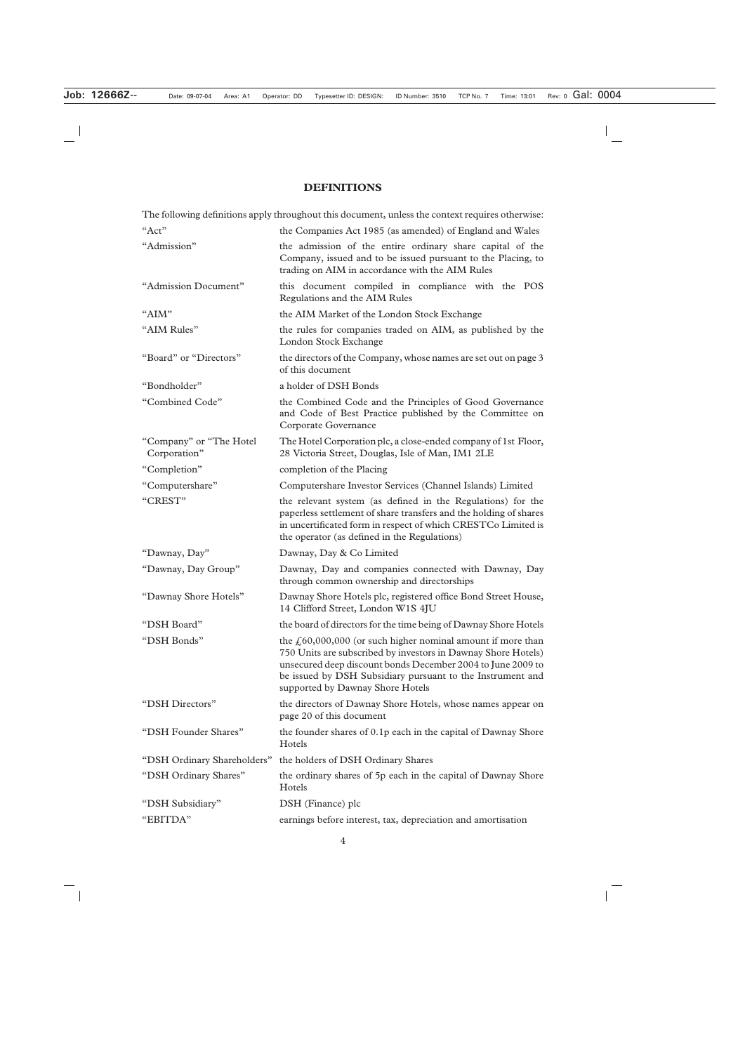# **DEFINITIONS**

|                                         | The following definitions apply throughout this document, unless the context requires otherwise:                                                                                                                                                                                                                   |
|-----------------------------------------|--------------------------------------------------------------------------------------------------------------------------------------------------------------------------------------------------------------------------------------------------------------------------------------------------------------------|
| "Act"                                   | the Companies Act 1985 (as amended) of England and Wales                                                                                                                                                                                                                                                           |
| "Admission"                             | the admission of the entire ordinary share capital of the<br>Company, issued and to be issued pursuant to the Placing, to<br>trading on AIM in accordance with the AIM Rules                                                                                                                                       |
| "Admission Document"                    | this document compiled in compliance with the POS<br>Regulations and the AIM Rules                                                                                                                                                                                                                                 |
| "AIM"                                   | the AIM Market of the London Stock Exchange                                                                                                                                                                                                                                                                        |
| "AIM Rules"                             | the rules for companies traded on AIM, as published by the<br>London Stock Exchange                                                                                                                                                                                                                                |
| "Board" or "Directors"                  | the directors of the Company, whose names are set out on page 3<br>of this document                                                                                                                                                                                                                                |
| "Bondholder"                            | a holder of DSH Bonds                                                                                                                                                                                                                                                                                              |
| "Combined Code"                         | the Combined Code and the Principles of Good Governance<br>and Code of Best Practice published by the Committee on<br>Corporate Governance                                                                                                                                                                         |
| "Company" or "The Hotel<br>Corporation" | The Hotel Corporation plc, a close-ended company of 1st Floor,<br>28 Victoria Street, Douglas, Isle of Man, IM1 2LE                                                                                                                                                                                                |
| "Completion"                            | completion of the Placing                                                                                                                                                                                                                                                                                          |
| "Computershare"                         | Computershare Investor Services (Channel Islands) Limited                                                                                                                                                                                                                                                          |
| "CREST"                                 | the relevant system (as defined in the Regulations) for the<br>paperless settlement of share transfers and the holding of shares<br>in uncertificated form in respect of which CRESTCo Limited is<br>the operator (as defined in the Regulations)                                                                  |
| "Dawnay, Day"                           | Dawnay, Day & Co Limited                                                                                                                                                                                                                                                                                           |
| "Dawnay, Day Group"                     | Dawnay, Day and companies connected with Dawnay, Day<br>through common ownership and directorships                                                                                                                                                                                                                 |
| "Dawnay Shore Hotels"                   | Dawnay Shore Hotels plc, registered office Bond Street House,<br>14 Clifford Street, London W1S 4JU                                                                                                                                                                                                                |
| "DSH Board"                             | the board of directors for the time being of Dawnay Shore Hotels                                                                                                                                                                                                                                                   |
| "DSH Bonds"                             | the $\text{\textsterling}60,000,000$ (or such higher nominal amount if more than<br>750 Units are subscribed by investors in Dawnay Shore Hotels)<br>unsecured deep discount bonds December 2004 to June 2009 to<br>be issued by DSH Subsidiary pursuant to the Instrument and<br>supported by Dawnay Shore Hotels |
| "DSH Directors"                         | the directors of Dawnay Shore Hotels, whose names appear on<br>page 20 of this document                                                                                                                                                                                                                            |
| "DSH Founder Shares"                    | the founder shares of 0.1p each in the capital of Dawnay Shore<br>Hotels                                                                                                                                                                                                                                           |
| "DSH Ordinary Shareholders"             | the holders of DSH Ordinary Shares                                                                                                                                                                                                                                                                                 |
| "DSH Ordinary Shares"                   | the ordinary shares of 5p each in the capital of Dawnay Shore<br>Hotels                                                                                                                                                                                                                                            |
| "DSH Subsidiary"                        | DSH (Finance) plc                                                                                                                                                                                                                                                                                                  |
| "EBITDA"                                | earnings before interest, tax, depreciation and amortisation                                                                                                                                                                                                                                                       |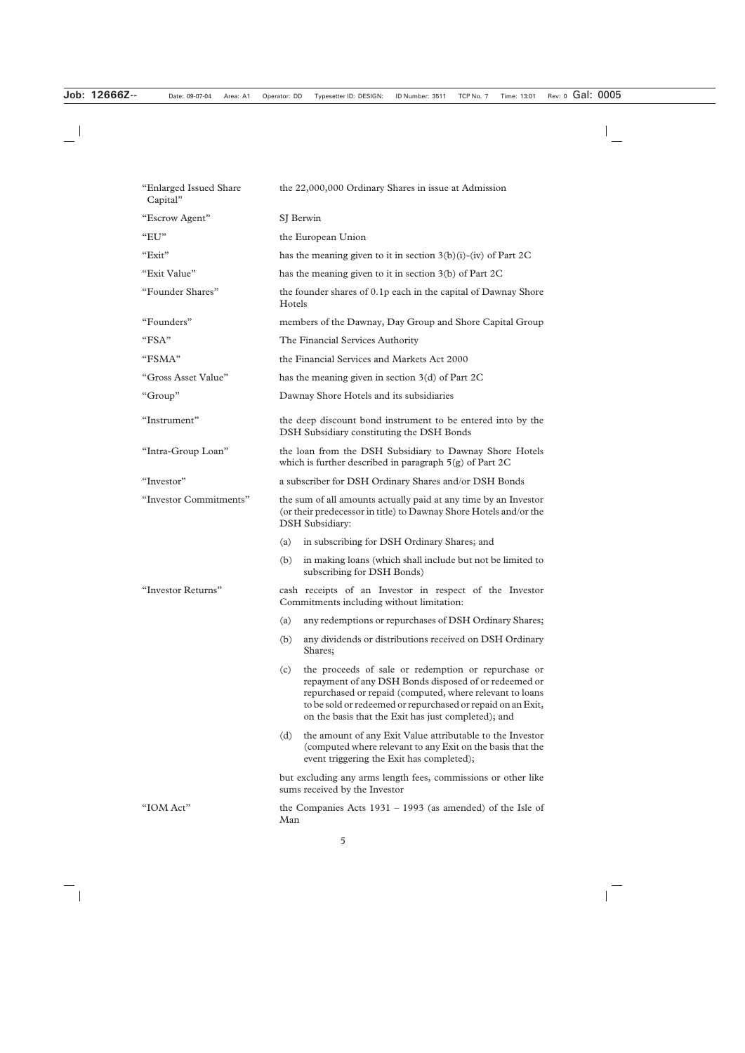| "Enlarged Issued Share<br>Capital" | the 22,000,000 Ordinary Shares in issue at Admission                                                                                                                                                                                                                                                  |  |  |  |
|------------------------------------|-------------------------------------------------------------------------------------------------------------------------------------------------------------------------------------------------------------------------------------------------------------------------------------------------------|--|--|--|
| "Escrow Agent"                     | SJ Berwin                                                                                                                                                                                                                                                                                             |  |  |  |
| "EU"                               | the European Union                                                                                                                                                                                                                                                                                    |  |  |  |
| "Exit"                             | has the meaning given to it in section $3(b)(i)-(iv)$ of Part 2C                                                                                                                                                                                                                                      |  |  |  |
| "Exit Value"                       | has the meaning given to it in section 3(b) of Part 2C                                                                                                                                                                                                                                                |  |  |  |
| "Founder Shares"                   | the founder shares of 0.1p each in the capital of Dawnay Shore<br>Hotels                                                                                                                                                                                                                              |  |  |  |
| "Founders"                         | members of the Dawnay, Day Group and Shore Capital Group                                                                                                                                                                                                                                              |  |  |  |
| "FSA"                              | The Financial Services Authority                                                                                                                                                                                                                                                                      |  |  |  |
| "FSMA"                             | the Financial Services and Markets Act 2000                                                                                                                                                                                                                                                           |  |  |  |
| "Gross Asset Value"                | has the meaning given in section $3(d)$ of Part 2C                                                                                                                                                                                                                                                    |  |  |  |
| "Group"                            | Dawnay Shore Hotels and its subsidiaries                                                                                                                                                                                                                                                              |  |  |  |
| "Instrument"                       | the deep discount bond instrument to be entered into by the<br>DSH Subsidiary constituting the DSH Bonds                                                                                                                                                                                              |  |  |  |
| "Intra-Group Loan"                 | the loan from the DSH Subsidiary to Dawnay Shore Hotels<br>which is further described in paragraph $5(g)$ of Part 2C                                                                                                                                                                                  |  |  |  |
| "Investor"                         | a subscriber for DSH Ordinary Shares and/or DSH Bonds                                                                                                                                                                                                                                                 |  |  |  |
| "Investor Commitments"             | the sum of all amounts actually paid at any time by an Investor<br>(or their predecessor in title) to Dawnay Shore Hotels and/or the<br><b>DSH</b> Subsidiary:                                                                                                                                        |  |  |  |
|                                    | in subscribing for DSH Ordinary Shares; and<br>(a)                                                                                                                                                                                                                                                    |  |  |  |
|                                    | in making loans (which shall include but not be limited to<br>(b)<br>subscribing for DSH Bonds)                                                                                                                                                                                                       |  |  |  |
| "Investor Returns"                 | cash receipts of an Investor in respect of the Investor<br>Commitments including without limitation:                                                                                                                                                                                                  |  |  |  |
|                                    | any redemptions or repurchases of DSH Ordinary Shares;<br>(a)                                                                                                                                                                                                                                         |  |  |  |
|                                    | any dividends or distributions received on DSH Ordinary<br>(b)<br>Shares;                                                                                                                                                                                                                             |  |  |  |
|                                    | the proceeds of sale or redemption or repurchase or<br>(c)<br>repayment of any DSH Bonds disposed of or redeemed or<br>repurchased or repaid (computed, where relevant to loans<br>to be sold or redeemed or repurchased or repaid on an Exit,<br>on the basis that the Exit has just completed); and |  |  |  |
|                                    | the amount of any Exit Value attributable to the Investor<br>(d)<br>(computed where relevant to any Exit on the basis that the<br>event triggering the Exit has completed);                                                                                                                           |  |  |  |
|                                    | but excluding any arms length fees, commissions or other like<br>sums received by the Investor                                                                                                                                                                                                        |  |  |  |
| "IOM Act"                          | the Companies Acts $1931 - 1993$ (as amended) of the Isle of<br>Man                                                                                                                                                                                                                                   |  |  |  |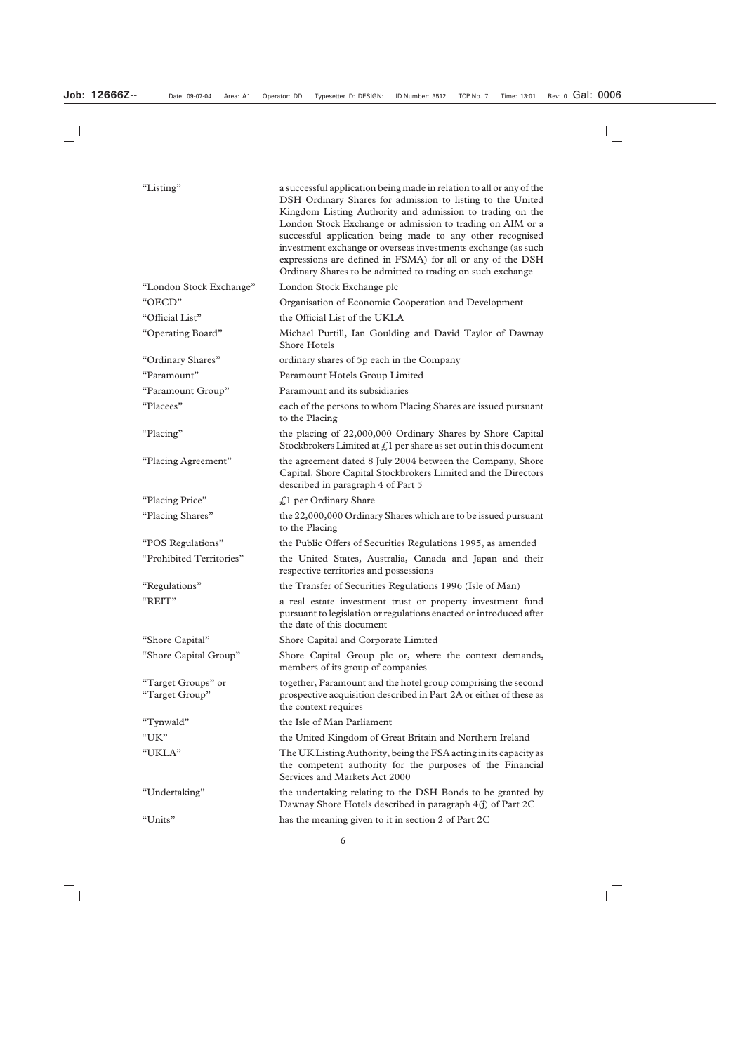| "Listing"                            | a successful application being made in relation to all or any of the<br>DSH Ordinary Shares for admission to listing to the United                                                                                                                                                                                                                                               |
|--------------------------------------|----------------------------------------------------------------------------------------------------------------------------------------------------------------------------------------------------------------------------------------------------------------------------------------------------------------------------------------------------------------------------------|
|                                      | Kingdom Listing Authority and admission to trading on the<br>London Stock Exchange or admission to trading on AIM or a<br>successful application being made to any other recognised<br>investment exchange or overseas investments exchange (as such<br>expressions are defined in FSMA) for all or any of the DSH<br>Ordinary Shares to be admitted to trading on such exchange |
| "London Stock Exchange"              | London Stock Exchange plc                                                                                                                                                                                                                                                                                                                                                        |
| "OECD"                               | Organisation of Economic Cooperation and Development                                                                                                                                                                                                                                                                                                                             |
| "Official List"                      | the Official List of the UKLA                                                                                                                                                                                                                                                                                                                                                    |
| "Operating Board"                    | Michael Purtill, Ian Goulding and David Taylor of Dawnay<br><b>Shore Hotels</b>                                                                                                                                                                                                                                                                                                  |
| "Ordinary Shares"                    | ordinary shares of 5p each in the Company                                                                                                                                                                                                                                                                                                                                        |
| "Paramount"                          | Paramount Hotels Group Limited                                                                                                                                                                                                                                                                                                                                                   |
| "Paramount Group"                    | Paramount and its subsidiaries                                                                                                                                                                                                                                                                                                                                                   |
| "Placees"                            | each of the persons to whom Placing Shares are issued pursuant<br>to the Placing                                                                                                                                                                                                                                                                                                 |
| "Placing"                            | the placing of 22,000,000 Ordinary Shares by Shore Capital<br>Stockbrokers Limited at $fn$ per share as set out in this document                                                                                                                                                                                                                                                 |
| "Placing Agreement"                  | the agreement dated 8 July 2004 between the Company, Shore<br>Capital, Shore Capital Stockbrokers Limited and the Directors<br>described in paragraph 4 of Part 5                                                                                                                                                                                                                |
| "Placing Price"                      | $\text{\textsterling}1$ per Ordinary Share                                                                                                                                                                                                                                                                                                                                       |
| "Placing Shares"                     | the 22,000,000 Ordinary Shares which are to be issued pursuant<br>to the Placing                                                                                                                                                                                                                                                                                                 |
| "POS Regulations"                    | the Public Offers of Securities Regulations 1995, as amended                                                                                                                                                                                                                                                                                                                     |
| "Prohibited Territories"             | the United States, Australia, Canada and Japan and their<br>respective territories and possessions                                                                                                                                                                                                                                                                               |
| "Regulations"                        | the Transfer of Securities Regulations 1996 (Isle of Man)                                                                                                                                                                                                                                                                                                                        |
| "REIT"                               | a real estate investment trust or property investment fund<br>pursuant to legislation or regulations enacted or introduced after<br>the date of this document                                                                                                                                                                                                                    |
| "Shore Capital"                      | Shore Capital and Corporate Limited                                                                                                                                                                                                                                                                                                                                              |
| "Shore Capital Group"                | Shore Capital Group plc or, where the context demands,<br>members of its group of companies                                                                                                                                                                                                                                                                                      |
| "Target Groups" or<br>"Target Group" | together, Paramount and the hotel group comprising the second<br>prospective acquisition described in Part 2A or either of these as<br>the context requires                                                                                                                                                                                                                      |
| "Tynwald"                            | the Isle of Man Parliament                                                                                                                                                                                                                                                                                                                                                       |
| "UK"                                 | the United Kingdom of Great Britain and Northern Ireland                                                                                                                                                                                                                                                                                                                         |
| "UKLA"                               | The UK Listing Authority, being the FSA acting in its capacity as<br>the competent authority for the purposes of the Financial<br>Services and Markets Act 2000                                                                                                                                                                                                                  |
| "Undertaking"                        | the undertaking relating to the DSH Bonds to be granted by<br>Dawnay Shore Hotels described in paragraph 4(j) of Part 2C                                                                                                                                                                                                                                                         |
| "Units"                              | has the meaning given to it in section 2 of Part 2C                                                                                                                                                                                                                                                                                                                              |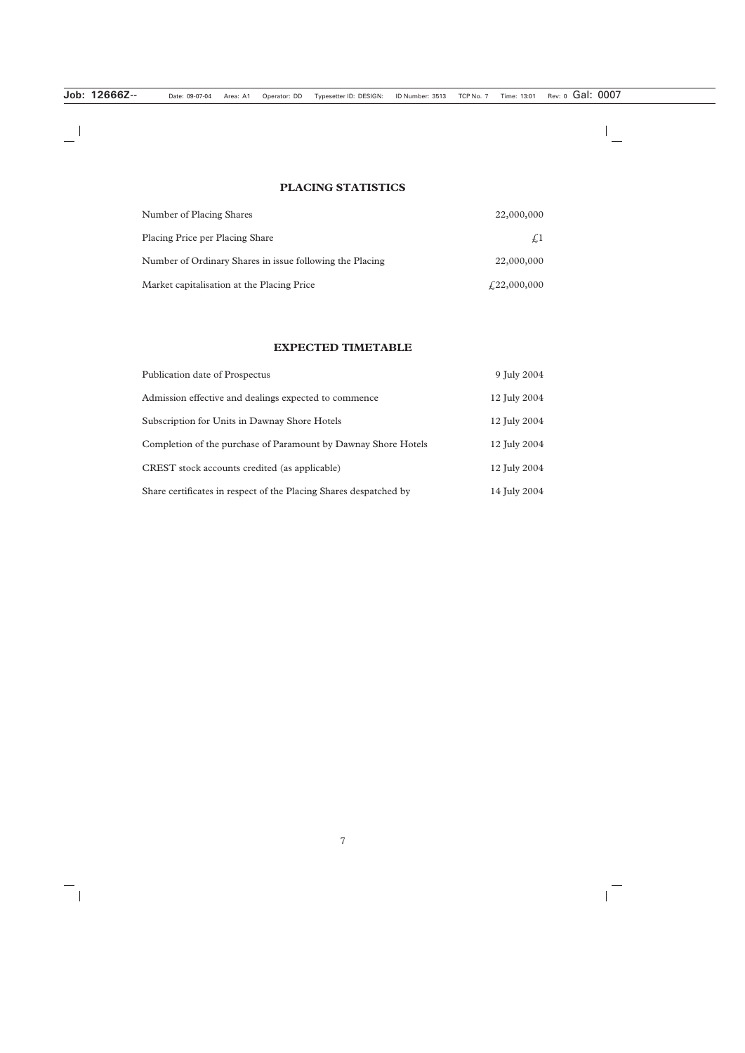# **PLACING STATISTICS**

| Number of Placing Shares                                 | 22,000,000  |
|----------------------------------------------------------|-------------|
| <b>Placing Price per Placing Share</b>                   | $\sqrt{1}$  |
| Number of Ordinary Shares in issue following the Placing | 22,000,000  |
| Market capitalisation at the Placing Price               | £22,000,000 |

# **EXPECTED TIMETABLE**

| Publication date of Prospectus                                    | 9 July 2004  |
|-------------------------------------------------------------------|--------------|
| Admission effective and dealings expected to commence             | 12 July 2004 |
| Subscription for Units in Dawnay Shore Hotels                     | 12 July 2004 |
| Completion of the purchase of Paramount by Dawnay Shore Hotels    | 12 July 2004 |
| CREST stock accounts credited (as applicable)                     | 12 July 2004 |
| Share certificates in respect of the Placing Shares despatched by | 14 July 2004 |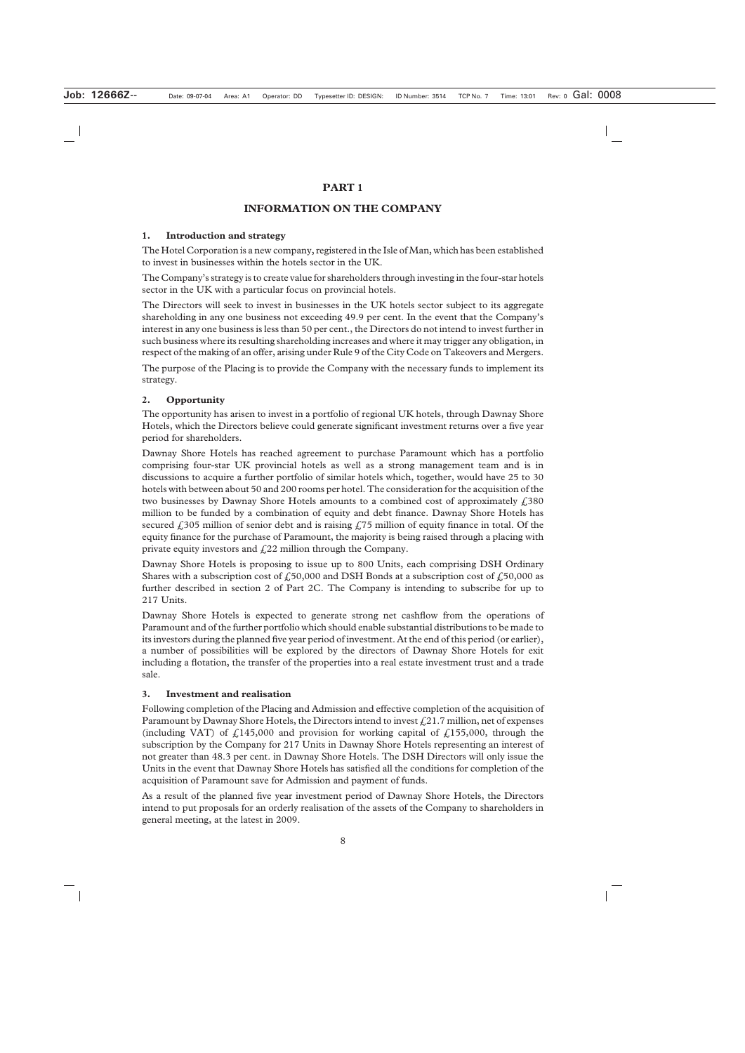# **PART 1**

# **INFORMATION ON THE COMPANY**

#### **1. Introduction and strategy**

The Hotel Corporation is a new company, registered in the Isle of Man, which has been established to invest in businesses within the hotels sector in the UK.

The Company's strategy is to create value for shareholders through investing in the four-star hotels sector in the UK with a particular focus on provincial hotels.

The Directors will seek to invest in businesses in the UK hotels sector subject to its aggregate shareholding in any one business not exceeding 49.9 per cent. In the event that the Company's interest in any one business is less than 50 per cent., the Directors do not intend to invest further in such business where its resulting shareholding increases and where it may trigger any obligation, in respect of the making of an offer, arising under Rule 9 of the City Code on Takeovers and Mergers.

The purpose of the Placing is to provide the Company with the necessary funds to implement its strategy.

#### **2. Opportunity**

The opportunity has arisen to invest in a portfolio of regional UK hotels, through Dawnay Shore Hotels, which the Directors believe could generate significant investment returns over a five year period for shareholders.

Dawnay Shore Hotels has reached agreement to purchase Paramount which has a portfolio comprising four-star UK provincial hotels as well as a strong management team and is in discussions to acquire a further portfolio of similar hotels which, together, would have 25 to 30 hotels with between about 50 and 200 rooms per hotel. The consideration for the acquisition of the two businesses by Dawnay Shore Hotels amounts to a combined cost of approximately  $\ell$ , 380 million to be funded by a combination of equity and debt finance. Dawnay Shore Hotels has secured  $\angle$  305 million of senior debt and is raising  $\angle$  75 million of equity finance in total. Of the equity finance for the purchase of Paramount, the majority is being raised through a placing with private equity investors and  $f(22)$  million through the Company.

Dawnay Shore Hotels is proposing to issue up to 800 Units, each comprising DSH Ordinary Shares with a subscription cost of  $\text{\textsterling}50,000$  and DSH Bonds at a subscription cost of  $\text{\textsterling}50,000$  as further described in section 2 of Part 2C. The Company is intending to subscribe for up to 217 Units.

Dawnay Shore Hotels is expected to generate strong net cashflow from the operations of Paramount and of the further portfolio which should enable substantial distributions to be made to its investors during the planned five year period of investment. At the end of this period (or earlier), a number of possibilities will be explored by the directors of Dawnay Shore Hotels for exit including a flotation, the transfer of the properties into a real estate investment trust and a trade sale.

#### **3. Investment and realisation**

Following completion of the Placing and Admission and effective completion of the acquisition of Paramount by Dawnay Shore Hotels, the Directors intend to invest  $f(21.7 \text{ million}, \text{net of expenses})$ (including VAT) of  $\angle$ 145,000 and provision for working capital of  $\angle$ 155,000, through the subscription by the Company for 217 Units in Dawnay Shore Hotels representing an interest of not greater than 48.3 per cent. in Dawnay Shore Hotels. The DSH Directors will only issue the Units in the event that Dawnay Shore Hotels has satisfied all the conditions for completion of the acquisition of Paramount save for Admission and payment of funds.

As a result of the planned five year investment period of Dawnay Shore Hotels, the Directors intend to put proposals for an orderly realisation of the assets of the Company to shareholders in general meeting, at the latest in 2009.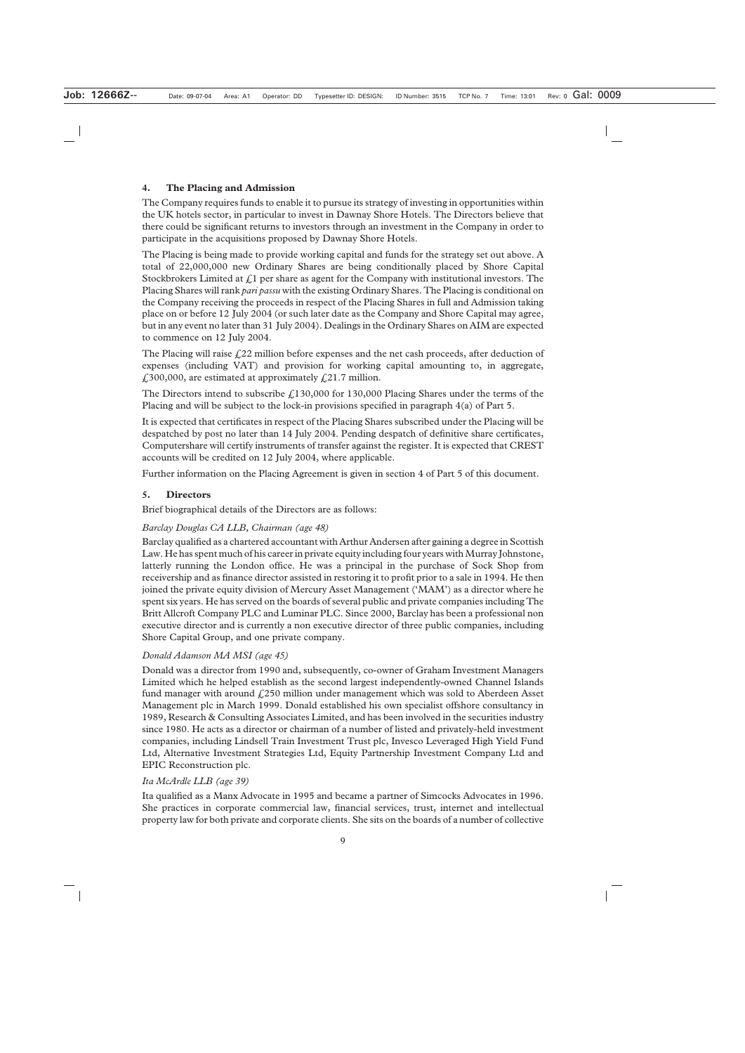# **4. The Placing and Admission**

The Company requires funds to enable it to pursue its strategy of investing in opportunities within the UK hotels sector, in particular to invest in Dawnay Shore Hotels. The Directors believe that there could be significant returns to investors through an investment in the Company in order to participate in the acquisitions proposed by Dawnay Shore Hotels.

The Placing is being made to provide working capital and funds for the strategy set out above. A total of 22,000,000 new Ordinary Shares are being conditionally placed by Shore Capital Stockbrokers Limited at  $\mathcal{L}1$  per share as agent for the Company with institutional investors. The Placing Shares will rank *pari passu* with the existing Ordinary Shares. The Placing is conditional on the Company receiving the proceeds in respect of the Placing Shares in full and Admission taking place on or before 12 July 2004 (or such later date as the Company and Shore Capital may agree, but in any event no later than 31 July 2004). Dealings in the Ordinary Shares on AIM are expected to commence on 12 July 2004.

The Placing will raise  $\frac{22}{2}$  million before expenses and the net cash proceeds, after deduction of expenses (including VAT) and provision for working capital amounting to, in aggregate,  $\text{\emph{1}}300,000$ , are estimated at approximately  $\text{\emph{1}}21.7$  million.

The Directors intend to subscribe  $\text{\textsterling}130,000$  for 130,000 Placing Shares under the terms of the Placing and will be subject to the lock-in provisions specified in paragraph 4(a) of Part 5.

It is expected that certificates in respect of the Placing Shares subscribed under the Placing will be despatched by post no later than 14 July 2004. Pending despatch of definitive share certificates, Computershare will certify instruments of transfer against the register. It is expected that CREST accounts will be credited on 12 July 2004, where applicable.

Further information on the Placing Agreement is given in section 4 of Part 5 of this document.

# **5. Directors**

Brief biographical details of the Directors are as follows:

# *Barclay Douglas CA LLB, Chairman (age 48)*

Barclay qualified as a chartered accountant with Arthur Andersen after gaining a degree in Scottish Law. He has spent much of his career in private equity including four years with Murray Johnstone, latterly running the London office. He was a principal in the purchase of Sock Shop from receivership and as finance director assisted in restoring it to profit prior to a sale in 1994. He then joined the private equity division of Mercury Asset Management ('MAM') as a director where he spent six years. He has served on the boards of several public and private companies including The Britt Allcroft Company PLC and Luminar PLC. Since 2000, Barclay has been a professional non executive director and is currently a non executive director of three public companies, including Shore Capital Group, and one private company.

# *Donald Adamson MA MSI (age 45)*

Donald was a director from 1990 and, subsequently, co-owner of Graham Investment Managers Limited which he helped establish as the second largest independently-owned Channel Islands fund manager with around  $\frac{250}{250}$  million under management which was sold to Aberdeen Asset Management plc in March 1999. Donald established his own specialist offshore consultancy in 1989, Research & Consulting Associates Limited, and has been involved in the securities industry since 1980. He acts as a director or chairman of a number of listed and privately-held investment companies, including Lindsell Train Investment Trust plc, Invesco Leveraged High Yield Fund Ltd, Alternative Investment Strategies Ltd, Equity Partnership Investment Company Ltd and EPIC Reconstruction plc.

#### *Ita McArdle LLB (age 39)*

Ita qualified as a Manx Advocate in 1995 and became a partner of Simcocks Advocates in 1996. She practices in corporate commercial law, financial services, trust, internet and intellectual property law for both private and corporate clients. She sits on the boards of a number of collective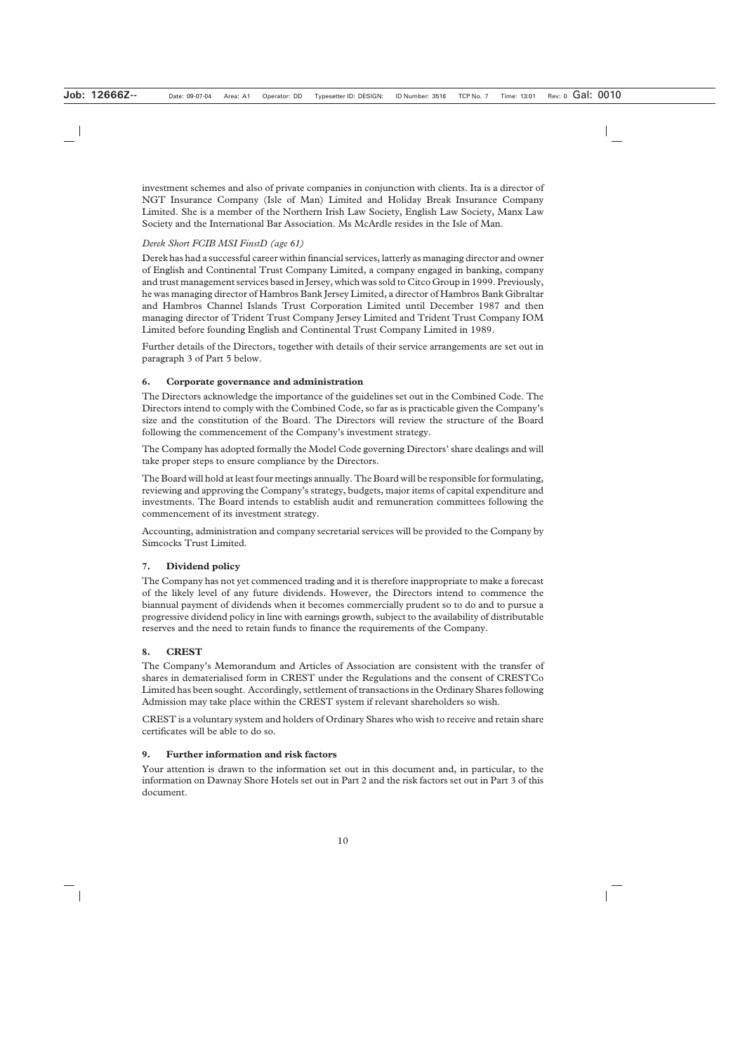investment schemes and also of private companies in conjunction with clients. Ita is a director of NGT Insurance Company (Isle of Man) Limited and Holiday Break Insurance Company Limited. She is a member of the Northern Irish Law Society, English Law Society, Manx Law Society and the International Bar Association. Ms McArdle resides in the Isle of Man.

# *Derek Short FCIB MSI FinstD (age 61)*

Derek has had a successful career within financial services, latterly as managing director and owner of English and Continental Trust Company Limited, a company engaged in banking, company and trust management services based in Jersey, which was sold to Citco Group in 1999. Previously, he was managing director of Hambros Bank Jersey Limited, a director of Hambros Bank Gibraltar and Hambros Channel Islands Trust Corporation Limited until December 1987 and then managing director of Trident Trust Company Jersey Limited and Trident Trust Company IOM Limited before founding English and Continental Trust Company Limited in 1989.

Further details of the Directors, together with details of their service arrangements are set out in paragraph 3 of Part 5 below.

# **6. Corporate governance and administration**

The Directors acknowledge the importance of the guidelines set out in the Combined Code. The Directors intend to comply with the Combined Code, so far as is practicable given the Company's size and the constitution of the Board. The Directors will review the structure of the Board following the commencement of the Company's investment strategy.

The Company has adopted formally the Model Code governing Directors' share dealings and will take proper steps to ensure compliance by the Directors.

The Board will hold at least four meetings annually. The Board will be responsible for formulating, reviewing and approving the Company's strategy, budgets, major items of capital expenditure and investments. The Board intends to establish audit and remuneration committees following the commencement of its investment strategy.

Accounting, administration and company secretarial services will be provided to the Company by Simcocks Trust Limited.

#### **7. Dividend policy**

The Company has not yet commenced trading and it is therefore inappropriate to make a forecast of the likely level of any future dividends. However, the Directors intend to commence the biannual payment of dividends when it becomes commercially prudent so to do and to pursue a progressive dividend policy in line with earnings growth, subject to the availability of distributable reserves and the need to retain funds to finance the requirements of the Company.

# **8. CREST**

The Company's Memorandum and Articles of Association are consistent with the transfer of shares in dematerialised form in CREST under the Regulations and the consent of CRESTCo Limited has been sought. Accordingly, settlement of transactions in the Ordinary Shares following Admission may take place within the CREST system if relevant shareholders so wish.

CREST is a voluntary system and holders of Ordinary Shares who wish to receive and retain share certificates will be able to do so.

#### **9. Further information and risk factors**

Your attention is drawn to the information set out in this document and, in particular, to the information on Dawnay Shore Hotels set out in Part 2 and the risk factors set out in Part 3 of this document.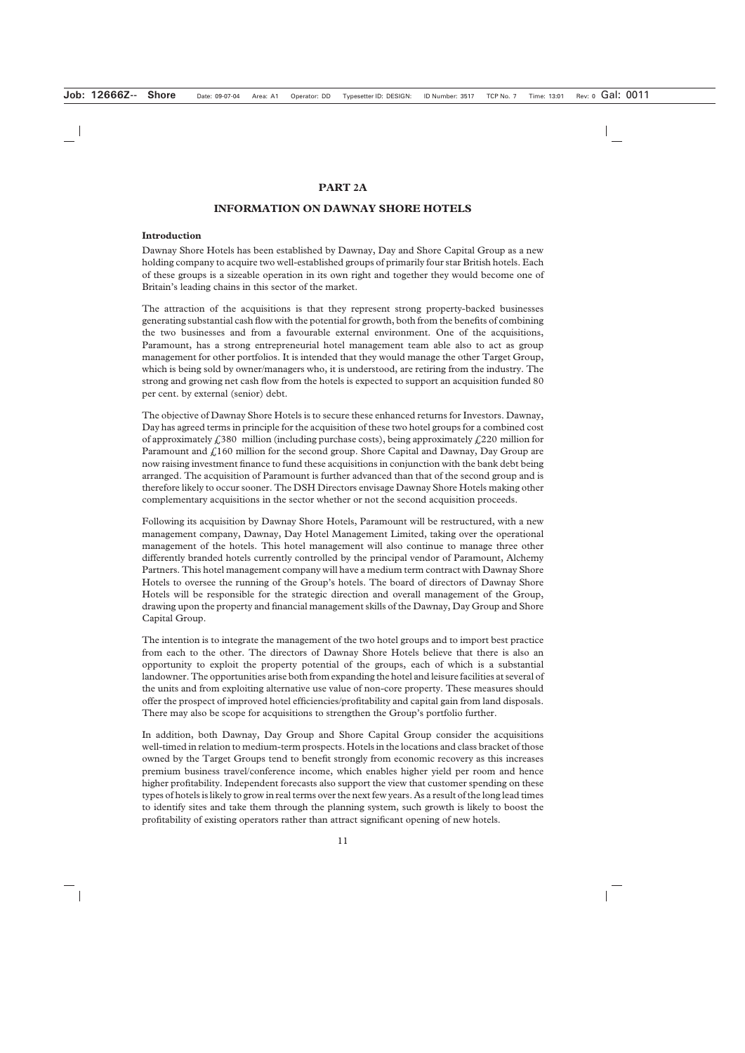#### **PART 2A**

#### **INFORMATION ON DAWNAY SHORE HOTELS**

#### **Introduction**

Dawnay Shore Hotels has been established by Dawnay, Day and Shore Capital Group as a new holding company to acquire two well-established groups of primarily four star British hotels. Each of these groups is a sizeable operation in its own right and together they would become one of Britain's leading chains in this sector of the market.

The attraction of the acquisitions is that they represent strong property-backed businesses generating substantial cash flow with the potential for growth, both from the benefits of combining the two businesses and from a favourable external environment. One of the acquisitions, Paramount, has a strong entrepreneurial hotel management team able also to act as group management for other portfolios. It is intended that they would manage the other Target Group, which is being sold by owner/managers who, it is understood, are retiring from the industry. The strong and growing net cash flow from the hotels is expected to support an acquisition funded 80 per cent. by external (senior) debt.

The objective of Dawnay Shore Hotels is to secure these enhanced returns for Investors. Dawnay, Day has agreed terms in principle for the acquisition of these two hotel groups for a combined cost of approximately  $\text{\textsterling}380 \,$  million (including purchase costs), being approximately  $\text{\textsterling}220 \,$  million for Paramount and  $\text{\emph{L}}160$  million for the second group. Shore Capital and Dawnay, Day Group are now raising investment finance to fund these acquisitions in conjunction with the bank debt being arranged. The acquisition of Paramount is further advanced than that of the second group and is therefore likely to occur sooner. The DSH Directors envisage Dawnay Shore Hotels making other complementary acquisitions in the sector whether or not the second acquisition proceeds.

Following its acquisition by Dawnay Shore Hotels, Paramount will be restructured, with a new management company, Dawnay, Day Hotel Management Limited, taking over the operational management of the hotels. This hotel management will also continue to manage three other differently branded hotels currently controlled by the principal vendor of Paramount, Alchemy Partners. This hotel management company will have a medium term contract with Dawnay Shore Hotels to oversee the running of the Group's hotels. The board of directors of Dawnay Shore Hotels will be responsible for the strategic direction and overall management of the Group, drawing upon the property and financial management skills of the Dawnay, Day Group and Shore Capital Group.

The intention is to integrate the management of the two hotel groups and to import best practice from each to the other. The directors of Dawnay Shore Hotels believe that there is also an opportunity to exploit the property potential of the groups, each of which is a substantial landowner. The opportunities arise both from expanding the hotel and leisure facilities at several of the units and from exploiting alternative use value of non-core property. These measures should offer the prospect of improved hotel efficiencies/profitability and capital gain from land disposals. There may also be scope for acquisitions to strengthen the Group's portfolio further.

In addition, both Dawnay, Day Group and Shore Capital Group consider the acquisitions well-timed in relation to medium-term prospects. Hotels in the locations and class bracket of those owned by the Target Groups tend to benefit strongly from economic recovery as this increases premium business travel/conference income, which enables higher yield per room and hence higher profitability. Independent forecasts also support the view that customer spending on these types of hotels is likely to grow in real terms over the next few years. As a result of the long lead times to identify sites and take them through the planning system, such growth is likely to boost the profitability of existing operators rather than attract significant opening of new hotels.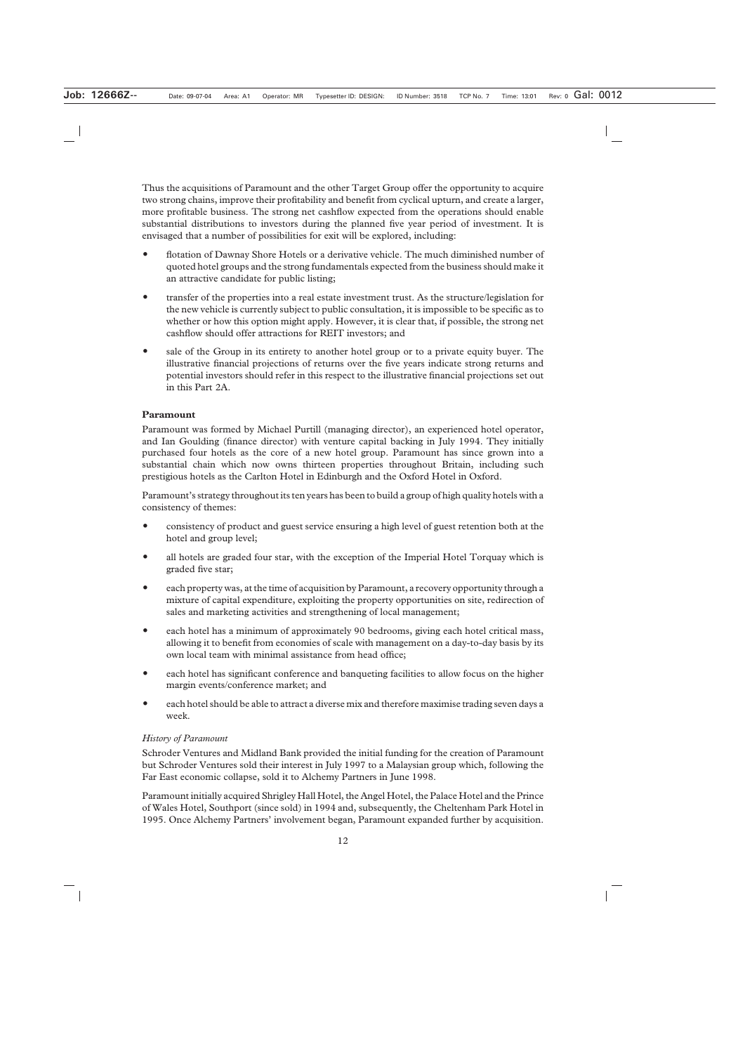Thus the acquisitions of Paramount and the other Target Group offer the opportunity to acquire two strong chains, improve their profitability and benefit from cyclical upturn, and create a larger, more profitable business. The strong net cashflow expected from the operations should enable substantial distributions to investors during the planned five year period of investment. It is envisaged that a number of possibilities for exit will be explored, including:

- flotation of Dawnay Shore Hotels or a derivative vehicle. The much diminished number of quoted hotel groups and the strong fundamentals expected from the business should make it an attractive candidate for public listing;
- transfer of the properties into a real estate investment trust. As the structure/legislation for the new vehicle is currently subject to public consultation, it is impossible to be specific as to whether or how this option might apply. However, it is clear that, if possible, the strong net cashflow should offer attractions for REIT investors; and
- sale of the Group in its entirety to another hotel group or to a private equity buyer. The illustrative financial projections of returns over the five years indicate strong returns and potential investors should refer in this respect to the illustrative financial projections set out in this Part 2A.

# **Paramount**

Paramount was formed by Michael Purtill (managing director), an experienced hotel operator, and Ian Goulding (finance director) with venture capital backing in July 1994. They initially purchased four hotels as the core of a new hotel group. Paramount has since grown into a substantial chain which now owns thirteen properties throughout Britain, including such prestigious hotels as the Carlton Hotel in Edinburgh and the Oxford Hotel in Oxford.

Paramount's strategy throughout its ten years has been to build a group of high quality hotels with a consistency of themes:

- consistency of product and guest service ensuring a high level of guest retention both at the hotel and group level;
- all hotels are graded four star, with the exception of the Imperial Hotel Torquay which is graded five star;
- each property was, at the time of acquisition by Paramount, a recovery opportunity through a mixture of capital expenditure, exploiting the property opportunities on site, redirection of sales and marketing activities and strengthening of local management;
- each hotel has a minimum of approximately 90 bedrooms, giving each hotel critical mass, allowing it to benefit from economies of scale with management on a day-to-day basis by its own local team with minimal assistance from head office;
- each hotel has significant conference and banqueting facilities to allow focus on the higher margin events/conference market; and
- each hotel should be able to attract a diverse mix and therefore maximise trading seven days a week.

#### *History of Paramount*

Schroder Ventures and Midland Bank provided the initial funding for the creation of Paramount but Schroder Ventures sold their interest in July 1997 to a Malaysian group which, following the Far East economic collapse, sold it to Alchemy Partners in June 1998.

Paramount initially acquired Shrigley Hall Hotel, the Angel Hotel, the Palace Hotel and the Prince of Wales Hotel, Southport (since sold) in 1994 and, subsequently, the Cheltenham Park Hotel in 1995. Once Alchemy Partners' involvement began, Paramount expanded further by acquisition.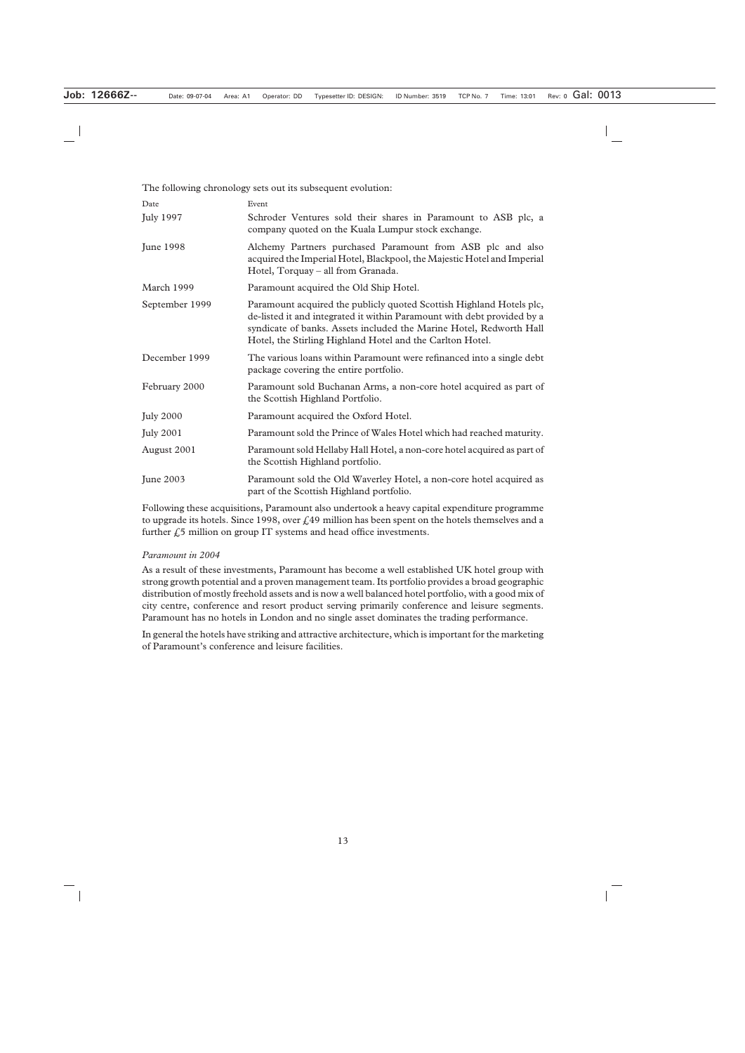| The following chronology sets out its subsequent evolution: |                                                                                                                                                                                                                                                                                     |  |  |  |
|-------------------------------------------------------------|-------------------------------------------------------------------------------------------------------------------------------------------------------------------------------------------------------------------------------------------------------------------------------------|--|--|--|
| Date                                                        | Event                                                                                                                                                                                                                                                                               |  |  |  |
| <b>July 1997</b>                                            | Schroder Ventures sold their shares in Paramount to ASB plc, a<br>company quoted on the Kuala Lumpur stock exchange.                                                                                                                                                                |  |  |  |
| <b>June 1998</b>                                            | Alchemy Partners purchased Paramount from ASB plc and also<br>acquired the Imperial Hotel, Blackpool, the Majestic Hotel and Imperial<br>Hotel, Torquay – all from Granada.                                                                                                         |  |  |  |
| March 1999                                                  | Paramount acquired the Old Ship Hotel.                                                                                                                                                                                                                                              |  |  |  |
| September 1999                                              | Paramount acquired the publicly quoted Scottish Highland Hotels plc,<br>de-listed it and integrated it within Paramount with debt provided by a<br>syndicate of banks. Assets included the Marine Hotel, Redworth Hall<br>Hotel, the Stirling Highland Hotel and the Carlton Hotel. |  |  |  |
| December 1999                                               | The various loans within Paramount were refinanced into a single debt<br>package covering the entire portfolio.                                                                                                                                                                     |  |  |  |
| February 2000                                               | Paramount sold Buchanan Arms, a non-core hotel acquired as part of<br>the Scottish Highland Portfolio.                                                                                                                                                                              |  |  |  |
| <b>July 2000</b>                                            | Paramount acquired the Oxford Hotel.                                                                                                                                                                                                                                                |  |  |  |
| <b>July 2001</b>                                            | Paramount sold the Prince of Wales Hotel which had reached maturity.                                                                                                                                                                                                                |  |  |  |
| August 2001                                                 | Paramount sold Hellaby Hall Hotel, a non-core hotel acquired as part of<br>the Scottish Highland portfolio.                                                                                                                                                                         |  |  |  |
| <b>June 2003</b>                                            | Paramount sold the Old Waverley Hotel, a non-core hotel acquired as<br>part of the Scottish Highland portfolio.                                                                                                                                                                     |  |  |  |

Following these acquisitions, Paramount also undertook a heavy capital expenditure programme to upgrade its hotels. Since 1998, over  $f<sub>1</sub>49$  million has been spent on the hotels themselves and a further  $f<sub>1</sub>5$  million on group IT systems and head office investments.

#### *Paramount in 2004*

As a result of these investments, Paramount has become a well established UK hotel group with strong growth potential and a proven management team. Its portfolio provides a broad geographic distribution of mostly freehold assets and is now a well balanced hotel portfolio, with a good mix of city centre, conference and resort product serving primarily conference and leisure segments. Paramount has no hotels in London and no single asset dominates the trading performance.

In general the hotels have striking and attractive architecture, which is important for the marketing of Paramount's conference and leisure facilities.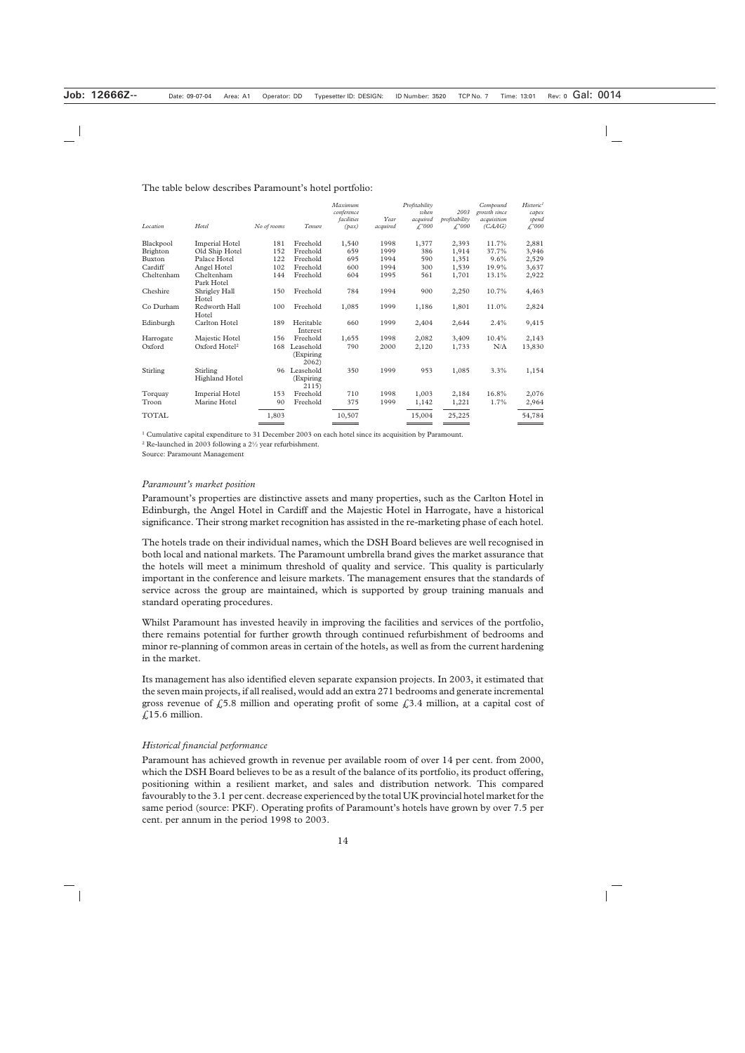#### The table below describes Paramount's hotel portfolio:

|                                   |       |                                  | Maximum<br>conference<br>facilities | Year             | Profitability<br>when<br>acquired | 2003<br>profitability | Compound<br>growth since<br>acquisition | Historic <sup>1</sup><br>capex<br>spend<br>$\mathcal{L}^2000$ |
|-----------------------------------|-------|----------------------------------|-------------------------------------|------------------|-----------------------------------|-----------------------|-----------------------------------------|---------------------------------------------------------------|
|                                   |       |                                  |                                     |                  |                                   |                       |                                         |                                                               |
| <b>Imperial Hotel</b>             | 181   | Freehold                         | 1,540                               | 1998             | 1,377                             | 2,393                 | 11.7%                                   | 2,881                                                         |
| Old Ship Hotel                    | 152   | Freehold                         | 659                                 | 1999             | 386                               | 1,914                 | 37.7%                                   | 3,946                                                         |
| Palace Hotel                      | 122   | Freehold                         | 695                                 | 1994             | 590                               | 1,351                 | $9.6\%$                                 | 2,529                                                         |
| Angel Hotel                       | 102   | Freehold                         | 600                                 | 1994             | 300                               | 1,539                 | 19.9%                                   | 3,637                                                         |
| Cheltenham<br>Park Hotel          | 144   | Freehold                         | 604                                 | 1995             | 561                               | 1,701                 | 13.1%                                   | 2,922                                                         |
| Shrigley Hall<br>Hotel            | 150   | Freehold                         | 784                                 | 1994             | 900                               | 2,250                 | 10.7%                                   | 4,463                                                         |
| Redworth Hall<br>Hotel            | 100   | Freehold                         | 1,085                               | 1999             | 1,186                             | 1,801                 | 11.0%                                   | 2,824                                                         |
| Carlton Hotel                     | 189   | Heritable<br>Interest            | 660                                 | 1999             | 2,404                             | 2,644                 | 2.4%                                    | 9,415                                                         |
| Majestic Hotel                    | 156   | Freehold                         | 1,655                               | 1998             | 2,082                             | 3,409                 | 10.4%                                   | 2,143                                                         |
| Oxford Hotel <sup>2</sup>         | 168   | Leasehold<br>(Expiring)<br>2062  | 790                                 | 2000             | 2,120                             | 1,733                 | N/A                                     | 13,830                                                        |
| Stirling<br><b>Highland Hotel</b> | 96    | Leasehold<br>(Expiring)<br>2115) | 350                                 | 1999             | 953                               | 1,085                 | 3.3%                                    | 1,154                                                         |
| <b>Imperial Hotel</b>             | 153   | Freehold                         | 710                                 | 1998             | 1,003                             | 2,184                 | 16.8%                                   | 2,076                                                         |
| Marine Hotel                      | 90    | Freehold                         | 375                                 | 1999             | 1,142                             | 1,221                 | 1.7%                                    | 2,964                                                         |
|                                   | 1,803 |                                  | 10,507                              |                  | 15,004                            | 25,225                |                                         | 54,784                                                        |
|                                   | Hotel | No of rooms<br>_____             | Tenure                              | $(\textit{pax})$ | acquired                          | $\mathcal{L}^2000$    | $\mathcal{L}^2000$                      | (CAAG)                                                        |

 $1$  Cumulative capital expenditure to 31 December 2003 on each hotel since its acquisition by Paramount.

<sup>2</sup> Re-launched in 2003 following a 21 ⁄2 year refurbishment.

Source: Paramount Management

#### *Paramount's market position*

Paramount's properties are distinctive assets and many properties, such as the Carlton Hotel in Edinburgh, the Angel Hotel in Cardiff and the Majestic Hotel in Harrogate, have a historical significance. Their strong market recognition has assisted in the re-marketing phase of each hotel.

The hotels trade on their individual names, which the DSH Board believes are well recognised in both local and national markets. The Paramount umbrella brand gives the market assurance that the hotels will meet a minimum threshold of quality and service. This quality is particularly important in the conference and leisure markets. The management ensures that the standards of service across the group are maintained, which is supported by group training manuals and standard operating procedures.

Whilst Paramount has invested heavily in improving the facilities and services of the portfolio, there remains potential for further growth through continued refurbishment of bedrooms and minor re-planning of common areas in certain of the hotels, as well as from the current hardening in the market.

Its management has also identified eleven separate expansion projects. In 2003, it estimated that the seven main projects, if all realised, would add an extra 271 bedrooms and generate incremental gross revenue of  $\zeta$ 5.8 million and operating profit of some  $\zeta$ 3.4 million, at a capital cost of  $£15.6$  million.

#### *Historical financial performance*

Paramount has achieved growth in revenue per available room of over 14 per cent. from 2000, which the DSH Board believes to be as a result of the balance of its portfolio, its product offering, positioning within a resilient market, and sales and distribution network. This compared favourably to the 3.1 per cent. decrease experienced by the total UK provincial hotel market for the same period (source: PKF). Operating profits of Paramount's hotels have grown by over 7.5 per cent. per annum in the period 1998 to 2003.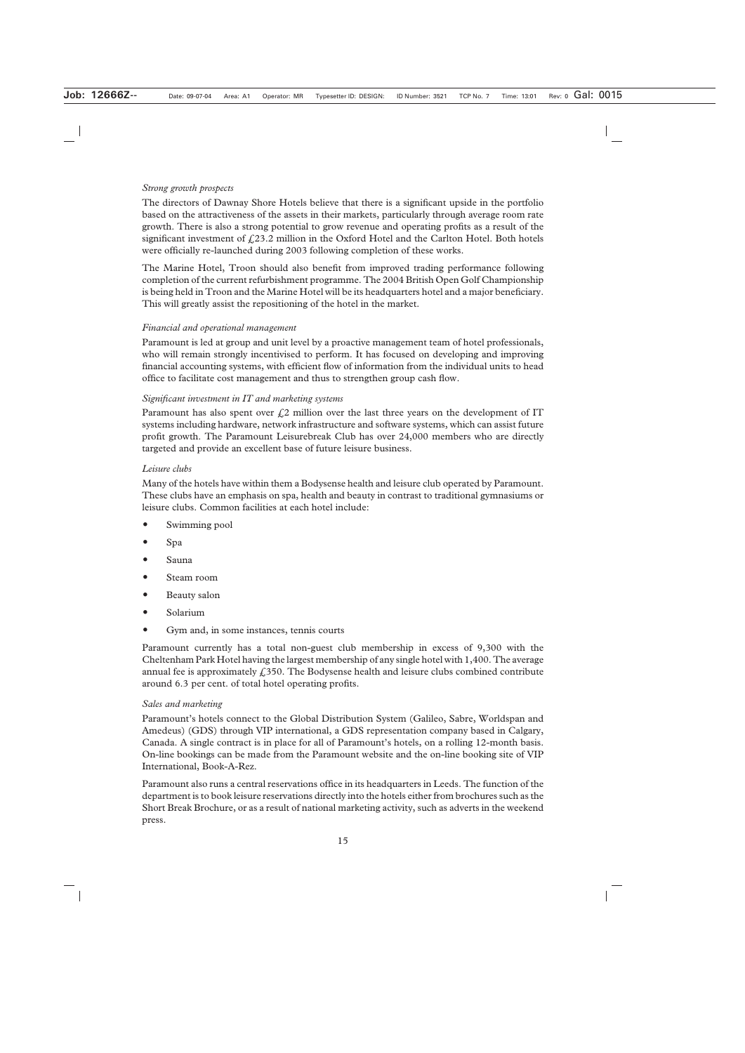# *Strong growth prospects*

The directors of Dawnay Shore Hotels believe that there is a significant upside in the portfolio based on the attractiveness of the assets in their markets, particularly through average room rate growth. There is also a strong potential to grow revenue and operating profits as a result of the significant investment of  $f(23.2 \text{ million in the Oxford Hotel and the Carlton Hotel. Both hotes$ were officially re-launched during 2003 following completion of these works.

The Marine Hotel, Troon should also benefit from improved trading performance following completion of the current refurbishment programme. The 2004 British Open Golf Championship is being held in Troon and the Marine Hotel will be its headquarters hotel and a major beneficiary. This will greatly assist the repositioning of the hotel in the market.

# *Financial and operational management*

Paramount is led at group and unit level by a proactive management team of hotel professionals, who will remain strongly incentivised to perform. It has focused on developing and improving financial accounting systems, with efficient flow of information from the individual units to head office to facilitate cost management and thus to strengthen group cash flow.

# *Significant investment in IT and marketing systems*

Paramount has also spent over  $\zeta$ 2 million over the last three years on the development of IT systems including hardware, network infrastructure and software systems, which can assist future profit growth. The Paramount Leisurebreak Club has over 24,000 members who are directly targeted and provide an excellent base of future leisure business.

# *Leisure clubs*

Many of the hotels have within them a Bodysense health and leisure club operated by Paramount. These clubs have an emphasis on spa, health and beauty in contrast to traditional gymnasiums or leisure clubs. Common facilities at each hotel include:

- Swimming pool
- Spa
- Sauna
- Steam room
- Beauty salon
- Solarium
- Gym and, in some instances, tennis courts

Paramount currently has a total non-guest club membership in excess of 9,300 with the Cheltenham Park Hotel having the largest membership of any single hotel with 1,400. The average annual fee is approximately  $f<sub>1</sub>350$ . The Bodysense health and leisure clubs combined contribute around 6.3 per cent. of total hotel operating profits.

#### *Sales and marketing*

Paramount's hotels connect to the Global Distribution System (Galileo, Sabre, Worldspan and Amedeus) (GDS) through VIP international, a GDS representation company based in Calgary, Canada. A single contract is in place for all of Paramount's hotels, on a rolling 12-month basis. On-line bookings can be made from the Paramount website and the on-line booking site of VIP International, Book-A-Rez.

Paramount also runs a central reservations office in its headquarters in Leeds. The function of the department is to book leisure reservations directly into the hotels either from brochures such as the Short Break Brochure, or as a result of national marketing activity, such as adverts in the weekend press.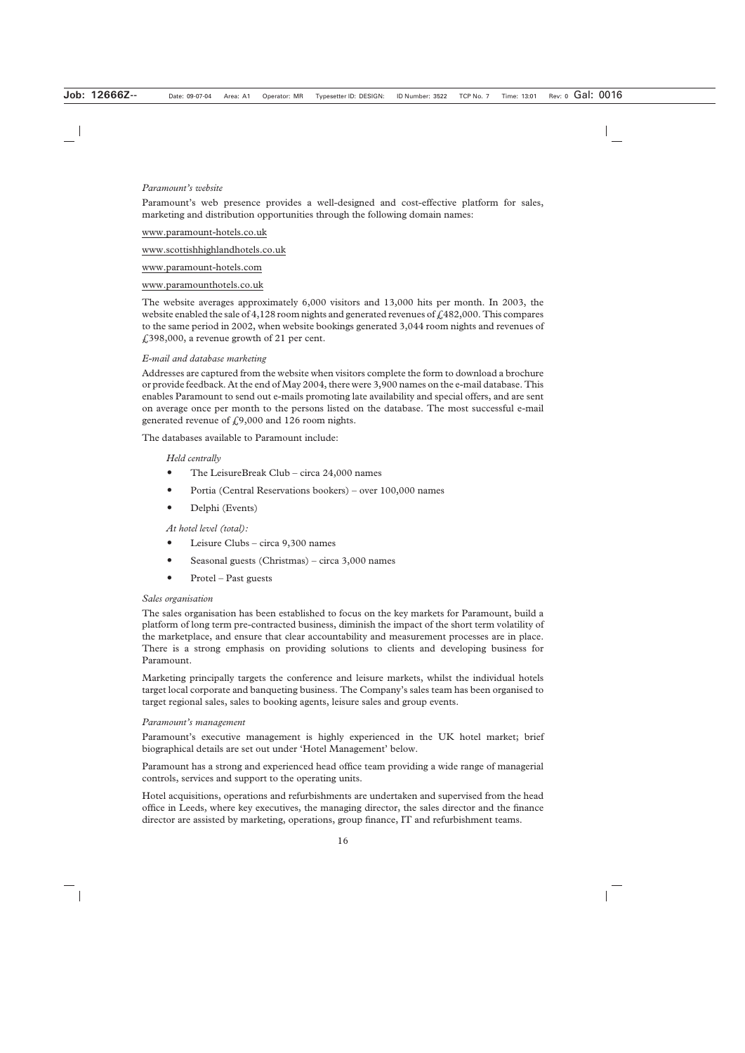#### *Paramount's website*

Paramount's web presence provides a well-designed and cost-effective platform for sales, marketing and distribution opportunities through the following domain names:

#### www.paramount-hotels.co.uk

www.scottishhighlandhotels.co.uk

www.paramount-hotels.com

#### www.paramounthotels.co.uk

The website averages approximately 6,000 visitors and 13,000 hits per month. In 2003, the website enabled the sale of 4,128 room nights and generated revenues of  $\text{\textsterling}482,000$ . This compares to the same period in 2002, when website bookings generated 3,044 room nights and revenues of £398,000, a revenue growth of 21 per cent.

#### *E-mail and database marketing*

Addresses are captured from the website when visitors complete the form to download a brochure or provide feedback. At the end of May 2004, there were 3,900 names on the e-mail database. This enables Paramount to send out e-mails promoting late availability and special offers, and are sent on average once per month to the persons listed on the database. The most successful e-mail generated revenue of  $f(9,000)$  and 126 room nights.

The databases available to Paramount include:

#### *Held centrally*

- The LeisureBreak Club circa 24,000 names
- Portia (Central Reservations bookers) over 100,000 names
- Delphi (Events)

*At hotel level (total):*

- Leisure Clubs circa 9,300 names
- Seasonal guests (Christmas) circa  $3,000$  names
- Protel Past guests

#### *Sales organisation*

The sales organisation has been established to focus on the key markets for Paramount, build a platform of long term pre-contracted business, diminish the impact of the short term volatility of the marketplace, and ensure that clear accountability and measurement processes are in place. There is a strong emphasis on providing solutions to clients and developing business for Paramount.

Marketing principally targets the conference and leisure markets, whilst the individual hotels target local corporate and banqueting business. The Company's sales team has been organised to target regional sales, sales to booking agents, leisure sales and group events.

#### *Paramount's management*

Paramount's executive management is highly experienced in the UK hotel market; brief biographical details are set out under 'Hotel Management' below.

Paramount has a strong and experienced head office team providing a wide range of managerial controls, services and support to the operating units.

Hotel acquisitions, operations and refurbishments are undertaken and supervised from the head office in Leeds, where key executives, the managing director, the sales director and the finance director are assisted by marketing, operations, group finance, IT and refurbishment teams.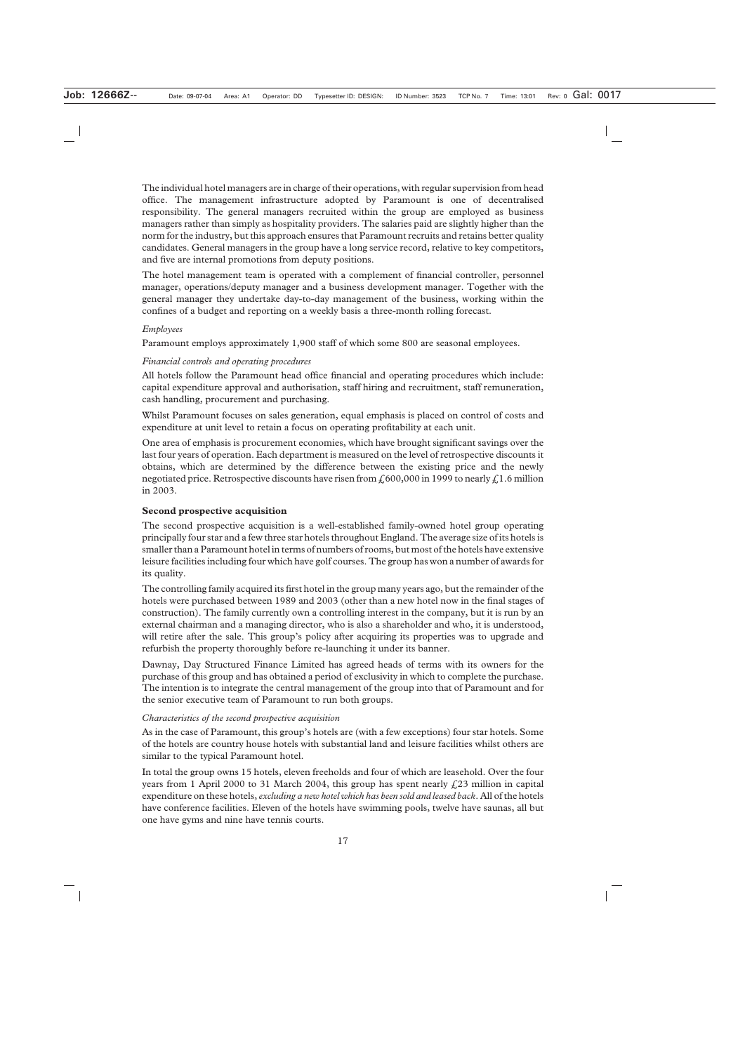The individual hotel managers are in charge of their operations, with regular supervision from head office. The management infrastructure adopted by Paramount is one of decentralised responsibility. The general managers recruited within the group are employed as business managers rather than simply as hospitality providers. The salaries paid are slightly higher than the norm for the industry, but this approach ensures that Paramount recruits and retains better quality candidates. General managers in the group have a long service record, relative to key competitors, and five are internal promotions from deputy positions.

The hotel management team is operated with a complement of financial controller, personnel manager, operations/deputy manager and a business development manager. Together with the general manager they undertake day-to-day management of the business, working within the confines of a budget and reporting on a weekly basis a three-month rolling forecast.

#### *Employees*

Paramount employs approximately 1,900 staff of which some 800 are seasonal employees.

#### *Financial controls and operating procedures*

All hotels follow the Paramount head office financial and operating procedures which include: capital expenditure approval and authorisation, staff hiring and recruitment, staff remuneration, cash handling, procurement and purchasing.

Whilst Paramount focuses on sales generation, equal emphasis is placed on control of costs and expenditure at unit level to retain a focus on operating profitability at each unit.

One area of emphasis is procurement economies, which have brought significant savings over the last four years of operation. Each department is measured on the level of retrospective discounts it obtains, which are determined by the difference between the existing price and the newly negotiated price. Retrospective discounts have risen from  $\mathcal{L}^{600,000}$  in 1999 to nearly  $\mathcal{L}^{1.6}$  million in 2003.

#### **Second prospective acquisition**

The second prospective acquisition is a well-established family-owned hotel group operating principally four star and a few three star hotels throughout England. The average size of its hotels is smaller than a Paramount hotel in terms of numbers of rooms, but most of the hotels have extensive leisure facilities including four which have golf courses. The group has won a number of awards for its quality.

The controlling family acquired its first hotel in the group many years ago, but the remainder of the hotels were purchased between 1989 and 2003 (other than a new hotel now in the final stages of construction). The family currently own a controlling interest in the company, but it is run by an external chairman and a managing director, who is also a shareholder and who, it is understood, will retire after the sale. This group's policy after acquiring its properties was to upgrade and refurbish the property thoroughly before re-launching it under its banner.

Dawnay, Day Structured Finance Limited has agreed heads of terms with its owners for the purchase of this group and has obtained a period of exclusivity in which to complete the purchase. The intention is to integrate the central management of the group into that of Paramount and for the senior executive team of Paramount to run both groups.

#### *Characteristics of the second prospective acquisition*

As in the case of Paramount, this group's hotels are (with a few exceptions) four star hotels. Some of the hotels are country house hotels with substantial land and leisure facilities whilst others are similar to the typical Paramount hotel.

In total the group owns 15 hotels, eleven freeholds and four of which are leasehold. Over the four years from 1 April 2000 to 31 March 2004, this group has spent nearly  $\text{\emph{L}}23$  million in capital expenditure on these hotels, *excluding a new hotel which has been sold and leased back*. All of the hotels have conference facilities. Eleven of the hotels have swimming pools, twelve have saunas, all but one have gyms and nine have tennis courts.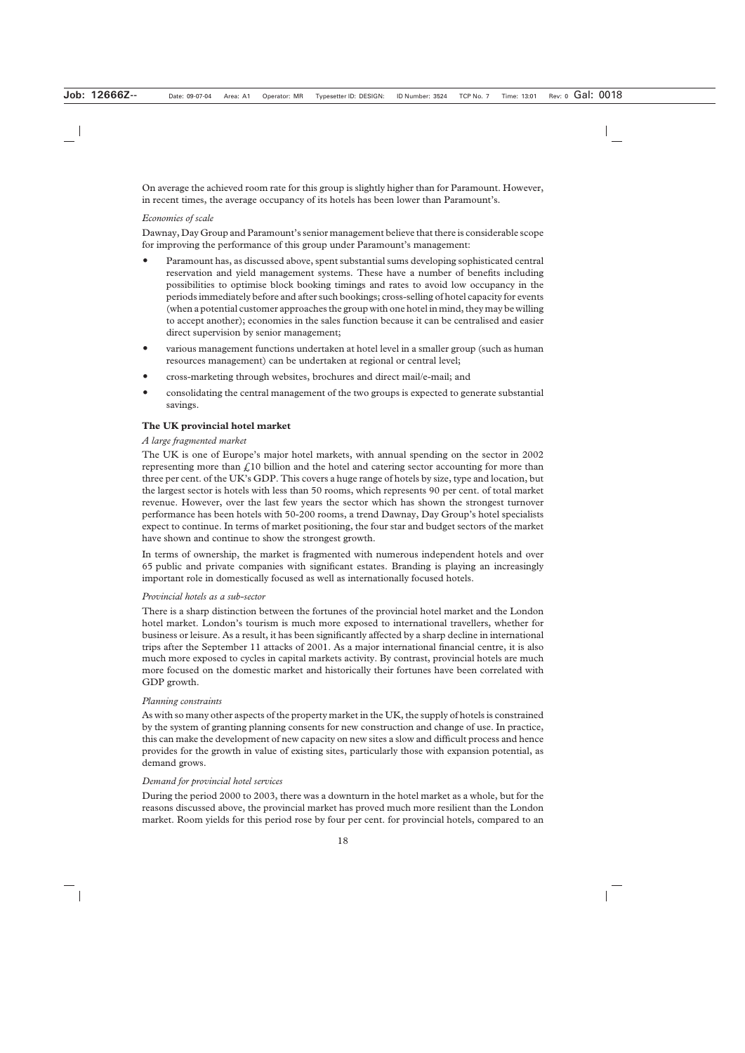On average the achieved room rate for this group is slightly higher than for Paramount. However, in recent times, the average occupancy of its hotels has been lower than Paramount's.

## *Economies of scale*

Dawnay, Day Group and Paramount's senior management believe that there is considerable scope for improving the performance of this group under Paramount's management:

- Paramount has, as discussed above, spent substantial sums developing sophisticated central reservation and yield management systems. These have a number of benefits including possibilities to optimise block booking timings and rates to avoid low occupancy in the periods immediately before and after such bookings; cross-selling of hotel capacity for events (when a potential customer approaches the group with one hotel in mind, they may be willing to accept another); economies in the sales function because it can be centralised and easier direct supervision by senior management;
- various management functions undertaken at hotel level in a smaller group (such as human resources management) can be undertaken at regional or central level;
- cross-marketing through websites, brochures and direct mail/e-mail; and
- consolidating the central management of the two groups is expected to generate substantial savings.

# **The UK provincial hotel market**

#### *A large fragmented market*

The UK is one of Europe's major hotel markets, with annual spending on the sector in 2002 representing more than  $\zeta$ 10 billion and the hotel and catering sector accounting for more than three per cent. of the UK's GDP. This covers a huge range of hotels by size, type and location, but the largest sector is hotels with less than 50 rooms, which represents 90 per cent. of total market revenue. However, over the last few years the sector which has shown the strongest turnover performance has been hotels with 50-200 rooms, a trend Dawnay, Day Group's hotel specialists expect to continue. In terms of market positioning, the four star and budget sectors of the market have shown and continue to show the strongest growth.

In terms of ownership, the market is fragmented with numerous independent hotels and over 65 public and private companies with significant estates. Branding is playing an increasingly important role in domestically focused as well as internationally focused hotels.

#### *Provincial hotels as a sub-sector*

There is a sharp distinction between the fortunes of the provincial hotel market and the London hotel market. London's tourism is much more exposed to international travellers, whether for business or leisure. As a result, it has been significantly affected by a sharp decline in international trips after the September 11 attacks of 2001. As a major international financial centre, it is also much more exposed to cycles in capital markets activity. By contrast, provincial hotels are much more focused on the domestic market and historically their fortunes have been correlated with GDP growth.

#### *Planning constraints*

As with so many other aspects of the property market in the UK, the supply of hotels is constrained by the system of granting planning consents for new construction and change of use. In practice, this can make the development of new capacity on new sites a slow and difficult process and hence provides for the growth in value of existing sites, particularly those with expansion potential, as demand grows.

#### *Demand for provincial hotel services*

During the period 2000 to 2003, there was a downturn in the hotel market as a whole, but for the reasons discussed above, the provincial market has proved much more resilient than the London market. Room yields for this period rose by four per cent. for provincial hotels, compared to an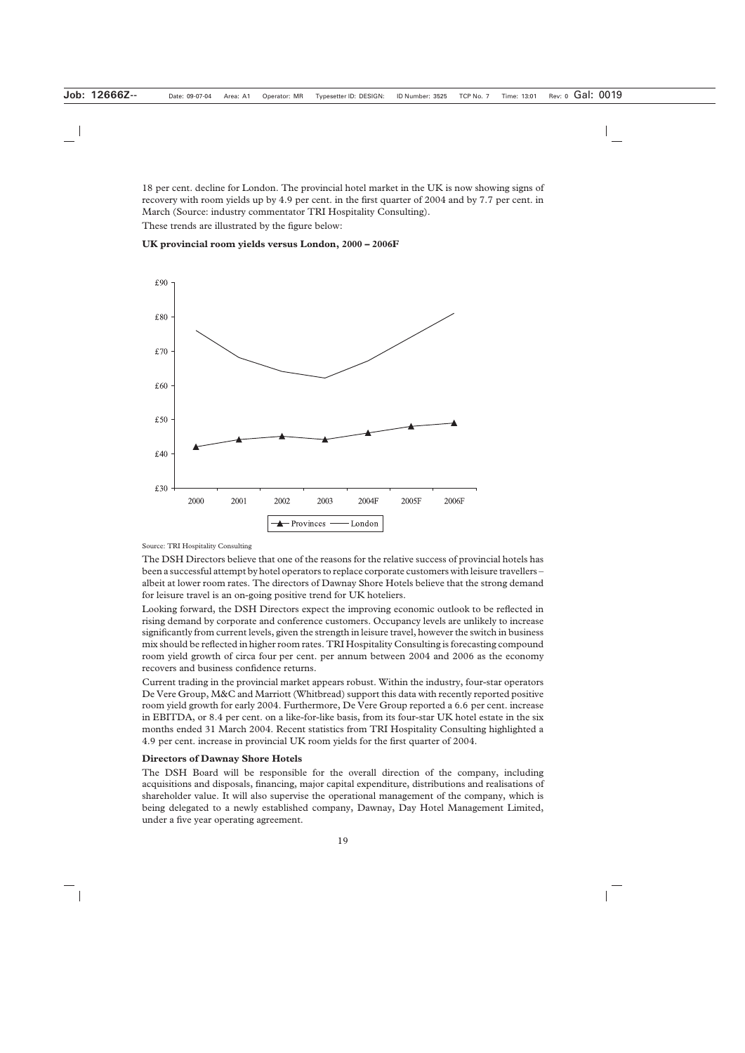18 per cent. decline for London. The provincial hotel market in the UK is now showing signs of recovery with room yields up by 4.9 per cent. in the first quarter of 2004 and by 7.7 per cent. in March (Source: industry commentator TRI Hospitality Consulting).

These trends are illustrated by the figure below:



#### **UK provincial room yields versus London, 2000 – 2006F**

Source: TRI Hospitality Consulting

The DSH Directors believe that one of the reasons for the relative success of provincial hotels has been a successful attempt by hotel operators to replace corporate customers with leisure travellers – albeit at lower room rates. The directors of Dawnay Shore Hotels believe that the strong demand for leisure travel is an on-going positive trend for UK hoteliers.

Looking forward, the DSH Directors expect the improving economic outlook to be reflected in rising demand by corporate and conference customers. Occupancy levels are unlikely to increase significantly from current levels, given the strength in leisure travel, however the switch in business mix should be reflected in higher room rates. TRI Hospitality Consulting is forecasting compound room yield growth of circa four per cent. per annum between 2004 and 2006 as the economy recovers and business confidence returns.

Current trading in the provincial market appears robust. Within the industry, four-star operators De Vere Group, M&C and Marriott (Whitbread) support this data with recently reported positive room yield growth for early 2004. Furthermore, De Vere Group reported a 6.6 per cent. increase in EBITDA, or 8.4 per cent. on a like-for-like basis, from its four-star UK hotel estate in the six months ended 31 March 2004. Recent statistics from TRI Hospitality Consulting highlighted a 4.9 per cent. increase in provincial UK room yields for the first quarter of 2004.

#### **Directors of Dawnay Shore Hotels**

The DSH Board will be responsible for the overall direction of the company, including acquisitions and disposals, financing, major capital expenditure, distributions and realisations of shareholder value. It will also supervise the operational management of the company, which is being delegated to a newly established company, Dawnay, Day Hotel Management Limited, under a five year operating agreement.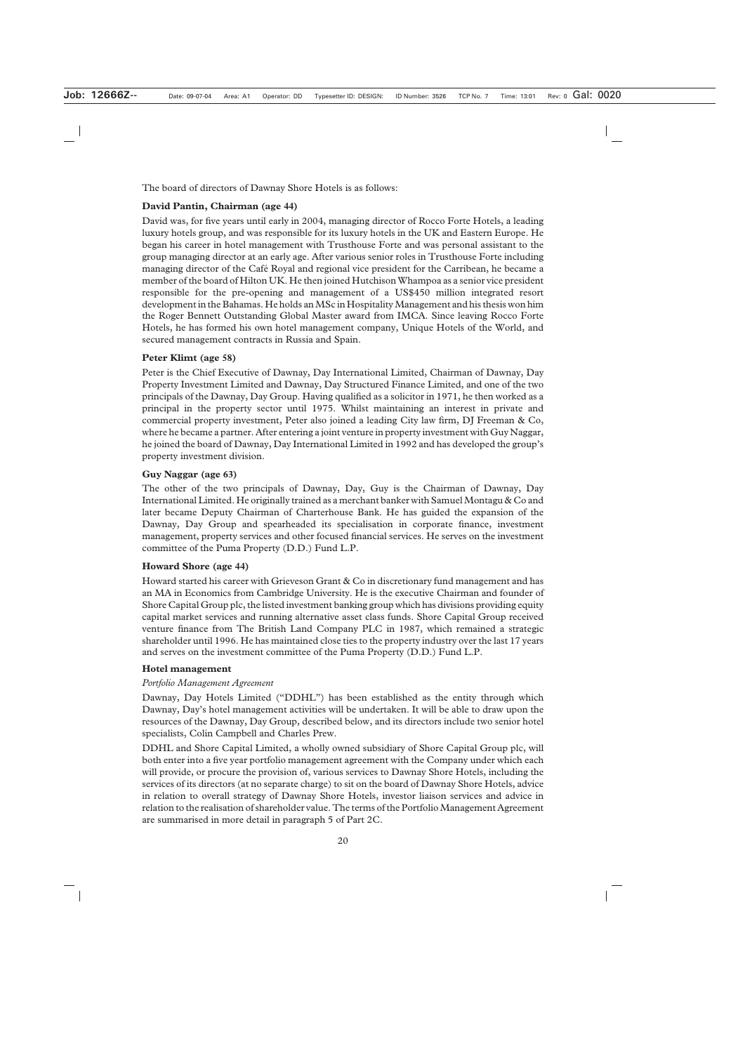The board of directors of Dawnay Shore Hotels is as follows:

## **David Pantin, Chairman (age 44)**

David was, for five years until early in 2004, managing director of Rocco Forte Hotels, a leading luxury hotels group, and was responsible for its luxury hotels in the UK and Eastern Europe. He began his career in hotel management with Trusthouse Forte and was personal assistant to the group managing director at an early age. After various senior roles in Trusthouse Forte including managing director of the Café Royal and regional vice president for the Carribean, he became a member of the board of Hilton UK. He then joined Hutchison Whampoa as a senior vice president responsible for the pre-opening and management of a US\$450 million integrated resort development in the Bahamas. He holds an MSc in Hospitality Management and his thesis won him the Roger Bennett Outstanding Global Master award from IMCA. Since leaving Rocco Forte Hotels, he has formed his own hotel management company, Unique Hotels of the World, and secured management contracts in Russia and Spain.

#### **Peter Klimt (age 58)**

Peter is the Chief Executive of Dawnay, Day International Limited, Chairman of Dawnay, Day Property Investment Limited and Dawnay, Day Structured Finance Limited, and one of the two principals of the Dawnay, Day Group. Having qualified as a solicitor in 1971, he then worked as a principal in the property sector until 1975. Whilst maintaining an interest in private and commercial property investment, Peter also joined a leading City law firm, DJ Freeman & Co, where he became a partner. After entering a joint venture in property investment with Guy Naggar, he joined the board of Dawnay, Day International Limited in 1992 and has developed the group's property investment division.

#### **Guy Naggar (age 63)**

The other of the two principals of Dawnay, Day, Guy is the Chairman of Dawnay, Day International Limited. He originally trained as a merchant banker with Samuel Montagu & Co and later became Deputy Chairman of Charterhouse Bank. He has guided the expansion of the Dawnay, Day Group and spearheaded its specialisation in corporate finance, investment management, property services and other focused financial services. He serves on the investment committee of the Puma Property (D.D.) Fund L.P.

#### **Howard Shore (age 44)**

Howard started his career with Grieveson Grant & Co in discretionary fund management and has an MA in Economics from Cambridge University. He is the executive Chairman and founder of Shore Capital Group plc, the listed investment banking group which has divisions providing equity capital market services and running alternative asset class funds. Shore Capital Group received venture finance from The British Land Company PLC in 1987, which remained a strategic shareholder until 1996. He has maintained close ties to the property industry over the last 17 years and serves on the investment committee of the Puma Property (D.D.) Fund L.P.

#### **Hotel management**

#### *Portfolio Management Agreement*

Dawnay, Day Hotels Limited ("DDHL") has been established as the entity through which Dawnay, Day's hotel management activities will be undertaken. It will be able to draw upon the resources of the Dawnay, Day Group, described below, and its directors include two senior hotel specialists, Colin Campbell and Charles Prew.

DDHL and Shore Capital Limited, a wholly owned subsidiary of Shore Capital Group plc, will both enter into a five year portfolio management agreement with the Company under which each will provide, or procure the provision of, various services to Dawnay Shore Hotels, including the services of its directors (at no separate charge) to sit on the board of Dawnay Shore Hotels, advice in relation to overall strategy of Dawnay Shore Hotels, investor liaison services and advice in relation to the realisation of shareholder value. The terms of the Portfolio Management Agreement are summarised in more detail in paragraph 5 of Part 2C.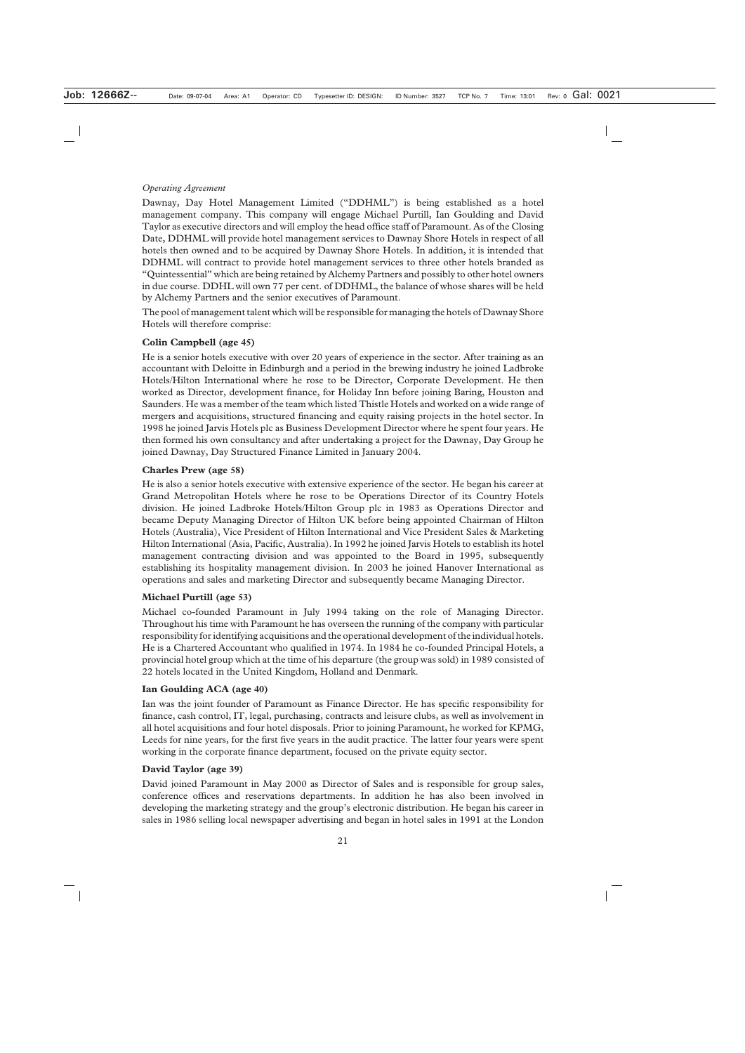# *Operating Agreement*

Dawnay, Day Hotel Management Limited ("DDHML") is being established as a hotel management company. This company will engage Michael Purtill, Ian Goulding and David Taylor as executive directors and will employ the head office staff of Paramount. As of the Closing Date, DDHML will provide hotel management services to Dawnay Shore Hotels in respect of all hotels then owned and to be acquired by Dawnay Shore Hotels. In addition, it is intended that DDHML will contract to provide hotel management services to three other hotels branded as "Quintessential" which are being retained by Alchemy Partners and possibly to other hotel owners in due course. DDHL will own 77 per cent. of DDHML, the balance of whose shares will be held by Alchemy Partners and the senior executives of Paramount.

The pool of management talent which will be responsible for managing the hotels of Dawnay Shore Hotels will therefore comprise:

#### **Colin Campbell (age 45)**

He is a senior hotels executive with over 20 years of experience in the sector. After training as an accountant with Deloitte in Edinburgh and a period in the brewing industry he joined Ladbroke Hotels/Hilton International where he rose to be Director, Corporate Development. He then worked as Director, development finance, for Holiday Inn before joining Baring, Houston and Saunders. He was a member of the team which listed Thistle Hotels and worked on a wide range of mergers and acquisitions, structured financing and equity raising projects in the hotel sector. In 1998 he joined Jarvis Hotels plc as Business Development Director where he spent four years. He then formed his own consultancy and after undertaking a project for the Dawnay, Day Group he joined Dawnay, Day Structured Finance Limited in January 2004.

#### **Charles Prew (age 58)**

He is also a senior hotels executive with extensive experience of the sector. He began his career at Grand Metropolitan Hotels where he rose to be Operations Director of its Country Hotels division. He joined Ladbroke Hotels/Hilton Group plc in 1983 as Operations Director and became Deputy Managing Director of Hilton UK before being appointed Chairman of Hilton Hotels (Australia), Vice President of Hilton International and Vice President Sales & Marketing Hilton International (Asia, Pacific, Australia). In 1992 he joined Jarvis Hotels to establish its hotel management contracting division and was appointed to the Board in 1995, subsequently establishing its hospitality management division. In 2003 he joined Hanover International as operations and sales and marketing Director and subsequently became Managing Director.

# **Michael Purtill (age 53)**

Michael co-founded Paramount in July 1994 taking on the role of Managing Director. Throughout his time with Paramount he has overseen the running of the company with particular responsibility for identifying acquisitions and the operational development of the individual hotels. He is a Chartered Accountant who qualified in 1974. In 1984 he co-founded Principal Hotels, a provincial hotel group which at the time of his departure (the group was sold) in 1989 consisted of 22 hotels located in the United Kingdom, Holland and Denmark.

#### **Ian Goulding ACA (age 40)**

Ian was the joint founder of Paramount as Finance Director. He has specific responsibility for finance, cash control, IT, legal, purchasing, contracts and leisure clubs, as well as involvement in all hotel acquisitions and four hotel disposals. Prior to joining Paramount, he worked for KPMG, Leeds for nine years, for the first five years in the audit practice. The latter four years were spent working in the corporate finance department, focused on the private equity sector.

#### **David Taylor (age 39)**

David joined Paramount in May 2000 as Director of Sales and is responsible for group sales, conference offices and reservations departments. In addition he has also been involved in developing the marketing strategy and the group's electronic distribution. He began his career in sales in 1986 selling local newspaper advertising and began in hotel sales in 1991 at the London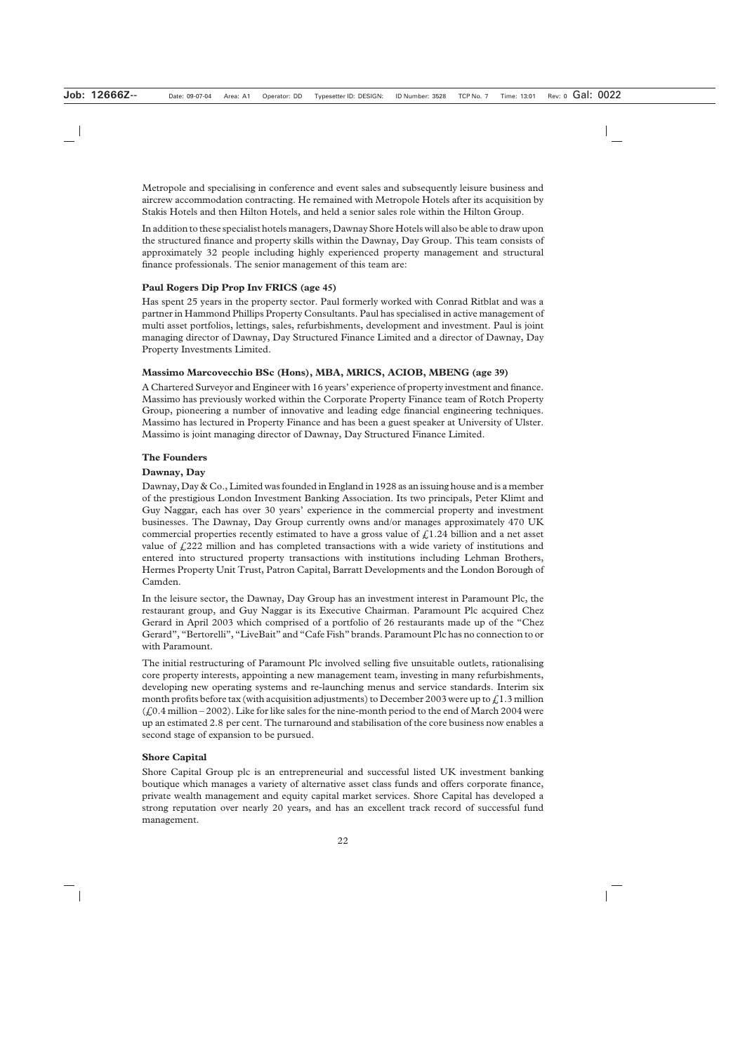Metropole and specialising in conference and event sales and subsequently leisure business and aircrew accommodation contracting. He remained with Metropole Hotels after its acquisition by Stakis Hotels and then Hilton Hotels, and held a senior sales role within the Hilton Group.

In addition to these specialist hotels managers, Dawnay Shore Hotels will also be able to draw upon the structured finance and property skills within the Dawnay, Day Group. This team consists of approximately 32 people including highly experienced property management and structural finance professionals. The senior management of this team are:

# **Paul Rogers Dip Prop Inv FRICS (age 45)**

Has spent 25 years in the property sector. Paul formerly worked with Conrad Ritblat and was a partner in Hammond Phillips Property Consultants. Paul has specialised in active management of multi asset portfolios, lettings, sales, refurbishments, development and investment. Paul is joint managing director of Dawnay, Day Structured Finance Limited and a director of Dawnay, Day Property Investments Limited.

# **Massimo Marcovecchio BSc (Hons), MBA, MRICS, ACIOB, MBENG (age 39)**

A Chartered Surveyor and Engineer with 16 years' experience of property investment and finance. Massimo has previously worked within the Corporate Property Finance team of Rotch Property Group, pioneering a number of innovative and leading edge financial engineering techniques. Massimo has lectured in Property Finance and has been a guest speaker at University of Ulster. Massimo is joint managing director of Dawnay, Day Structured Finance Limited.

# **The Founders**

# **Dawnay, Day**

Dawnay, Day & Co., Limited was founded in England in 1928 as an issuing house and is a member of the prestigious London Investment Banking Association. Its two principals, Peter Klimt and Guy Naggar, each has over 30 years' experience in the commercial property and investment businesses. The Dawnay, Day Group currently owns and/or manages approximately 470 UK commercial properties recently estimated to have a gross value of  $\mathcal{L}1.24$  billion and a net asset value of  $\text{\emph{L}}222$  million and has completed transactions with a wide variety of institutions and entered into structured property transactions with institutions including Lehman Brothers, Hermes Property Unit Trust, Patron Capital, Barratt Developments and the London Borough of Camden.

In the leisure sector, the Dawnay, Day Group has an investment interest in Paramount Plc, the restaurant group, and Guy Naggar is its Executive Chairman. Paramount Plc acquired Chez Gerard in April 2003 which comprised of a portfolio of 26 restaurants made up of the "Chez Gerard", "Bertorelli", "LiveBait" and "Cafe Fish" brands. Paramount Plc has no connection to or with Paramount.

The initial restructuring of Paramount Plc involved selling five unsuitable outlets, rationalising core property interests, appointing a new management team, investing in many refurbishments, developing new operating systems and re-launching menus and service standards. Interim six month profits before tax (with acquisition adjustments) to December 2003 were up to  $\mathcal{L}1.3$  million  $(6.0.4 \text{ million} - 2002)$ . Like for like sales for the nine-month period to the end of March 2004 were up an estimated 2.8 per cent. The turnaround and stabilisation of the core business now enables a second stage of expansion to be pursued.

#### **Shore Capital**

Shore Capital Group plc is an entrepreneurial and successful listed UK investment banking boutique which manages a variety of alternative asset class funds and offers corporate finance, private wealth management and equity capital market services. Shore Capital has developed a strong reputation over nearly 20 years, and has an excellent track record of successful fund management.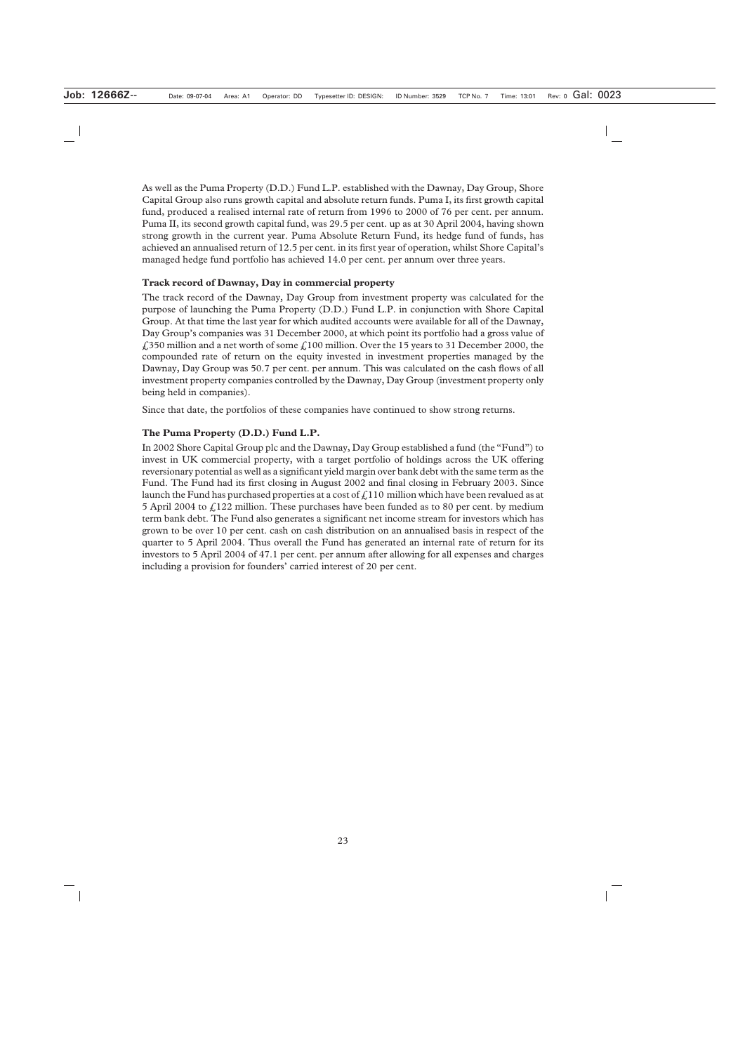As well as the Puma Property (D.D.) Fund L.P. established with the Dawnay, Day Group, Shore Capital Group also runs growth capital and absolute return funds. Puma I, its first growth capital fund, produced a realised internal rate of return from 1996 to 2000 of 76 per cent. per annum. Puma II, its second growth capital fund, was 29.5 per cent. up as at 30 April 2004, having shown strong growth in the current year. Puma Absolute Return Fund, its hedge fund of funds, has achieved an annualised return of 12.5 per cent. in its first year of operation, whilst Shore Capital's managed hedge fund portfolio has achieved 14.0 per cent. per annum over three years.

## **Track record of Dawnay, Day in commercial property**

The track record of the Dawnay, Day Group from investment property was calculated for the purpose of launching the Puma Property (D.D.) Fund L.P. in conjunction with Shore Capital Group. At that time the last year for which audited accounts were available for all of the Dawnay, Day Group's companies was 31 December 2000, at which point its portfolio had a gross value of £350 million and a net worth of some £100 million. Over the 15 years to 31 December 2000, the compounded rate of return on the equity invested in investment properties managed by the Dawnay, Day Group was 50.7 per cent. per annum. This was calculated on the cash flows of all investment property companies controlled by the Dawnay, Day Group (investment property only being held in companies).

Since that date, the portfolios of these companies have continued to show strong returns.

# **The Puma Property (D.D.) Fund L.P.**

In 2002 Shore Capital Group plc and the Dawnay, Day Group established a fund (the "Fund") to invest in UK commercial property, with a target portfolio of holdings across the UK offering reversionary potential as well as a significant yield margin over bank debt with the same term as the Fund. The Fund had its first closing in August 2002 and final closing in February 2003. Since launch the Fund has purchased properties at a cost of  $\hat{f}$  110 million which have been revalued as at 5 April 2004 to  $\text{\textsterling}122$  million. These purchases have been funded as to 80 per cent. by medium term bank debt. The Fund also generates a significant net income stream for investors which has grown to be over 10 per cent. cash on cash distribution on an annualised basis in respect of the quarter to 5 April 2004. Thus overall the Fund has generated an internal rate of return for its investors to 5 April 2004 of 47.1 per cent. per annum after allowing for all expenses and charges including a provision for founders' carried interest of 20 per cent.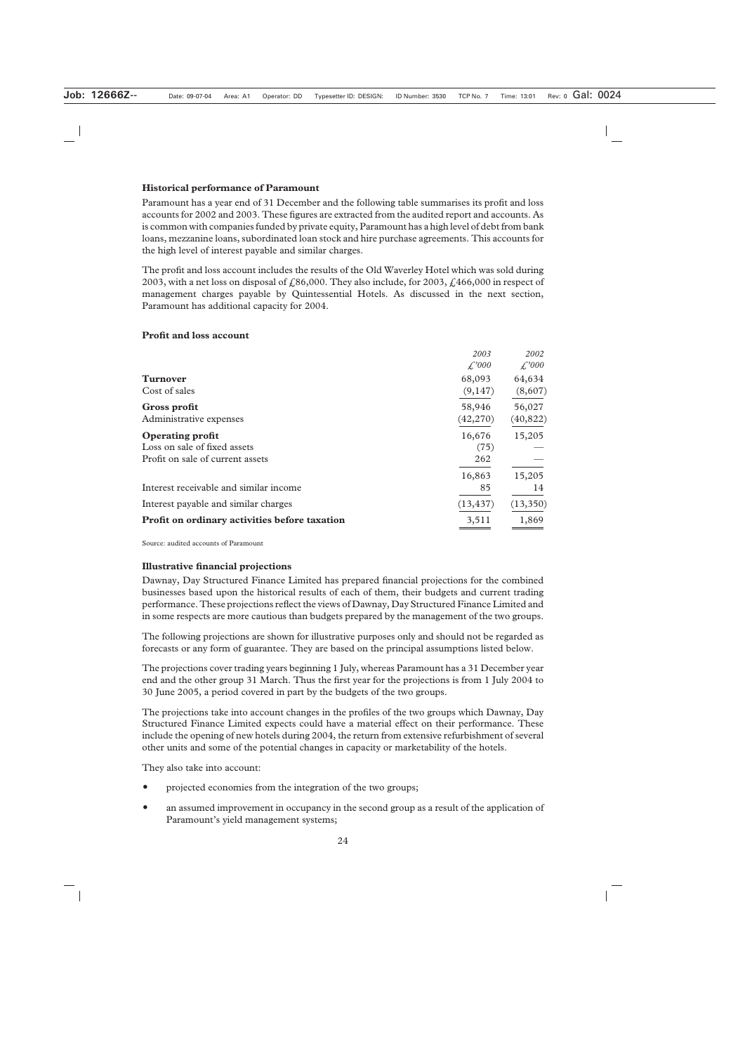#### **Historical performance of Paramount**

Paramount has a year end of 31 December and the following table summarises its profit and loss accounts for 2002 and 2003. These figures are extracted from the audited report and accounts. As is common with companies funded by private equity, Paramount has a high level of debt from bank loans, mezzanine loans, subordinated loan stock and hire purchase agreements. This accounts for the high level of interest payable and similar charges.

The profit and loss account includes the results of the Old Waverley Hotel which was sold during 2003, with a net loss on disposal of  $\ell$ , 86,000. They also include, for 2003,  $\ell$ , 466,000 in respect of management charges payable by Quintessential Hotels. As discussed in the next section, Paramount has additional capacity for 2004.

# **Profit and loss account**

|                                               | 2003<br>$\mathcal{L}^{000}$ | 2002<br>$\mathcal{L}^2000$ |
|-----------------------------------------------|-----------------------------|----------------------------|
| <b>Turnover</b>                               | 68,093                      | 64,634                     |
| Cost of sales                                 | (9,147)                     | (8,607)                    |
| Gross profit                                  | 58,946                      | 56,027                     |
| Administrative expenses                       | (42, 270)                   | (40, 822)                  |
| <b>Operating profit</b>                       | 16,676                      | 15,205                     |
| Loss on sale of fixed assets                  | (75)                        |                            |
| Profit on sale of current assets              | 262                         |                            |
|                                               | 16,863                      | 15,205                     |
| Interest receivable and similar income        | 85                          | 14                         |
| Interest payable and similar charges          | (13, 437)                   | (13,350)                   |
| Profit on ordinary activities before taxation | 3,511                       | 1,869                      |

Source: audited accounts of Paramount

# **Illustrative financial projections**

Dawnay, Day Structured Finance Limited has prepared financial projections for the combined businesses based upon the historical results of each of them, their budgets and current trading performance. These projections reflect the views of Dawnay, Day Structured Finance Limited and in some respects are more cautious than budgets prepared by the management of the two groups.

The following projections are shown for illustrative purposes only and should not be regarded as forecasts or any form of guarantee. They are based on the principal assumptions listed below.

The projections cover trading years beginning 1 July, whereas Paramount has a 31 December year end and the other group 31 March. Thus the first year for the projections is from 1 July 2004 to 30 June 2005, a period covered in part by the budgets of the two groups.

The projections take into account changes in the profiles of the two groups which Dawnay, Day Structured Finance Limited expects could have a material effect on their performance. These include the opening of new hotels during 2004, the return from extensive refurbishment of several other units and some of the potential changes in capacity or marketability of the hotels.

They also take into account:

- projected economies from the integration of the two groups;
- an assumed improvement in occupancy in the second group as a result of the application of Paramount's yield management systems;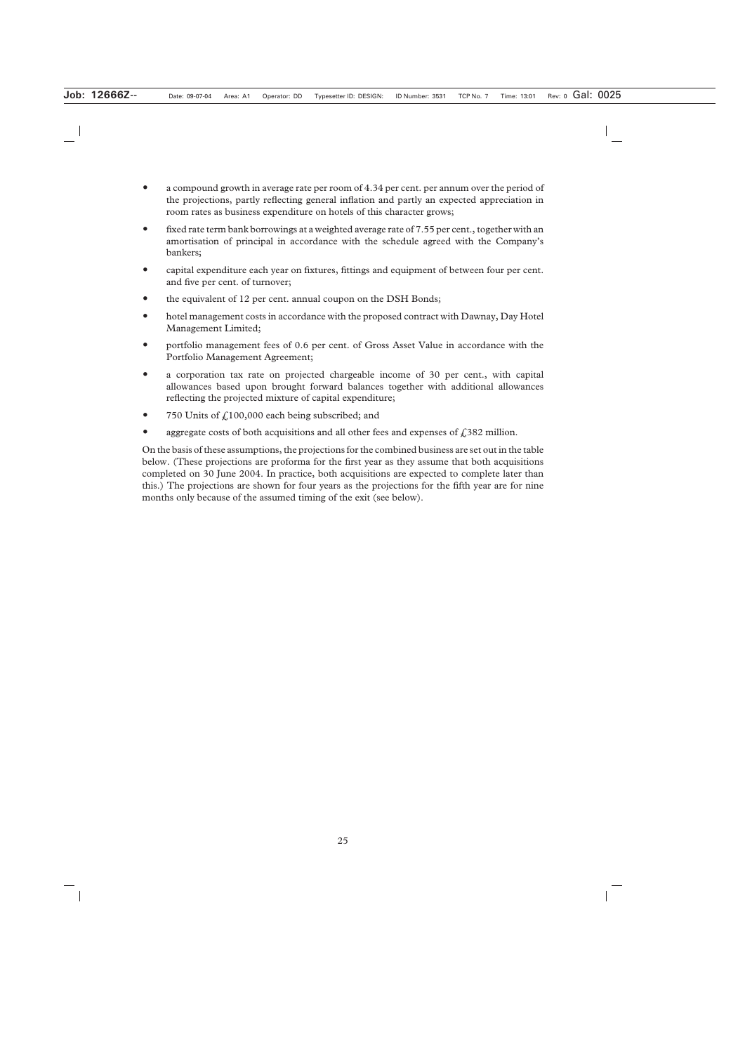- a compound growth in average rate per room of 4.34 per cent. per annum over the period of the projections, partly reflecting general inflation and partly an expected appreciation in room rates as business expenditure on hotels of this character grows;
- fixed rate term bank borrowings at a weighted average rate of 7.55 per cent., together with an amortisation of principal in accordance with the schedule agreed with the Company's bankers;
- capital expenditure each year on fixtures, fittings and equipment of between four per cent. and five per cent. of turnover;
- the equivalent of 12 per cent. annual coupon on the DSH Bonds;
- hotel management costs in accordance with the proposed contract with Dawnay, Day Hotel Management Limited;
- portfolio management fees of 0.6 per cent. of Gross Asset Value in accordance with the Portfolio Management Agreement;
- a corporation tax rate on projected chargeable income of 30 per cent., with capital allowances based upon brought forward balances together with additional allowances reflecting the projected mixture of capital expenditure;
- 750 Units of  $f(100,000)$  each being subscribed; and
- aggregate costs of both acquisitions and all other fees and expenses of  $\ell$ , 382 million.

On the basis of these assumptions, the projections for the combined business are set out in the table below. (These projections are proforma for the first year as they assume that both acquisitions completed on 30 June 2004. In practice, both acquisitions are expected to complete later than this.) The projections are shown for four years as the projections for the fifth year are for nine months only because of the assumed timing of the exit (see below).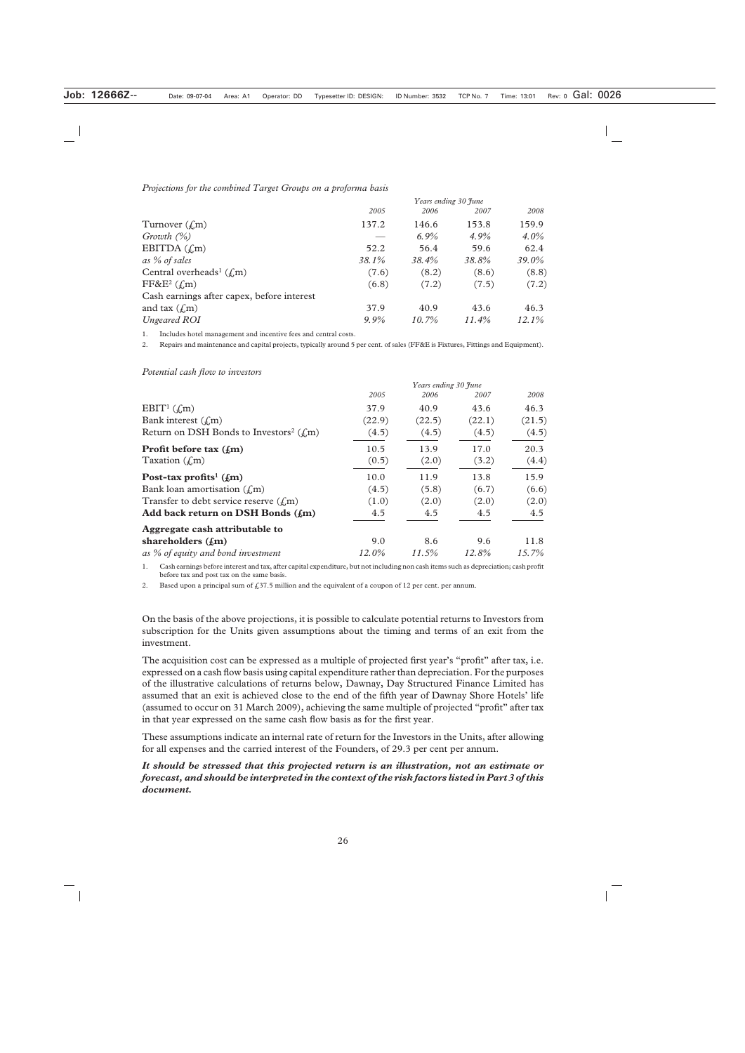#### *Projections for the combined Target Groups on a proforma basis*

| Years ending 30 June |          |          |          |
|----------------------|----------|----------|----------|
| 2005                 | 2006     | 2007     | 2008     |
| 137.2                | 146.6    | 153.8    | 159.9    |
|                      | $6.9\%$  | $4.9\%$  | $4.0\%$  |
| 52.2                 | 56.4     | 59.6     | 62.4     |
| 38.1%                | 38.4%    | 38.8%    | 39.0%    |
| (7.6)                | (8.2)    | (8.6)    | (8.8)    |
| (6.8)                | (7.2)    | (7.5)    | (7.2)    |
|                      |          |          |          |
| 37.9                 | 40.9     | 43.6     | 46.3     |
| $9.9\%$              | $10.7\%$ | $11.4\%$ | $12.1\%$ |
|                      |          |          |          |

1. Includes hotel management and incentive fees and central costs.

2. Repairs and maintenance and capital projects, typically around 5 per cent. of sales (FF&E is Fixtures, Fittings and Equipment).

#### *Potential cash flow to investors*

|                                                        | Years ending 30 June |        |        |          |
|--------------------------------------------------------|----------------------|--------|--------|----------|
|                                                        | 2005                 | 2006   | 2007   | 2008     |
| EBIT <sup>1</sup> $(\text{\textsterling} m)$           | 37.9                 | 40.9   | 43.6   | 46.3     |
| Bank interest $(f_m)$                                  | (22.9)               | (22.5) | (22.1) | (21.5)   |
| Return on DSH Bonds to Investors <sup>2</sup> ( $f$ m) | (4.5)                | (4.5)  | (4.5)  | (4.5)    |
| Profit before tax $(f_m)$                              | 10.5                 | 13.9   | 17.0   | 20.3     |
| Taxation $(f,m)$                                       | (0.5)                | (2.0)  | (3.2)  | (4.4)    |
| Post-tax profits <sup>1</sup> $(f_m)$                  | 10.0                 | 11.9   | 13.8   | 15.9     |
| Bank loan amortisation $(f_m)$                         | (4.5)                | (5.8)  | (6.7)  | (6.6)    |
| Transfer to debt service reserve $(f_m)$               | (1.0)                | (2.0)  | (2.0)  | (2.0)    |
| Add back return on DSH Bonds $(f_m)$                   | 4.5                  | 4.5    | 4.5    | 4.5      |
| Aggregate cash attributable to                         |                      |        |        |          |
| shareholders $(f_m)$                                   | 9.0                  | 8.6    | 9.6    | 11.8     |
| as % of equity and bond investment                     | 12.0%                | 11.5%  | 12.8%  | $15.7\%$ |

1. Cash earnings before interest and tax, after capital expenditure, but not including non cash items such as depreciation; cash profit before tax and post tax on the same basis.

2. Based upon a principal sum of  $\text{\textsterling}37.5$  million and the equivalent of a coupon of 12 per cent. per annum.

On the basis of the above projections, it is possible to calculate potential returns to Investors from subscription for the Units given assumptions about the timing and terms of an exit from the investment.

The acquisition cost can be expressed as a multiple of projected first year's "profit" after tax, i.e. expressed on a cash flow basis using capital expenditure rather than depreciation. For the purposes of the illustrative calculations of returns below, Dawnay, Day Structured Finance Limited has assumed that an exit is achieved close to the end of the fifth year of Dawnay Shore Hotels' life (assumed to occur on 31 March 2009), achieving the same multiple of projected "profit" after tax in that year expressed on the same cash flow basis as for the first year.

These assumptions indicate an internal rate of return for the Investors in the Units, after allowing for all expenses and the carried interest of the Founders, of 29.3 per cent per annum.

## *It should be stressed that this projected return is an illustration, not an estimate or forecast, and should be interpreted in the context of the risk factors listed in Part 3 of this document.*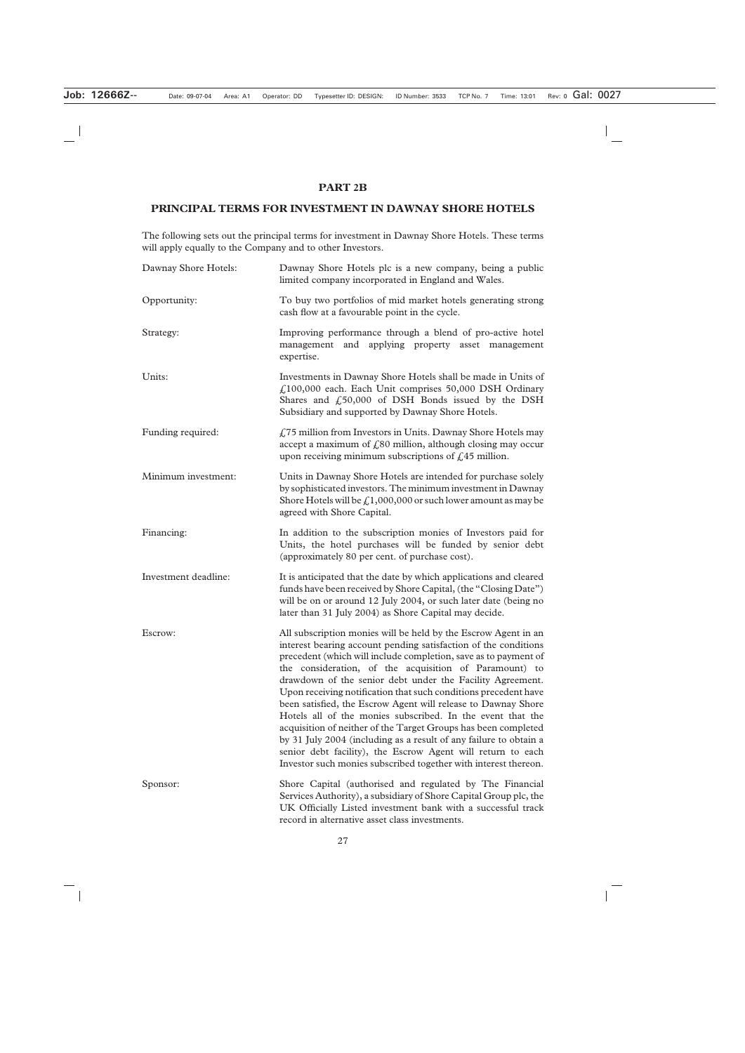# **PART 2B**

## **PRINCIPAL TERMS FOR INVESTMENT IN DAWNAY SHORE HOTELS**

The following sets out the principal terms for investment in Dawnay Shore Hotels. These terms will apply equally to the Company and to other Investors.

| Dawnay Shore Hotels: | Dawnay Shore Hotels plc is a new company, being a public<br>limited company incorporated in England and Wales.                                                                                                                                                                                                                                                                                                                                                                                                                                                                                                                                                                                                                                                                                         |  |
|----------------------|--------------------------------------------------------------------------------------------------------------------------------------------------------------------------------------------------------------------------------------------------------------------------------------------------------------------------------------------------------------------------------------------------------------------------------------------------------------------------------------------------------------------------------------------------------------------------------------------------------------------------------------------------------------------------------------------------------------------------------------------------------------------------------------------------------|--|
| Opportunity:         | To buy two portfolios of mid market hotels generating strong<br>cash flow at a favourable point in the cycle.                                                                                                                                                                                                                                                                                                                                                                                                                                                                                                                                                                                                                                                                                          |  |
| Strategy:            | Improving performance through a blend of pro-active hotel<br>management and applying property asset management<br>expertise.                                                                                                                                                                                                                                                                                                                                                                                                                                                                                                                                                                                                                                                                           |  |
| Units:               | Investments in Dawnay Shore Hotels shall be made in Units of<br>£100,000 each. Each Unit comprises 50,000 DSH Ordinary<br>Shares and $\text{\textsterling}50,000$ of DSH Bonds issued by the DSH<br>Subsidiary and supported by Dawnay Shore Hotels.                                                                                                                                                                                                                                                                                                                                                                                                                                                                                                                                                   |  |
| Funding required:    | $\sqrt{275}$ million from Investors in Units. Dawnay Shore Hotels may<br>accept a maximum of $f_s$ 80 million, although closing may occur<br>upon receiving minimum subscriptions of $\text{\pounds}45$ million.                                                                                                                                                                                                                                                                                                                                                                                                                                                                                                                                                                                       |  |
| Minimum investment:  | Units in Dawnay Shore Hotels are intended for purchase solely<br>by sophisticated investors. The minimum investment in Dawnay<br>Shore Hotels will be $\mathcal{L}1,000,000$ or such lower amount as may be<br>agreed with Shore Capital.                                                                                                                                                                                                                                                                                                                                                                                                                                                                                                                                                              |  |
| Financing:           | In addition to the subscription monies of Investors paid for<br>Units, the hotel purchases will be funded by senior debt<br>(approximately 80 per cent. of purchase cost).                                                                                                                                                                                                                                                                                                                                                                                                                                                                                                                                                                                                                             |  |
| Investment deadline: | It is anticipated that the date by which applications and cleared<br>funds have been received by Shore Capital, (the "Closing Date")<br>will be on or around 12 July 2004, or such later date (being no<br>later than 31 July 2004) as Shore Capital may decide.                                                                                                                                                                                                                                                                                                                                                                                                                                                                                                                                       |  |
| Escrow:              | All subscription monies will be held by the Escrow Agent in an<br>interest bearing account pending satisfaction of the conditions<br>precedent (which will include completion, save as to payment of<br>the consideration, of the acquisition of Paramount) to<br>drawdown of the senior debt under the Facility Agreement.<br>Upon receiving notification that such conditions precedent have<br>been satisfied, the Escrow Agent will release to Dawnay Shore<br>Hotels all of the monies subscribed. In the event that the<br>acquisition of neither of the Target Groups has been completed<br>by 31 July 2004 (including as a result of any failure to obtain a<br>senior debt facility), the Escrow Agent will return to each<br>Investor such monies subscribed together with interest thereon. |  |
| Sponsor:             | Shore Capital (authorised and regulated by The Financial<br>Services Authority), a subsidiary of Shore Capital Group plc, the<br>UK Officially Listed investment bank with a successful track<br>record in alternative asset class investments.                                                                                                                                                                                                                                                                                                                                                                                                                                                                                                                                                        |  |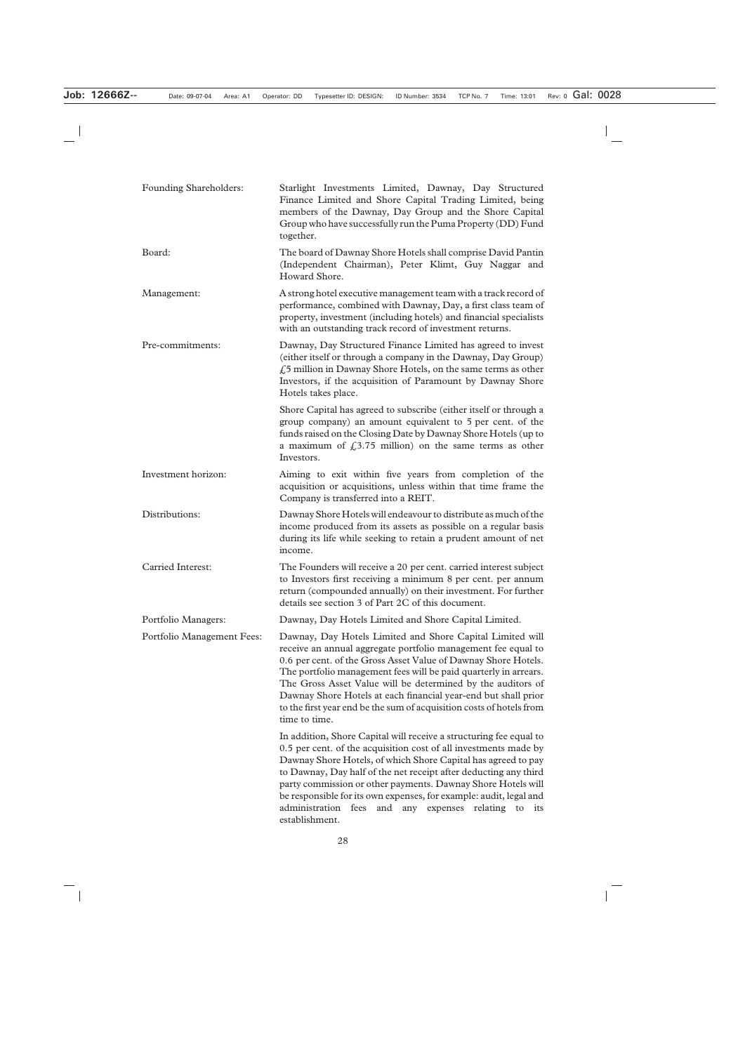| Founding Shareholders:     | Starlight Investments Limited, Dawnay, Day Structured<br>Finance Limited and Shore Capital Trading Limited, being<br>members of the Dawnay, Day Group and the Shore Capital<br>Group who have successfully run the Puma Property (DD) Fund<br>together.                                                                                                                                                                                                                                           |
|----------------------------|---------------------------------------------------------------------------------------------------------------------------------------------------------------------------------------------------------------------------------------------------------------------------------------------------------------------------------------------------------------------------------------------------------------------------------------------------------------------------------------------------|
| Board:                     | The board of Dawnay Shore Hotels shall comprise David Pantin<br>(Independent Chairman), Peter Klimt, Guy Naggar and<br>Howard Shore.                                                                                                                                                                                                                                                                                                                                                              |
| Management:                | A strong hotel executive management team with a track record of<br>performance, combined with Dawnay, Day, a first class team of<br>property, investment (including hotels) and financial specialists<br>with an outstanding track record of investment returns.                                                                                                                                                                                                                                  |
| Pre-commitments:           | Dawnay, Day Structured Finance Limited has agreed to invest<br>(either itself or through a company in the Dawnay, Day Group)<br>$f_{\rm s}$ 5 million in Dawnay Shore Hotels, on the same terms as other<br>Investors, if the acquisition of Paramount by Dawnay Shore<br>Hotels takes place.                                                                                                                                                                                                     |
|                            | Shore Capital has agreed to subscribe (either itself or through a<br>group company) an amount equivalent to 5 per cent. of the<br>funds raised on the Closing Date by Dawnay Shore Hotels (up to<br>a maximum of $\text{\textsterling}3.75$ million) on the same terms as other<br>Investors.                                                                                                                                                                                                     |
| Investment horizon:        | Aiming to exit within five years from completion of the<br>acquisition or acquisitions, unless within that time frame the<br>Company is transferred into a REIT.                                                                                                                                                                                                                                                                                                                                  |
| Distributions:             | Dawnay Shore Hotels will endeavour to distribute as much of the<br>income produced from its assets as possible on a regular basis<br>during its life while seeking to retain a prudent amount of net<br>income.                                                                                                                                                                                                                                                                                   |
| Carried Interest:          | The Founders will receive a 20 per cent. carried interest subject<br>to Investors first receiving a minimum 8 per cent. per annum<br>return (compounded annually) on their investment. For further<br>details see section 3 of Part 2C of this document.                                                                                                                                                                                                                                          |
| Portfolio Managers:        | Dawnay, Day Hotels Limited and Shore Capital Limited.                                                                                                                                                                                                                                                                                                                                                                                                                                             |
| Portfolio Management Fees: | Dawnay, Day Hotels Limited and Shore Capital Limited will<br>receive an annual aggregate portfolio management fee equal to<br>0.6 per cent. of the Gross Asset Value of Dawnay Shore Hotels.<br>The portfolio management fees will be paid quarterly in arrears.<br>The Gross Asset Value will be determined by the auditors of<br>Dawnay Shore Hotels at each financial year-end but shall prior<br>to the first year end be the sum of acquisition costs of hotels from<br>time to time.        |
|                            | In addition, Shore Capital will receive a structuring fee equal to<br>0.5 per cent. of the acquisition cost of all investments made by<br>Dawnay Shore Hotels, of which Shore Capital has agreed to pay<br>to Dawnay, Day half of the net receipt after deducting any third<br>party commission or other payments. Dawnay Shore Hotels will<br>be responsible for its own expenses, for example: audit, legal and<br>and<br>administration fees<br>any expenses relating to its<br>establishment. |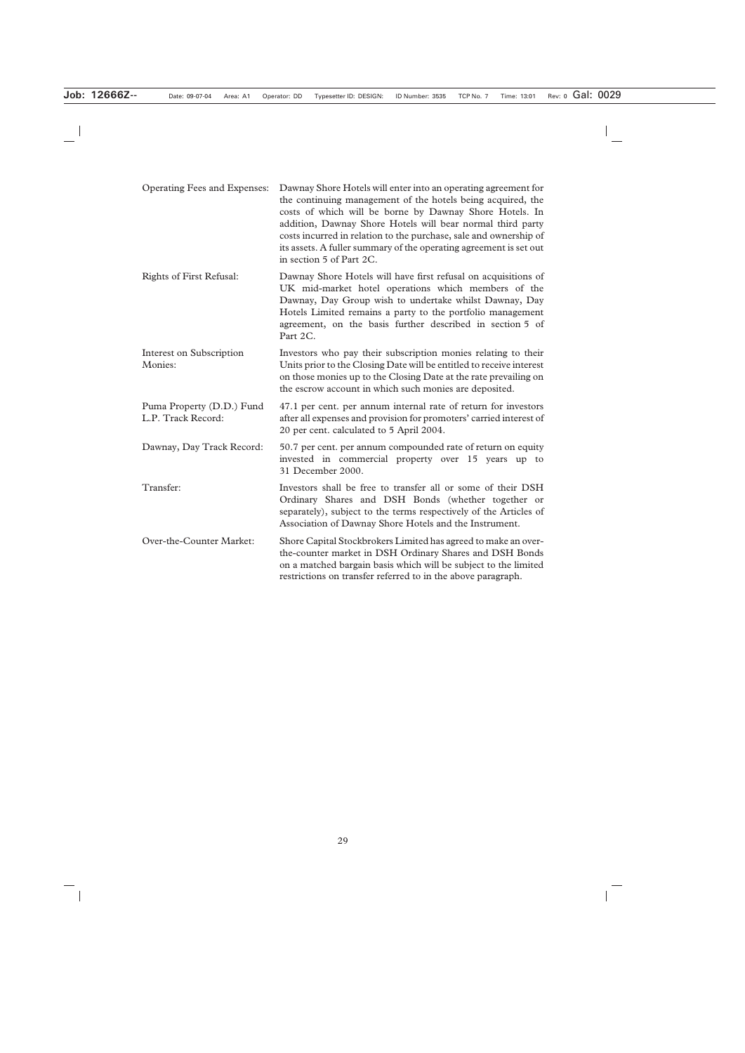| Operating Fees and Expenses:                    | Dawnay Shore Hotels will enter into an operating agreement for<br>the continuing management of the hotels being acquired, the<br>costs of which will be borne by Dawnay Shore Hotels. In<br>addition, Dawnay Shore Hotels will bear normal third party<br>costs incurred in relation to the purchase, sale and ownership of<br>its assets. A fuller summary of the operating agreement is set out<br>in section 5 of Part 2C. |
|-------------------------------------------------|-------------------------------------------------------------------------------------------------------------------------------------------------------------------------------------------------------------------------------------------------------------------------------------------------------------------------------------------------------------------------------------------------------------------------------|
| <b>Rights of First Refusal:</b>                 | Dawnay Shore Hotels will have first refusal on acquisitions of<br>UK mid-market hotel operations which members of the<br>Dawnay, Day Group wish to undertake whilst Dawnay, Day<br>Hotels Limited remains a party to the portfolio management<br>agreement, on the basis further described in section 5 of<br>Part 2C.                                                                                                        |
| <b>Interest on Subscription</b><br>Monies:      | Investors who pay their subscription monies relating to their<br>Units prior to the Closing Date will be entitled to receive interest<br>on those monies up to the Closing Date at the rate prevailing on<br>the escrow account in which such monies are deposited.                                                                                                                                                           |
| Puma Property (D.D.) Fund<br>L.P. Track Record: | 47.1 per cent. per annum internal rate of return for investors<br>after all expenses and provision for promoters' carried interest of<br>20 per cent. calculated to 5 April 2004.                                                                                                                                                                                                                                             |
| Dawnay, Day Track Record:                       | 50.7 per cent. per annum compounded rate of return on equity<br>invested in commercial property over 15 years up to<br>31 December 2000.                                                                                                                                                                                                                                                                                      |
| Transfer:                                       | Investors shall be free to transfer all or some of their DSH<br>Ordinary Shares and DSH Bonds (whether together or<br>separately), subject to the terms respectively of the Articles of<br>Association of Dawnay Shore Hotels and the Instrument.                                                                                                                                                                             |
| Over-the-Counter Market:                        | Shore Capital Stockbrokers Limited has agreed to make an over-<br>the-counter market in DSH Ordinary Shares and DSH Bonds<br>on a matched bargain basis which will be subject to the limited<br>restrictions on transfer referred to in the above paragraph.                                                                                                                                                                  |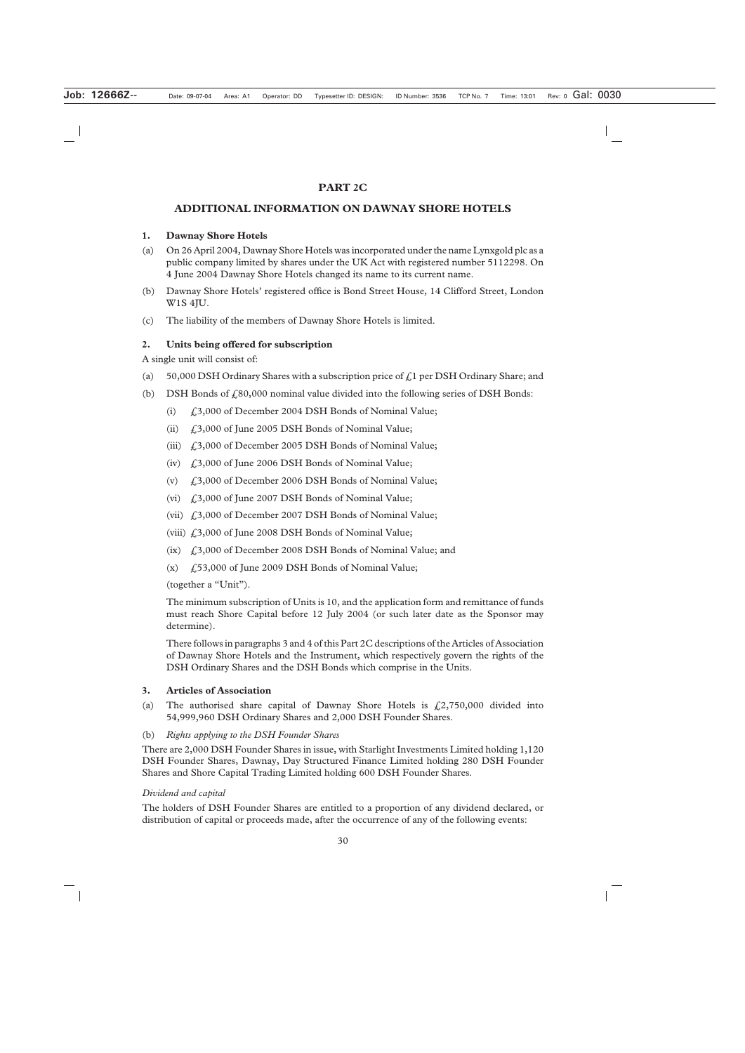## **PART 2C**

# **ADDITIONAL INFORMATION ON DAWNAY SHORE HOTELS**

#### **1. Dawnay Shore Hotels**

- (a) On 26 April 2004, Dawnay Shore Hotels was incorporated under the name Lynxgold plc as a public company limited by shares under the UK Act with registered number 5112298. On 4 June 2004 Dawnay Shore Hotels changed its name to its current name.
- (b) Dawnay Shore Hotels' registered office is Bond Street House, 14 Clifford Street, London W1S 4JU.
- (c) The liability of the members of Dawnay Shore Hotels is limited.

#### **2. Units being offered for subscription**

A single unit will consist of:

- (a) 50,000 DSH Ordinary Shares with a subscription price of  $\ell$  per DSH Ordinary Share; and
- (b) DSH Bonds of  $\text{\textsterling}80,000$  nominal value divided into the following series of DSH Bonds:
	- (i) £3,000 of December 2004 DSH Bonds of Nominal Value;
	- (ii)  $\int_{0}^{3}$ ,000 of June 2005 DSH Bonds of Nominal Value;
	- (iii) £3,000 of December 2005 DSH Bonds of Nominal Value;
	- (iv) £3,000 of June 2006 DSH Bonds of Nominal Value;
	- (v) £3,000 of December 2006 DSH Bonds of Nominal Value;
	- (vi) £3,000 of June 2007 DSH Bonds of Nominal Value;
	- (vii) £3,000 of December 2007 DSH Bonds of Nominal Value;
	- (viii) £3,000 of June 2008 DSH Bonds of Nominal Value;
	- (ix) £3,000 of December 2008 DSH Bonds of Nominal Value; and
	- $(x)$   $f_{15}$ ,000 of June 2009 DSH Bonds of Nominal Value;

(together a "Unit").

The minimum subscription of Units is 10, and the application form and remittance of funds must reach Shore Capital before 12 July 2004 (or such later date as the Sponsor may determine).

There follows in paragraphs 3 and 4 of this Part 2C descriptions of the Articles of Association of Dawnay Shore Hotels and the Instrument, which respectively govern the rights of the DSH Ordinary Shares and the DSH Bonds which comprise in the Units.

#### **3. Articles of Association**

- (a) The authorised share capital of Dawnay Shore Hotels is  $\mathcal{L}2,750,000$  divided into 54,999,960 DSH Ordinary Shares and 2,000 DSH Founder Shares.
- (b) *Rights applying to the DSH Founder Shares*

There are 2,000 DSH Founder Shares in issue, with Starlight Investments Limited holding 1,120 DSH Founder Shares, Dawnay, Day Structured Finance Limited holding 280 DSH Founder Shares and Shore Capital Trading Limited holding 600 DSH Founder Shares.

#### *Dividend and capital*

The holders of DSH Founder Shares are entitled to a proportion of any dividend declared, or distribution of capital or proceeds made, after the occurrence of any of the following events: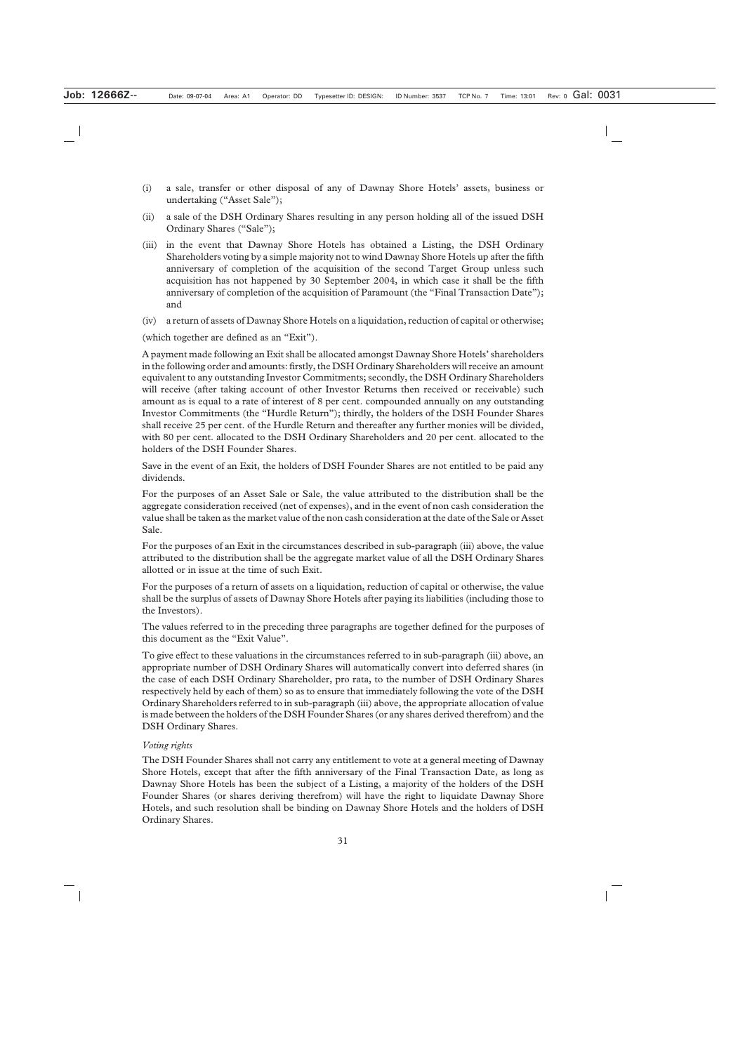- (i) a sale, transfer or other disposal of any of Dawnay Shore Hotels' assets, business or undertaking ("Asset Sale");
- (ii) a sale of the DSH Ordinary Shares resulting in any person holding all of the issued DSH Ordinary Shares ("Sale");
- (iii) in the event that Dawnay Shore Hotels has obtained a Listing, the DSH Ordinary Shareholders voting by a simple majority not to wind Dawnay Shore Hotels up after the fifth anniversary of completion of the acquisition of the second Target Group unless such acquisition has not happened by 30 September 2004, in which case it shall be the fifth anniversary of completion of the acquisition of Paramount (the "Final Transaction Date"); and
- (iv) a return of assets of Dawnay Shore Hotels on a liquidation, reduction of capital or otherwise;

(which together are defined as an "Exit").

A payment made following an Exit shall be allocated amongst Dawnay Shore Hotels' shareholders in the following order and amounts: firstly, the DSH Ordinary Shareholders will receive an amount equivalent to any outstanding Investor Commitments; secondly, the DSH Ordinary Shareholders will receive (after taking account of other Investor Returns then received or receivable) such amount as is equal to a rate of interest of 8 per cent. compounded annually on any outstanding Investor Commitments (the "Hurdle Return"); thirdly, the holders of the DSH Founder Shares shall receive 25 per cent. of the Hurdle Return and thereafter any further monies will be divided, with 80 per cent. allocated to the DSH Ordinary Shareholders and 20 per cent. allocated to the holders of the DSH Founder Shares.

Save in the event of an Exit, the holders of DSH Founder Shares are not entitled to be paid any dividends.

For the purposes of an Asset Sale or Sale, the value attributed to the distribution shall be the aggregate consideration received (net of expenses), and in the event of non cash consideration the value shall be taken as the market value of the non cash consideration at the date of the Sale or Asset Sale.

For the purposes of an Exit in the circumstances described in sub-paragraph (iii) above, the value attributed to the distribution shall be the aggregate market value of all the DSH Ordinary Shares allotted or in issue at the time of such Exit.

For the purposes of a return of assets on a liquidation, reduction of capital or otherwise, the value shall be the surplus of assets of Dawnay Shore Hotels after paying its liabilities (including those to the Investors).

The values referred to in the preceding three paragraphs are together defined for the purposes of this document as the "Exit Value".

To give effect to these valuations in the circumstances referred to in sub-paragraph (iii) above, an appropriate number of DSH Ordinary Shares will automatically convert into deferred shares (in the case of each DSH Ordinary Shareholder, pro rata, to the number of DSH Ordinary Shares respectively held by each of them) so as to ensure that immediately following the vote of the DSH Ordinary Shareholders referred to in sub-paragraph (iii) above, the appropriate allocation of value is made between the holders of the DSH Founder Shares (or any shares derived therefrom) and the DSH Ordinary Shares.

#### *Voting rights*

The DSH Founder Shares shall not carry any entitlement to vote at a general meeting of Dawnay Shore Hotels, except that after the fifth anniversary of the Final Transaction Date, as long as Dawnay Shore Hotels has been the subject of a Listing, a majority of the holders of the DSH Founder Shares (or shares deriving therefrom) will have the right to liquidate Dawnay Shore Hotels, and such resolution shall be binding on Dawnay Shore Hotels and the holders of DSH Ordinary Shares.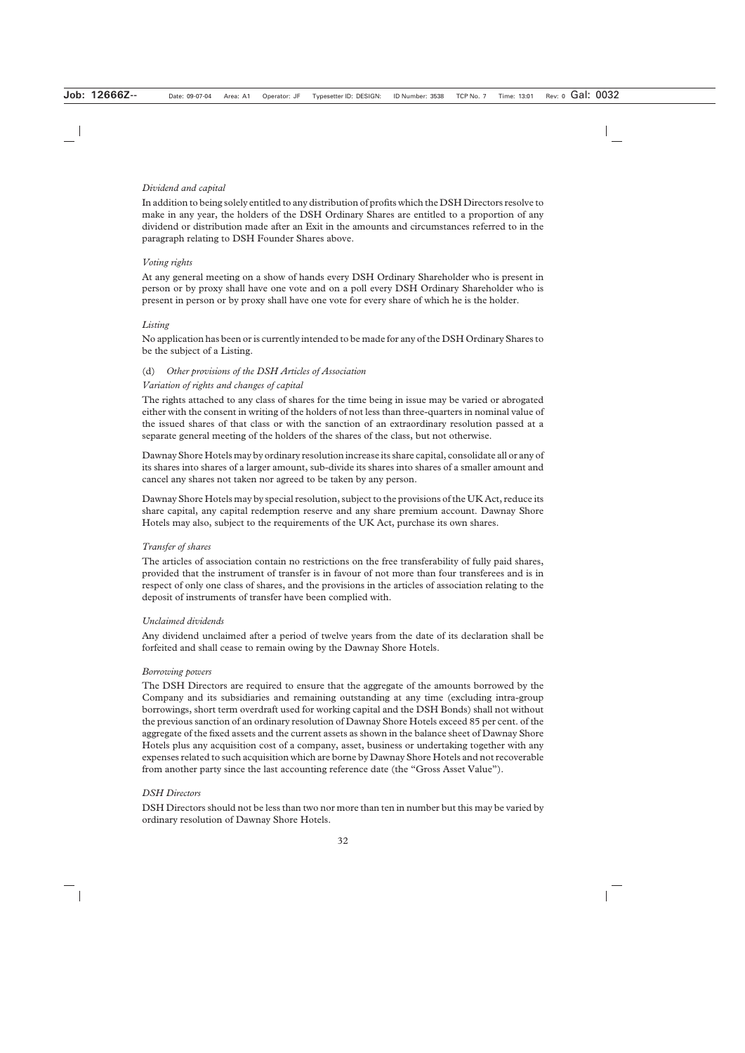# *Dividend and capital*

In addition to being solely entitled to any distribution of profits which the DSH Directors resolve to make in any year, the holders of the DSH Ordinary Shares are entitled to a proportion of any dividend or distribution made after an Exit in the amounts and circumstances referred to in the paragraph relating to DSH Founder Shares above.

#### *Voting rights*

At any general meeting on a show of hands every DSH Ordinary Shareholder who is present in person or by proxy shall have one vote and on a poll every DSH Ordinary Shareholder who is present in person or by proxy shall have one vote for every share of which he is the holder.

# *Listing*

No application has been or is currently intended to be made for any of the DSH Ordinary Shares to be the subject of a Listing.

#### (d) *Other provisions of the DSH Articles of Association*

# *Variation of rights and changes of capital*

The rights attached to any class of shares for the time being in issue may be varied or abrogated either with the consent in writing of the holders of not less than three-quarters in nominal value of the issued shares of that class or with the sanction of an extraordinary resolution passed at a separate general meeting of the holders of the shares of the class, but not otherwise.

Dawnay Shore Hotels may by ordinary resolution increase its share capital, consolidate all or any of its shares into shares of a larger amount, sub-divide its shares into shares of a smaller amount and cancel any shares not taken nor agreed to be taken by any person.

Dawnay Shore Hotels may by special resolution, subject to the provisions of the UK Act, reduce its share capital, any capital redemption reserve and any share premium account. Dawnay Shore Hotels may also, subject to the requirements of the UK Act, purchase its own shares.

#### *Transfer of shares*

The articles of association contain no restrictions on the free transferability of fully paid shares, provided that the instrument of transfer is in favour of not more than four transferees and is in respect of only one class of shares, and the provisions in the articles of association relating to the deposit of instruments of transfer have been complied with.

#### *Unclaimed dividends*

Any dividend unclaimed after a period of twelve years from the date of its declaration shall be forfeited and shall cease to remain owing by the Dawnay Shore Hotels.

#### *Borrowing powers*

The DSH Directors are required to ensure that the aggregate of the amounts borrowed by the Company and its subsidiaries and remaining outstanding at any time (excluding intra-group borrowings, short term overdraft used for working capital and the DSH Bonds) shall not without the previous sanction of an ordinary resolution of Dawnay Shore Hotels exceed 85 per cent. of the aggregate of the fixed assets and the current assets as shown in the balance sheet of Dawnay Shore Hotels plus any acquisition cost of a company, asset, business or undertaking together with any expenses related to such acquisition which are borne by Dawnay Shore Hotels and not recoverable from another party since the last accounting reference date (the "Gross Asset Value").

#### *DSH Directors*

DSH Directors should not be less than two nor more than ten in number but this may be varied by ordinary resolution of Dawnay Shore Hotels.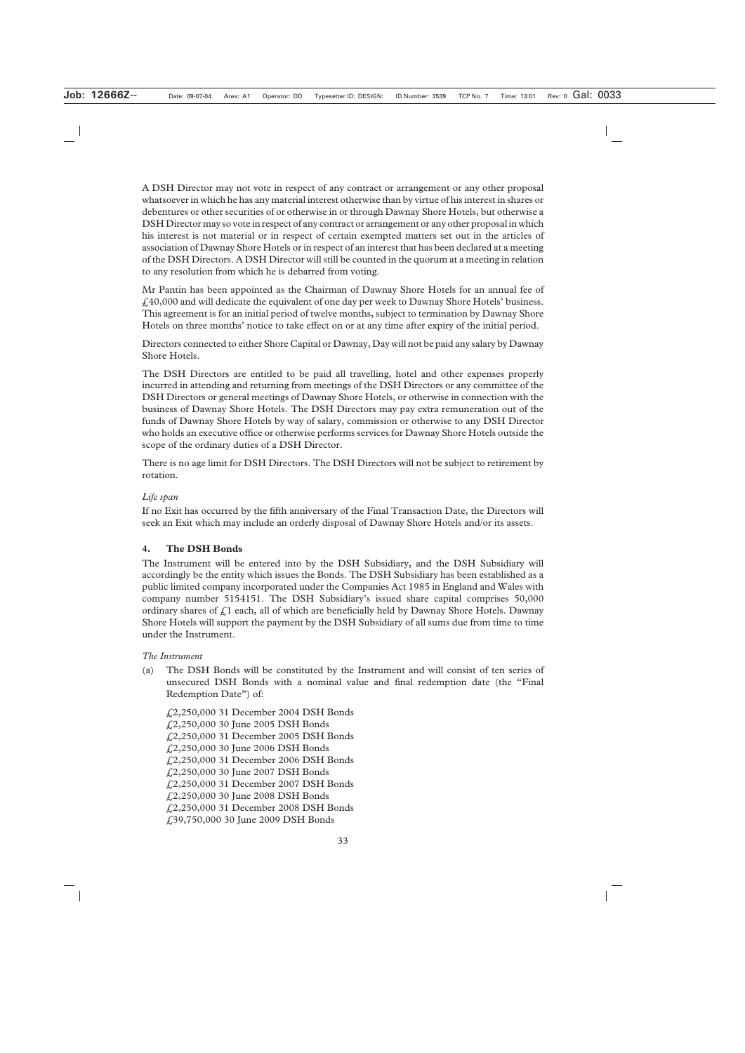A DSH Director may not vote in respect of any contract or arrangement or any other proposal whatsoever in which he has any material interest otherwise than by virtue of his interest in shares or debentures or other securities of or otherwise in or through Dawnay Shore Hotels, but otherwise a DSH Director may so vote in respect of any contract or arrangement or any other proposal in which his interest is not material or in respect of certain exempted matters set out in the articles of association of Dawnay Shore Hotels or in respect of an interest that has been declared at a meeting of the DSH Directors. A DSH Director will still be counted in the quorum at a meeting in relation to any resolution from which he is debarred from voting.

Mr Pantin has been appointed as the Chairman of Dawnay Shore Hotels for an annual fee of £40,000 and will dedicate the equivalent of one day per week to Dawnay Shore Hotels' business. This agreement is for an initial period of twelve months, subject to termination by Dawnay Shore Hotels on three months' notice to take effect on or at any time after expiry of the initial period.

Directors connected to either Shore Capital or Dawnay, Day will not be paid any salary by Dawnay Shore Hotels.

The DSH Directors are entitled to be paid all travelling, hotel and other expenses properly incurred in attending and returning from meetings of the DSH Directors or any committee of the DSH Directors or general meetings of Dawnay Shore Hotels, or otherwise in connection with the business of Dawnay Shore Hotels. The DSH Directors may pay extra remuneration out of the funds of Dawnay Shore Hotels by way of salary, commission or otherwise to any DSH Director who holds an executive office or otherwise performs services for Dawnay Shore Hotels outside the scope of the ordinary duties of a DSH Director.

There is no age limit for DSH Directors. The DSH Directors will not be subject to retirement by rotation.

#### *Life span*

If no Exit has occurred by the fifth anniversary of the Final Transaction Date, the Directors will seek an Exit which may include an orderly disposal of Dawnay Shore Hotels and/or its assets.

#### **4. The DSH Bonds**

The Instrument will be entered into by the DSH Subsidiary, and the DSH Subsidiary will accordingly be the entity which issues the Bonds. The DSH Subsidiary has been established as a public limited company incorporated under the Companies Act 1985 in England and Wales with company number 5154151. The DSH Subsidiary's issued share capital comprises 50,000 ordinary shares of  $\hat{f}$ , all of which are beneficially held by Dawnay Shore Hotels. Dawnay Shore Hotels will support the payment by the DSH Subsidiary of all sums due from time to time under the Instrument.

#### *The Instrument*

(a) The DSH Bonds will be constituted by the Instrument and will consist of ten series of unsecured DSH Bonds with a nominal value and final redemption date (the "Final Redemption Date") of:

£2,250,000 31 December 2004 DSH Bonds £2,250,000 30 June 2005 DSH Bonds £2,250,000 31 December 2005 DSH Bonds £2,250,000 30 June 2006 DSH Bonds £2,250,000 31 December 2006 DSH Bonds £2,250,000 30 June 2007 DSH Bonds £2,250,000 31 December 2007 DSH Bonds £2,250,000 30 June 2008 DSH Bonds £2,250,000 31 December 2008 DSH Bonds £39,750,000 30 June 2009 DSH Bonds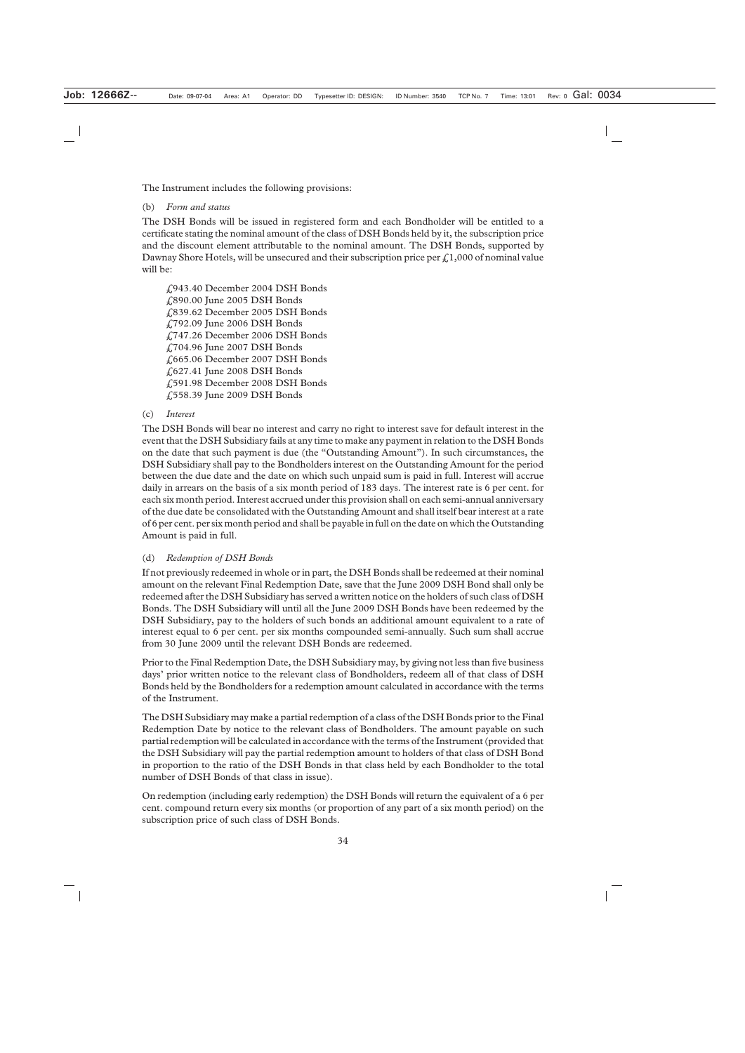The Instrument includes the following provisions:

#### (b) *Form and status*

The DSH Bonds will be issued in registered form and each Bondholder will be entitled to a certificate stating the nominal amount of the class of DSH Bonds held by it, the subscription price and the discount element attributable to the nominal amount. The DSH Bonds, supported by Dawnay Shore Hotels, will be unsecured and their subscription price per  $\mathcal{L}1,000$  of nominal value will be:

£943.40 December 2004 DSH Bonds £890.00 June 2005 DSH Bonds £839.62 December 2005 DSH Bonds £792.09 June 2006 DSH Bonds £747.26 December 2006 DSH Bonds £704.96 June 2007 DSH Bonds £665.06 December 2007 DSH Bonds £627.41 June 2008 DSH Bonds £591.98 December 2008 DSH Bonds £558.39 June 2009 DSH Bonds

#### (c) *Interest*

The DSH Bonds will bear no interest and carry no right to interest save for default interest in the event that the DSH Subsidiary fails at any time to make any payment in relation to the DSH Bonds on the date that such payment is due (the "Outstanding Amount"). In such circumstances, the DSH Subsidiary shall pay to the Bondholders interest on the Outstanding Amount for the period between the due date and the date on which such unpaid sum is paid in full. Interest will accrue daily in arrears on the basis of a six month period of 183 days. The interest rate is 6 per cent. for each six month period. Interest accrued under this provision shall on each semi-annual anniversary of the due date be consolidated with the Outstanding Amount and shall itself bear interest at a rate of 6 per cent. per six month period and shall be payable in full on the date on which the Outstanding Amount is paid in full.

#### (d) *Redemption of DSH Bonds*

If not previously redeemed in whole or in part, the DSH Bonds shall be redeemed at their nominal amount on the relevant Final Redemption Date, save that the June 2009 DSH Bond shall only be redeemed after the DSH Subsidiary has served a written notice on the holders of such class of DSH Bonds. The DSH Subsidiary will until all the June 2009 DSH Bonds have been redeemed by the DSH Subsidiary, pay to the holders of such bonds an additional amount equivalent to a rate of interest equal to 6 per cent. per six months compounded semi-annually. Such sum shall accrue from 30 June 2009 until the relevant DSH Bonds are redeemed.

Prior to the Final Redemption Date, the DSH Subsidiary may, by giving not less than five business days' prior written notice to the relevant class of Bondholders, redeem all of that class of DSH Bonds held by the Bondholders for a redemption amount calculated in accordance with the terms of the Instrument.

The DSH Subsidiary may make a partial redemption of a class of the DSH Bonds prior to the Final Redemption Date by notice to the relevant class of Bondholders. The amount payable on such partial redemption will be calculated in accordance with the terms of the Instrument (provided that the DSH Subsidiary will pay the partial redemption amount to holders of that class of DSH Bond in proportion to the ratio of the DSH Bonds in that class held by each Bondholder to the total number of DSH Bonds of that class in issue).

On redemption (including early redemption) the DSH Bonds will return the equivalent of a 6 per cent. compound return every six months (or proportion of any part of a six month period) on the subscription price of such class of DSH Bonds.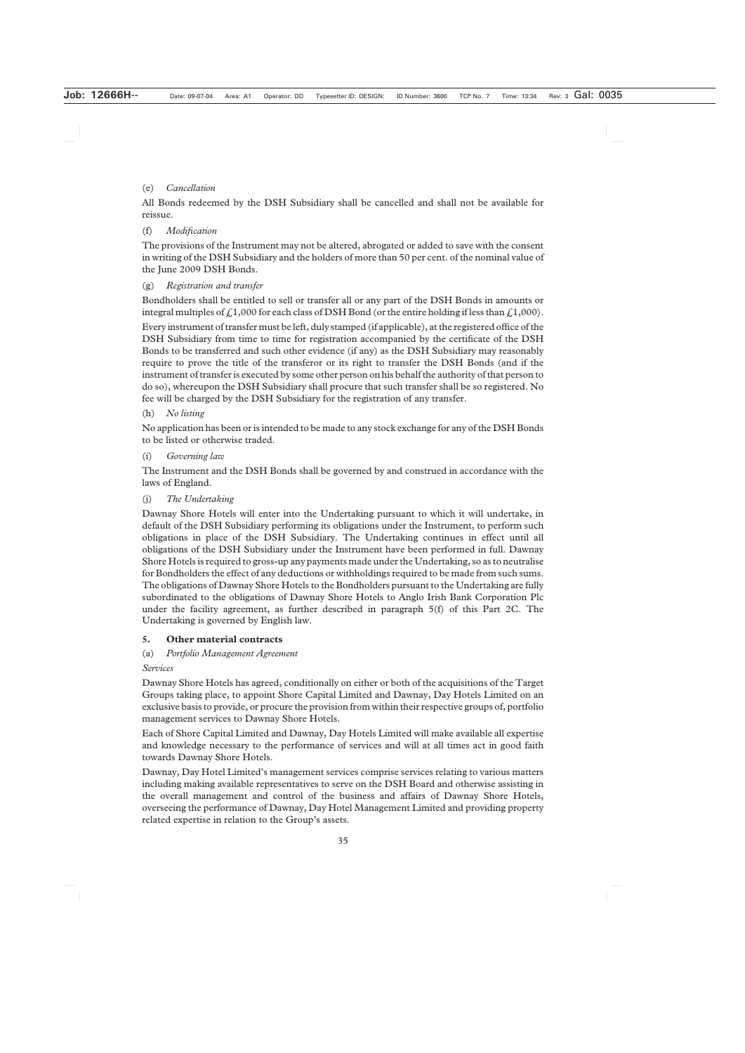# (e) *Cancellation*

All Bonds redeemed by the DSH Subsidiary shall be cancelled and shall not be available for reissue.

# (f) *Modification*

The provisions of the Instrument may not be altered, abrogated or added to save with the consent in writing of the DSH Subsidiary and the holders of more than 50 per cent. of the nominal value of the June 2009 DSH Bonds.

# (g) *Registration and transfer*

Bondholders shall be entitled to sell or transfer all or any part of the DSH Bonds in amounts or integral multiples of  $\frac{1}{6}1,000$  for each class of DSH Bond (or the entire holding if less than  $\frac{1}{6}1,000$ ).

Every instrument of transfer must be left, duly stamped (if applicable), at the registered office of the DSH Subsidiary from time to time for registration accompanied by the certificate of the DSH Bonds to be transferred and such other evidence (if any) as the DSH Subsidiary may reasonably require to prove the title of the transferor or its right to transfer the DSH Bonds (and if the instrument of transfer is executed by some other person on his behalf the authority of that person to do so), whereupon the DSH Subsidiary shall procure that such transfer shall be so registered. No fee will be charged by the DSH Subsidiary for the registration of any transfer.

# (h) *No listing*

No application has been or is intended to be made to any stock exchange for any of the DSH Bonds to be listed or otherwise traded.

# (i) *Governing law*

The Instrument and the DSH Bonds shall be governed by and construed in accordance with the laws of England.

# (j) *The Undertaking*

Dawnay Shore Hotels will enter into the Undertaking pursuant to which it will undertake, in default of the DSH Subsidiary performing its obligations under the Instrument, to perform such obligations in place of the DSH Subsidiary. The Undertaking continues in effect until all obligations of the DSH Subsidiary under the Instrument have been performed in full. Dawnay Shore Hotels is required to gross-up any payments made under the Undertaking, so as to neutralise for Bondholders the effect of any deductions or withholdings required to be made from such sums. The obligations of Dawnay Shore Hotels to the Bondholders pursuant to the Undertaking are fully subordinated to the obligations of Dawnay Shore Hotels to Anglo Irish Bank Corporation Plc under the facility agreement, as further described in paragraph 5(f) of this Part 2C. The Undertaking is governed by English law.

#### **5. Other material contracts**

# (a) *Portfolio Management Agreement*

#### *Services*

Dawnay Shore Hotels has agreed, conditionally on either or both of the acquisitions of the Target Groups taking place, to appoint Shore Capital Limited and Dawnay, Day Hotels Limited on an exclusive basis to provide, or procure the provision from within their respective groups of, portfolio management services to Dawnay Shore Hotels.

Each of Shore Capital Limited and Dawnay, Day Hotels Limited will make available all expertise and knowledge necessary to the performance of services and will at all times act in good faith towards Dawnay Shore Hotels.

Dawnay, Day Hotel Limited's management services comprise services relating to various matters including making available representatives to serve on the DSH Board and otherwise assisting in the overall management and control of the business and affairs of Dawnay Shore Hotels, overseeing the performance of Dawnay, Day Hotel Management Limited and providing property related expertise in relation to the Group's assets.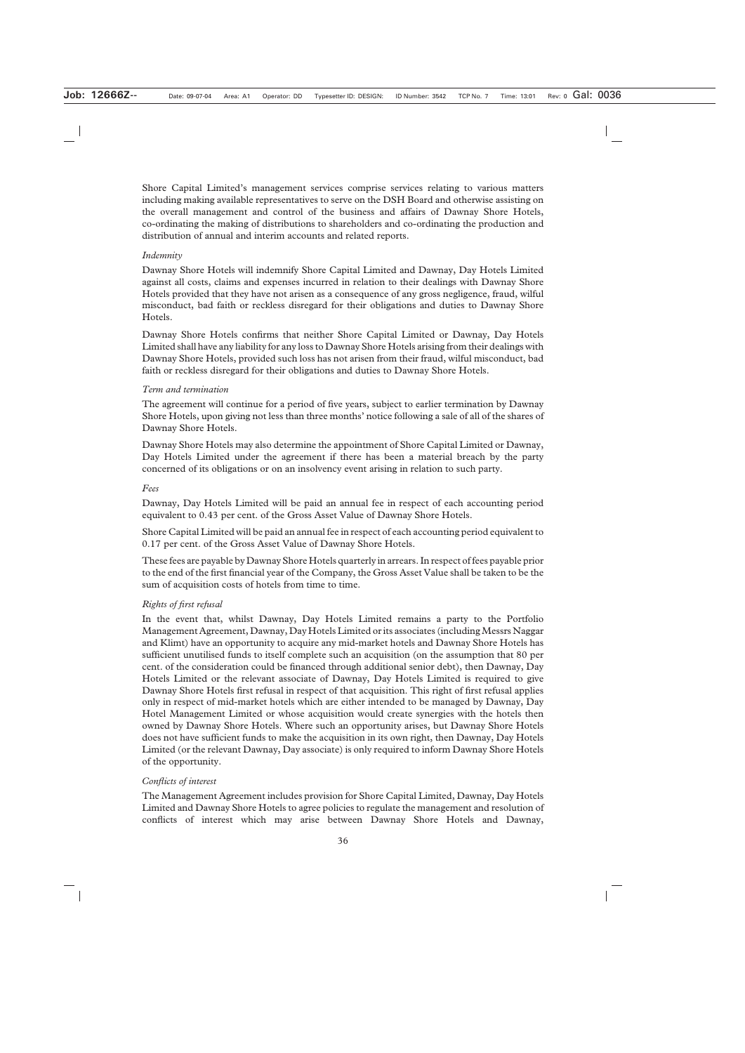Shore Capital Limited's management services comprise services relating to various matters including making available representatives to serve on the DSH Board and otherwise assisting on the overall management and control of the business and affairs of Dawnay Shore Hotels, co-ordinating the making of distributions to shareholders and co-ordinating the production and distribution of annual and interim accounts and related reports.

#### *Indemnity*

Dawnay Shore Hotels will indemnify Shore Capital Limited and Dawnay, Day Hotels Limited against all costs, claims and expenses incurred in relation to their dealings with Dawnay Shore Hotels provided that they have not arisen as a consequence of any gross negligence, fraud, wilful misconduct, bad faith or reckless disregard for their obligations and duties to Dawnay Shore Hotels.

Dawnay Shore Hotels confirms that neither Shore Capital Limited or Dawnay, Day Hotels Limited shall have any liability for any loss to Dawnay Shore Hotels arising from their dealings with Dawnay Shore Hotels, provided such loss has not arisen from their fraud, wilful misconduct, bad faith or reckless disregard for their obligations and duties to Dawnay Shore Hotels.

#### *Term and termination*

The agreement will continue for a period of five years, subject to earlier termination by Dawnay Shore Hotels, upon giving not less than three months' notice following a sale of all of the shares of Dawnay Shore Hotels.

Dawnay Shore Hotels may also determine the appointment of Shore Capital Limited or Dawnay, Day Hotels Limited under the agreement if there has been a material breach by the party concerned of its obligations or on an insolvency event arising in relation to such party.

# *Fees*

Dawnay, Day Hotels Limited will be paid an annual fee in respect of each accounting period equivalent to 0.43 per cent. of the Gross Asset Value of Dawnay Shore Hotels.

Shore Capital Limited will be paid an annual fee in respect of each accounting period equivalent to 0.17 per cent. of the Gross Asset Value of Dawnay Shore Hotels.

These fees are payable by Dawnay Shore Hotels quarterly in arrears. In respect of fees payable prior to the end of the first financial year of the Company, the Gross Asset Value shall be taken to be the sum of acquisition costs of hotels from time to time.

#### *Rights of first refusal*

In the event that, whilst Dawnay, Day Hotels Limited remains a party to the Portfolio Management Agreement, Dawnay, Day Hotels Limited or its associates (including Messrs Naggar and Klimt) have an opportunity to acquire any mid-market hotels and Dawnay Shore Hotels has sufficient unutilised funds to itself complete such an acquisition (on the assumption that 80 per cent. of the consideration could be financed through additional senior debt), then Dawnay, Day Hotels Limited or the relevant associate of Dawnay, Day Hotels Limited is required to give Dawnay Shore Hotels first refusal in respect of that acquisition. This right of first refusal applies only in respect of mid-market hotels which are either intended to be managed by Dawnay, Day Hotel Management Limited or whose acquisition would create synergies with the hotels then owned by Dawnay Shore Hotels. Where such an opportunity arises, but Dawnay Shore Hotels does not have sufficient funds to make the acquisition in its own right, then Dawnay, Day Hotels Limited (or the relevant Dawnay, Day associate) is only required to inform Dawnay Shore Hotels of the opportunity.

#### *Conflicts of interest*

The Management Agreement includes provision for Shore Capital Limited, Dawnay, Day Hotels Limited and Dawnay Shore Hotels to agree policies to regulate the management and resolution of conflicts of interest which may arise between Dawnay Shore Hotels and Dawnay,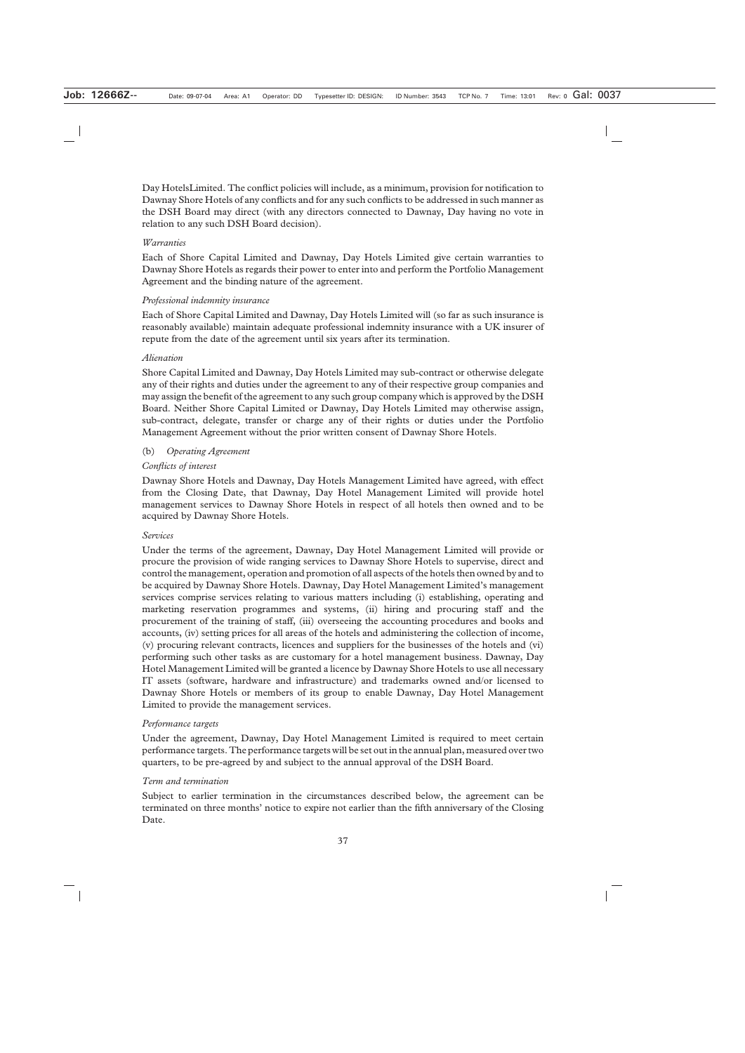Day HotelsLimited. The conflict policies will include, as a minimum, provision for notification to Dawnay Shore Hotels of any conflicts and for any such conflicts to be addressed in such manner as the DSH Board may direct (with any directors connected to Dawnay, Day having no vote in relation to any such DSH Board decision).

#### *Warranties*

Each of Shore Capital Limited and Dawnay, Day Hotels Limited give certain warranties to Dawnay Shore Hotels as regards their power to enter into and perform the Portfolio Management Agreement and the binding nature of the agreement.

#### *Professional indemnity insurance*

Each of Shore Capital Limited and Dawnay, Day Hotels Limited will (so far as such insurance is reasonably available) maintain adequate professional indemnity insurance with a UK insurer of repute from the date of the agreement until six years after its termination.

# *Alienation*

Shore Capital Limited and Dawnay, Day Hotels Limited may sub-contract or otherwise delegate any of their rights and duties under the agreement to any of their respective group companies and may assign the benefit of the agreement to any such group company which is approved by the DSH Board. Neither Shore Capital Limited or Dawnay, Day Hotels Limited may otherwise assign, sub-contract, delegate, transfer or charge any of their rights or duties under the Portfolio Management Agreement without the prior written consent of Dawnay Shore Hotels.

# (b) *Operating Agreement*

# *Conflicts of interest*

Dawnay Shore Hotels and Dawnay, Day Hotels Management Limited have agreed, with effect from the Closing Date, that Dawnay, Day Hotel Management Limited will provide hotel management services to Dawnay Shore Hotels in respect of all hotels then owned and to be acquired by Dawnay Shore Hotels.

#### *Services*

Under the terms of the agreement, Dawnay, Day Hotel Management Limited will provide or procure the provision of wide ranging services to Dawnay Shore Hotels to supervise, direct and control the management, operation and promotion of all aspects of the hotels then owned by and to be acquired by Dawnay Shore Hotels. Dawnay, Day Hotel Management Limited's management services comprise services relating to various matters including (i) establishing, operating and marketing reservation programmes and systems, (ii) hiring and procuring staff and the procurement of the training of staff, (iii) overseeing the accounting procedures and books and accounts, (iv) setting prices for all areas of the hotels and administering the collection of income, (v) procuring relevant contracts, licences and suppliers for the businesses of the hotels and (vi) performing such other tasks as are customary for a hotel management business. Dawnay, Day Hotel Management Limited will be granted a licence by Dawnay Shore Hotels to use all necessary IT assets (software, hardware and infrastructure) and trademarks owned and/or licensed to Dawnay Shore Hotels or members of its group to enable Dawnay, Day Hotel Management Limited to provide the management services.

#### *Performance targets*

Under the agreement, Dawnay, Day Hotel Management Limited is required to meet certain performance targets. The performance targets will be set out in the annual plan, measured over two quarters, to be pre-agreed by and subject to the annual approval of the DSH Board.

#### *Term and termination*

Subject to earlier termination in the circumstances described below, the agreement can be terminated on three months' notice to expire not earlier than the fifth anniversary of the Closing Date.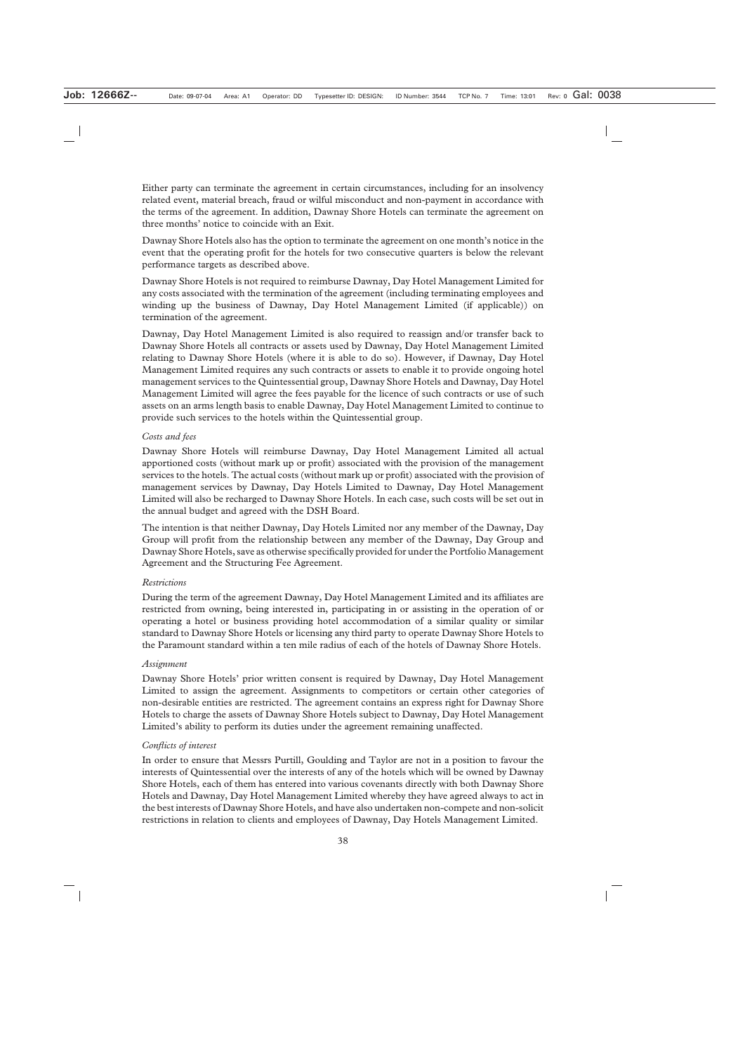Either party can terminate the agreement in certain circumstances, including for an insolvency related event, material breach, fraud or wilful misconduct and non-payment in accordance with the terms of the agreement. In addition, Dawnay Shore Hotels can terminate the agreement on three months' notice to coincide with an Exit.

Dawnay Shore Hotels also has the option to terminate the agreement on one month's notice in the event that the operating profit for the hotels for two consecutive quarters is below the relevant performance targets as described above.

Dawnay Shore Hotels is not required to reimburse Dawnay, Day Hotel Management Limited for any costs associated with the termination of the agreement (including terminating employees and winding up the business of Dawnay, Day Hotel Management Limited (if applicable)) on termination of the agreement.

Dawnay, Day Hotel Management Limited is also required to reassign and/or transfer back to Dawnay Shore Hotels all contracts or assets used by Dawnay, Day Hotel Management Limited relating to Dawnay Shore Hotels (where it is able to do so). However, if Dawnay, Day Hotel Management Limited requires any such contracts or assets to enable it to provide ongoing hotel management services to the Quintessential group, Dawnay Shore Hotels and Dawnay, Day Hotel Management Limited will agree the fees payable for the licence of such contracts or use of such assets on an arms length basis to enable Dawnay, Day Hotel Management Limited to continue to provide such services to the hotels within the Quintessential group.

#### *Costs and fees*

Dawnay Shore Hotels will reimburse Dawnay, Day Hotel Management Limited all actual apportioned costs (without mark up or profit) associated with the provision of the management services to the hotels. The actual costs (without mark up or profit) associated with the provision of management services by Dawnay, Day Hotels Limited to Dawnay, Day Hotel Management Limited will also be recharged to Dawnay Shore Hotels. In each case, such costs will be set out in the annual budget and agreed with the DSH Board.

The intention is that neither Dawnay, Day Hotels Limited nor any member of the Dawnay, Day Group will profit from the relationship between any member of the Dawnay, Day Group and Dawnay Shore Hotels, save as otherwise specifically provided for under the Portfolio Management Agreement and the Structuring Fee Agreement.

#### *Restrictions*

During the term of the agreement Dawnay, Day Hotel Management Limited and its affiliates are restricted from owning, being interested in, participating in or assisting in the operation of or operating a hotel or business providing hotel accommodation of a similar quality or similar standard to Dawnay Shore Hotels or licensing any third party to operate Dawnay Shore Hotels to the Paramount standard within a ten mile radius of each of the hotels of Dawnay Shore Hotels.

#### *Assignment*

Dawnay Shore Hotels' prior written consent is required by Dawnay, Day Hotel Management Limited to assign the agreement. Assignments to competitors or certain other categories of non-desirable entities are restricted. The agreement contains an express right for Dawnay Shore Hotels to charge the assets of Dawnay Shore Hotels subject to Dawnay, Day Hotel Management Limited's ability to perform its duties under the agreement remaining unaffected.

#### *Conflicts of interest*

In order to ensure that Messrs Purtill, Goulding and Taylor are not in a position to favour the interests of Quintessential over the interests of any of the hotels which will be owned by Dawnay Shore Hotels, each of them has entered into various covenants directly with both Dawnay Shore Hotels and Dawnay, Day Hotel Management Limited whereby they have agreed always to act in the best interests of Dawnay Shore Hotels, and have also undertaken non-compete and non-solicit restrictions in relation to clients and employees of Dawnay, Day Hotels Management Limited.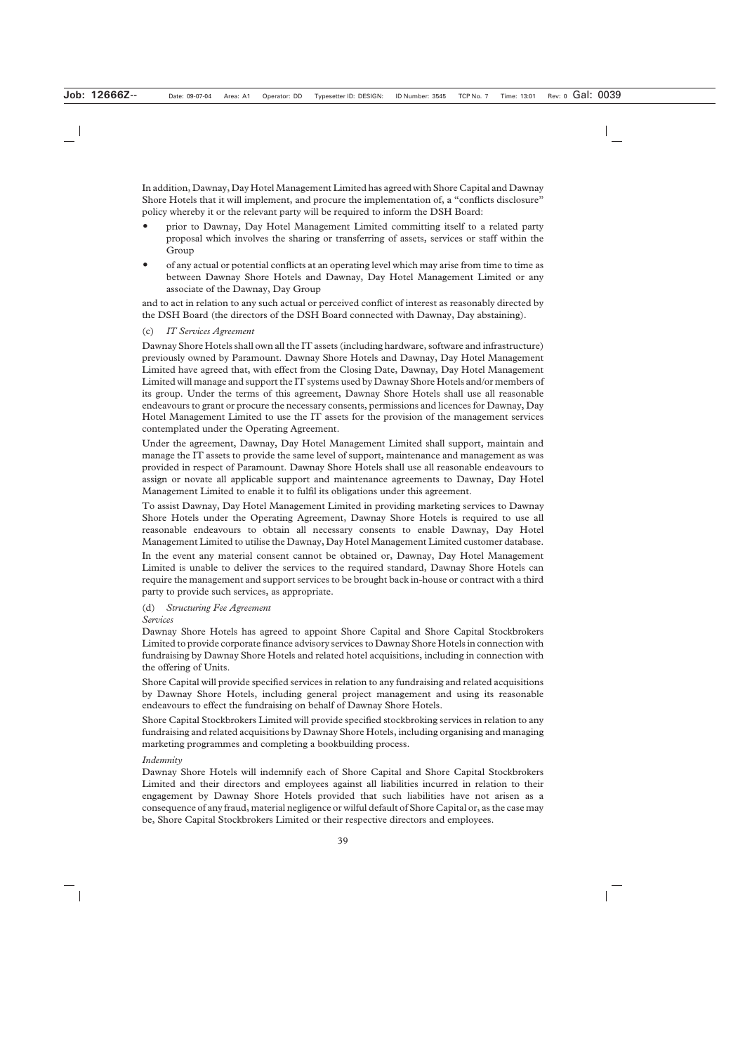In addition, Dawnay, Day Hotel Management Limited has agreed with Shore Capital and Dawnay Shore Hotels that it will implement, and procure the implementation of, a "conflicts disclosure" policy whereby it or the relevant party will be required to inform the DSH Board:

- prior to Dawnay, Day Hotel Management Limited committing itself to a related party proposal which involves the sharing or transferring of assets, services or staff within the Group
- of any actual or potential conflicts at an operating level which may arise from time to time as between Dawnay Shore Hotels and Dawnay, Day Hotel Management Limited or any associate of the Dawnay, Day Group

and to act in relation to any such actual or perceived conflict of interest as reasonably directed by the DSH Board (the directors of the DSH Board connected with Dawnay, Day abstaining).

#### (c) *IT Services Agreement*

Dawnay Shore Hotels shall own all the IT assets (including hardware, software and infrastructure) previously owned by Paramount. Dawnay Shore Hotels and Dawnay, Day Hotel Management Limited have agreed that, with effect from the Closing Date, Dawnay, Day Hotel Management Limited will manage and support the IT systems used by Dawnay Shore Hotels and/or members of its group. Under the terms of this agreement, Dawnay Shore Hotels shall use all reasonable endeavours to grant or procure the necessary consents, permissions and licences for Dawnay, Day Hotel Management Limited to use the IT assets for the provision of the management services contemplated under the Operating Agreement.

Under the agreement, Dawnay, Day Hotel Management Limited shall support, maintain and manage the IT assets to provide the same level of support, maintenance and management as was provided in respect of Paramount. Dawnay Shore Hotels shall use all reasonable endeavours to assign or novate all applicable support and maintenance agreements to Dawnay, Day Hotel Management Limited to enable it to fulfil its obligations under this agreement.

To assist Dawnay, Day Hotel Management Limited in providing marketing services to Dawnay Shore Hotels under the Operating Agreement, Dawnay Shore Hotels is required to use all reasonable endeavours to obtain all necessary consents to enable Dawnay, Day Hotel Management Limited to utilise the Dawnay, Day Hotel Management Limited customer database.

In the event any material consent cannot be obtained or, Dawnay, Day Hotel Management Limited is unable to deliver the services to the required standard, Dawnay Shore Hotels can require the management and support services to be brought back in-house or contract with a third party to provide such services, as appropriate.

#### (d) *Structuring Fee Agreement*

#### *Services*

Dawnay Shore Hotels has agreed to appoint Shore Capital and Shore Capital Stockbrokers Limited to provide corporate finance advisory services to Dawnay Shore Hotels in connection with fundraising by Dawnay Shore Hotels and related hotel acquisitions, including in connection with the offering of Units.

Shore Capital will provide specified services in relation to any fundraising and related acquisitions by Dawnay Shore Hotels, including general project management and using its reasonable endeavours to effect the fundraising on behalf of Dawnay Shore Hotels.

Shore Capital Stockbrokers Limited will provide specified stockbroking services in relation to any fundraising and related acquisitions by Dawnay Shore Hotels, including organising and managing marketing programmes and completing a bookbuilding process.

#### *Indemnity*

Dawnay Shore Hotels will indemnify each of Shore Capital and Shore Capital Stockbrokers Limited and their directors and employees against all liabilities incurred in relation to their engagement by Dawnay Shore Hotels provided that such liabilities have not arisen as a consequence of any fraud, material negligence or wilful default of Shore Capital or, as the case may be, Shore Capital Stockbrokers Limited or their respective directors and employees.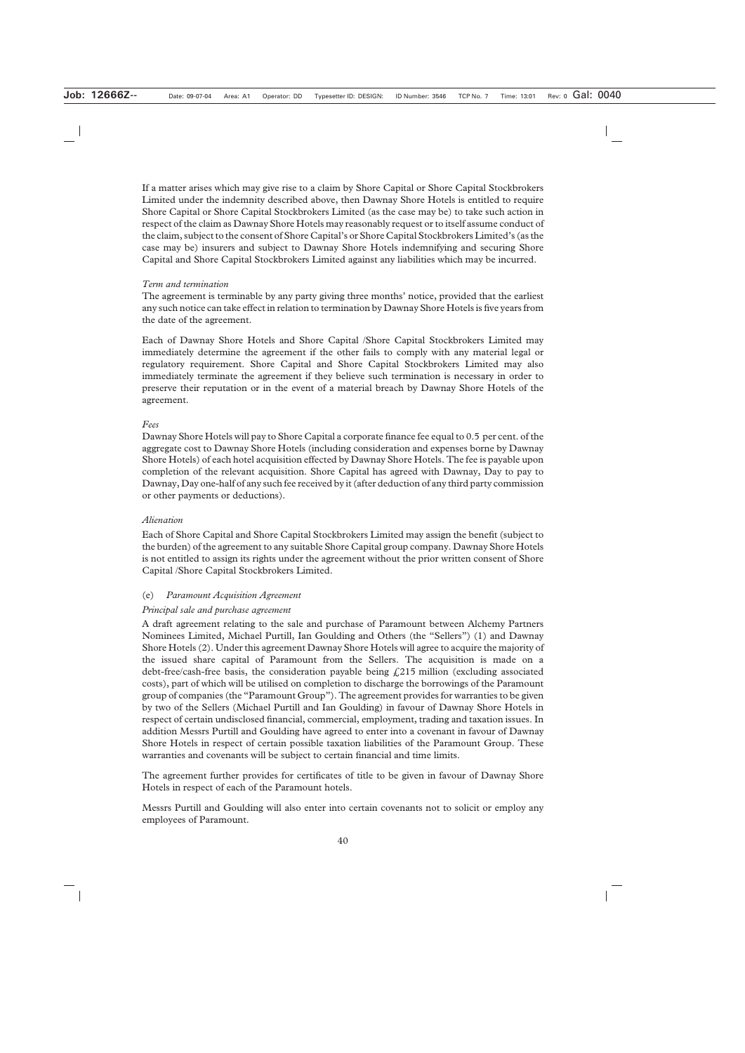If a matter arises which may give rise to a claim by Shore Capital or Shore Capital Stockbrokers Limited under the indemnity described above, then Dawnay Shore Hotels is entitled to require Shore Capital or Shore Capital Stockbrokers Limited (as the case may be) to take such action in respect of the claim as Dawnay Shore Hotels may reasonably request or to itself assume conduct of the claim, subject to the consent of Shore Capital's or Shore Capital Stockbrokers Limited's (as the case may be) insurers and subject to Dawnay Shore Hotels indemnifying and securing Shore Capital and Shore Capital Stockbrokers Limited against any liabilities which may be incurred.

#### *Term and termination*

The agreement is terminable by any party giving three months' notice, provided that the earliest any such notice can take effect in relation to termination by Dawnay Shore Hotels is five years from the date of the agreement.

Each of Dawnay Shore Hotels and Shore Capital /Shore Capital Stockbrokers Limited may immediately determine the agreement if the other fails to comply with any material legal or regulatory requirement. Shore Capital and Shore Capital Stockbrokers Limited may also immediately terminate the agreement if they believe such termination is necessary in order to preserve their reputation or in the event of a material breach by Dawnay Shore Hotels of the agreement.

#### *Fees*

Dawnay Shore Hotels will pay to Shore Capital a corporate finance fee equal to 0.5 per cent. of the aggregate cost to Dawnay Shore Hotels (including consideration and expenses borne by Dawnay Shore Hotels) of each hotel acquisition effected by Dawnay Shore Hotels. The fee is payable upon completion of the relevant acquisition. Shore Capital has agreed with Dawnay, Day to pay to Dawnay, Day one-half of any such fee received by it (after deduction of any third party commission or other payments or deductions).

#### *Alienation*

Each of Shore Capital and Shore Capital Stockbrokers Limited may assign the benefit (subject to the burden) of the agreement to any suitable Shore Capital group company. Dawnay Shore Hotels is not entitled to assign its rights under the agreement without the prior written consent of Shore Capital /Shore Capital Stockbrokers Limited.

#### (e) *Paramount Acquisition Agreement*

#### *Principal sale and purchase agreement*

A draft agreement relating to the sale and purchase of Paramount between Alchemy Partners Nominees Limited, Michael Purtill, Ian Goulding and Others (the "Sellers") (1) and Dawnay Shore Hotels (2). Under this agreement Dawnay Shore Hotels will agree to acquire the majority of the issued share capital of Paramount from the Sellers. The acquisition is made on a debt-free/cash-free basis, the consideration payable being  $f(215)$  million (excluding associated costs), part of which will be utilised on completion to discharge the borrowings of the Paramount group of companies (the "Paramount Group"). The agreement provides for warranties to be given by two of the Sellers (Michael Purtill and Ian Goulding) in favour of Dawnay Shore Hotels in respect of certain undisclosed financial, commercial, employment, trading and taxation issues. In addition Messrs Purtill and Goulding have agreed to enter into a covenant in favour of Dawnay Shore Hotels in respect of certain possible taxation liabilities of the Paramount Group. These warranties and covenants will be subject to certain financial and time limits.

The agreement further provides for certificates of title to be given in favour of Dawnay Shore Hotels in respect of each of the Paramount hotels.

Messrs Purtill and Goulding will also enter into certain covenants not to solicit or employ any employees of Paramount.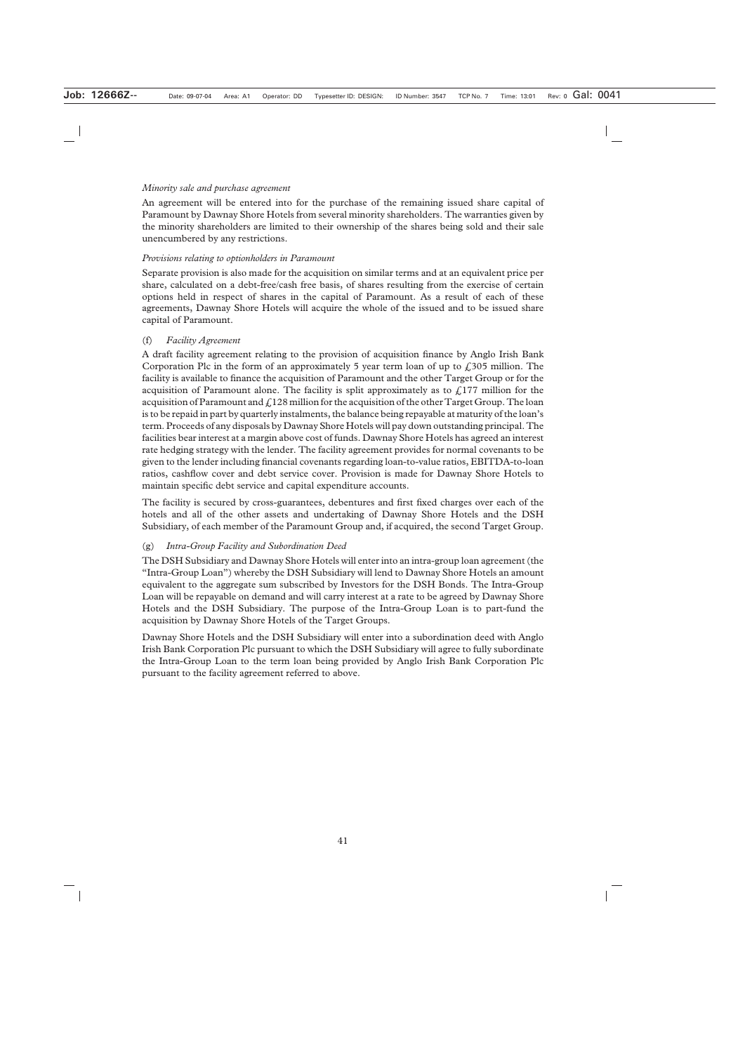#### *Minority sale and purchase agreement*

An agreement will be entered into for the purchase of the remaining issued share capital of Paramount by Dawnay Shore Hotels from several minority shareholders. The warranties given by the minority shareholders are limited to their ownership of the shares being sold and their sale unencumbered by any restrictions.

#### *Provisions relating to optionholders in Paramount*

Separate provision is also made for the acquisition on similar terms and at an equivalent price per share, calculated on a debt-free/cash free basis, of shares resulting from the exercise of certain options held in respect of shares in the capital of Paramount. As a result of each of these agreements, Dawnay Shore Hotels will acquire the whole of the issued and to be issued share capital of Paramount.

#### (f) *Facility Agreement*

A draft facility agreement relating to the provision of acquisition finance by Anglo Irish Bank Corporation Plc in the form of an approximately 5 year term loan of up to  $\ell$  305 million. The facility is available to finance the acquisition of Paramount and the other Target Group or for the acquisition of Paramount alone. The facility is split approximately as to  $\ell$ , 177 million for the acquisition of Paramount and  $\mathcal{L}128$  million for the acquisition of the other Target Group. The loan is to be repaid in part by quarterly instalments, the balance being repayable at maturity of the loan's term. Proceeds of any disposals by Dawnay Shore Hotels will pay down outstanding principal. The facilities bear interest at a margin above cost of funds. Dawnay Shore Hotels has agreed an interest rate hedging strategy with the lender. The facility agreement provides for normal covenants to be given to the lender including financial covenants regarding loan-to-value ratios, EBITDA-to-loan ratios, cashflow cover and debt service cover. Provision is made for Dawnay Shore Hotels to maintain specific debt service and capital expenditure accounts.

The facility is secured by cross-guarantees, debentures and first fixed charges over each of the hotels and all of the other assets and undertaking of Dawnay Shore Hotels and the DSH Subsidiary, of each member of the Paramount Group and, if acquired, the second Target Group.

#### (g) *Intra-Group Facility and Subordination Deed*

The DSH Subsidiary and Dawnay Shore Hotels will enter into an intra-group loan agreement (the "Intra-Group Loan") whereby the DSH Subsidiary will lend to Dawnay Shore Hotels an amount equivalent to the aggregate sum subscribed by Investors for the DSH Bonds. The Intra-Group Loan will be repayable on demand and will carry interest at a rate to be agreed by Dawnay Shore Hotels and the DSH Subsidiary. The purpose of the Intra-Group Loan is to part-fund the acquisition by Dawnay Shore Hotels of the Target Groups.

Dawnay Shore Hotels and the DSH Subsidiary will enter into a subordination deed with Anglo Irish Bank Corporation Plc pursuant to which the DSH Subsidiary will agree to fully subordinate the Intra-Group Loan to the term loan being provided by Anglo Irish Bank Corporation Plc pursuant to the facility agreement referred to above.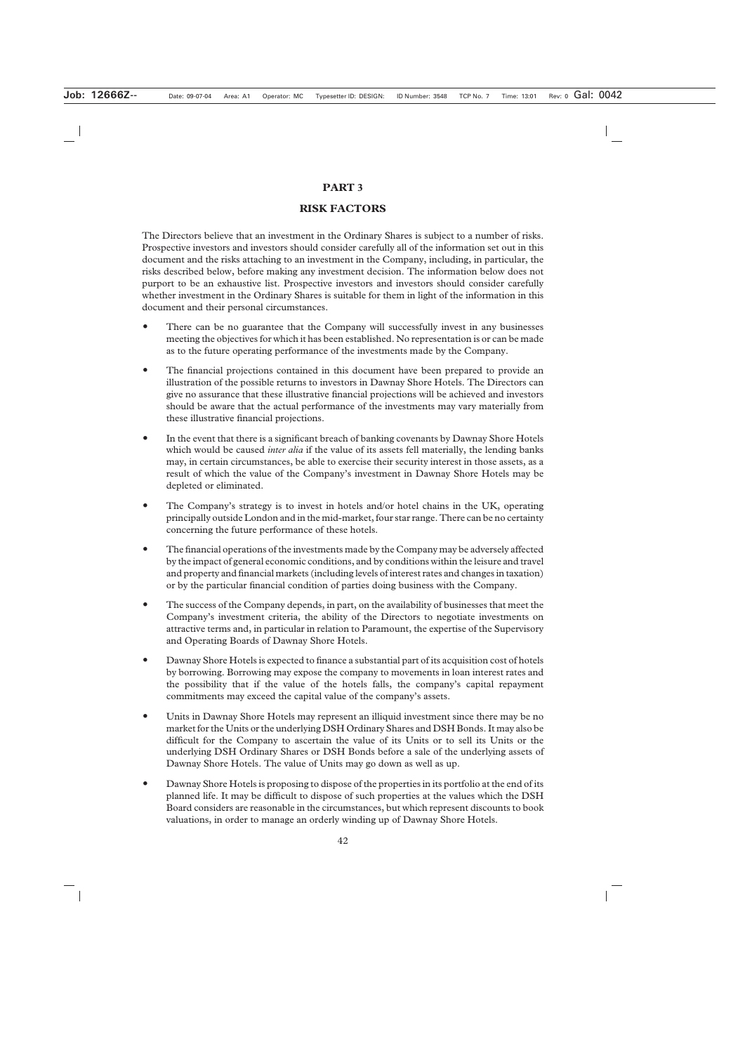## **PART 3**

# **RISK FACTORS**

The Directors believe that an investment in the Ordinary Shares is subject to a number of risks. Prospective investors and investors should consider carefully all of the information set out in this document and the risks attaching to an investment in the Company, including, in particular, the risks described below, before making any investment decision. The information below does not purport to be an exhaustive list. Prospective investors and investors should consider carefully whether investment in the Ordinary Shares is suitable for them in light of the information in this document and their personal circumstances.

- There can be no guarantee that the Company will successfully invest in any businesses meeting the objectives for which it has been established. No representation is or can be made as to the future operating performance of the investments made by the Company.
- The financial projections contained in this document have been prepared to provide an illustration of the possible returns to investors in Dawnay Shore Hotels. The Directors can give no assurance that these illustrative financial projections will be achieved and investors should be aware that the actual performance of the investments may vary materially from these illustrative financial projections.
- In the event that there is a significant breach of banking covenants by Dawnay Shore Hotels which would be caused *inter alia* if the value of its assets fell materially, the lending banks may, in certain circumstances, be able to exercise their security interest in those assets, as a result of which the value of the Company's investment in Dawnay Shore Hotels may be depleted or eliminated.
- The Company's strategy is to invest in hotels and/or hotel chains in the UK, operating principally outside London and in the mid-market, four star range. There can be no certainty concerning the future performance of these hotels.
- The financial operations of the investments made by the Company may be adversely affected by the impact of general economic conditions, and by conditions within the leisure and travel and property and financial markets (including levels of interest rates and changes in taxation) or by the particular financial condition of parties doing business with the Company.
- The success of the Company depends, in part, on the availability of businesses that meet the Company's investment criteria, the ability of the Directors to negotiate investments on attractive terms and, in particular in relation to Paramount, the expertise of the Supervisory and Operating Boards of Dawnay Shore Hotels.
- Dawnay Shore Hotels is expected to finance a substantial part of its acquisition cost of hotels by borrowing. Borrowing may expose the company to movements in loan interest rates and the possibility that if the value of the hotels falls, the company's capital repayment commitments may exceed the capital value of the company's assets.
- Units in Dawnay Shore Hotels may represent an illiquid investment since there may be no market for the Units or the underlying DSH Ordinary Shares and DSH Bonds. It may also be difficult for the Company to ascertain the value of its Units or to sell its Units or the underlying DSH Ordinary Shares or DSH Bonds before a sale of the underlying assets of Dawnay Shore Hotels. The value of Units may go down as well as up.
- Dawnay Shore Hotels is proposing to dispose of the properties in its portfolio at the end of its planned life. It may be difficult to dispose of such properties at the values which the DSH Board considers are reasonable in the circumstances, but which represent discounts to book valuations, in order to manage an orderly winding up of Dawnay Shore Hotels.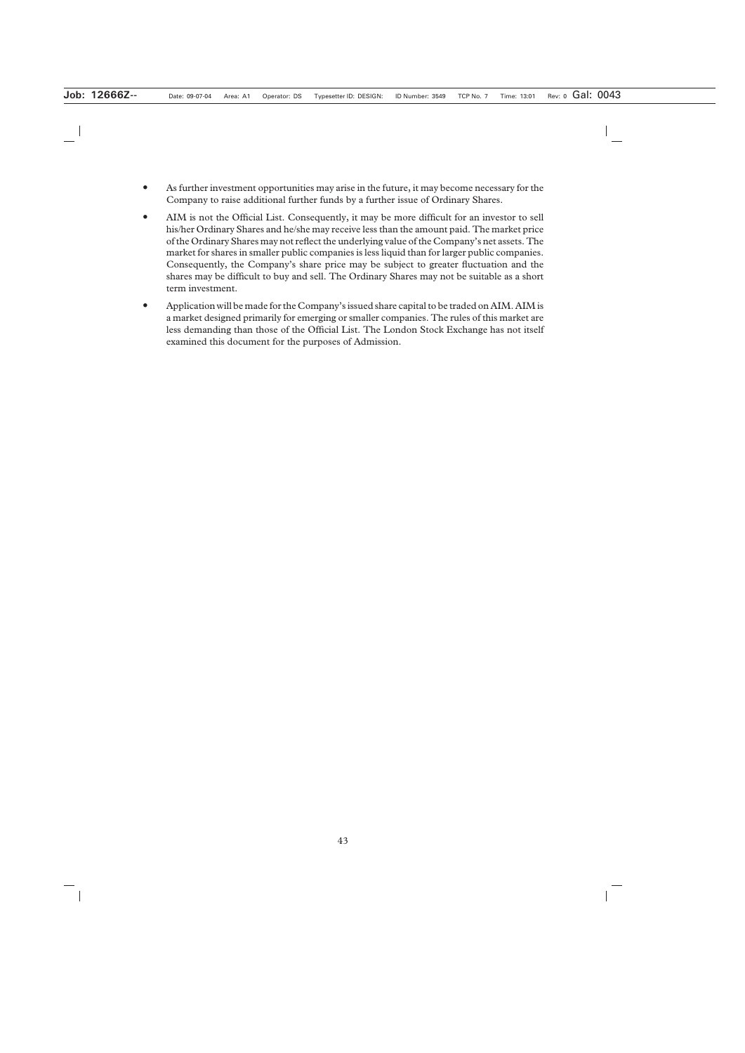- As further investment opportunities may arise in the future, it may become necessary for the Company to raise additional further funds by a further issue of Ordinary Shares.
- AIM is not the Official List. Consequently, it may be more difficult for an investor to sell his/her Ordinary Shares and he/she may receive less than the amount paid. The market price of the Ordinary Shares may not reflect the underlying value of the Company's net assets. The market for shares in smaller public companies is less liquid than for larger public companies. Consequently, the Company's share price may be subject to greater fluctuation and the shares may be difficult to buy and sell. The Ordinary Shares may not be suitable as a short term investment.
- Application will be made for the Company's issued share capital to be traded on AIM. AIM is a market designed primarily for emerging or smaller companies. The rules of this market are less demanding than those of the Official List. The London Stock Exchange has not itself examined this document for the purposes of Admission.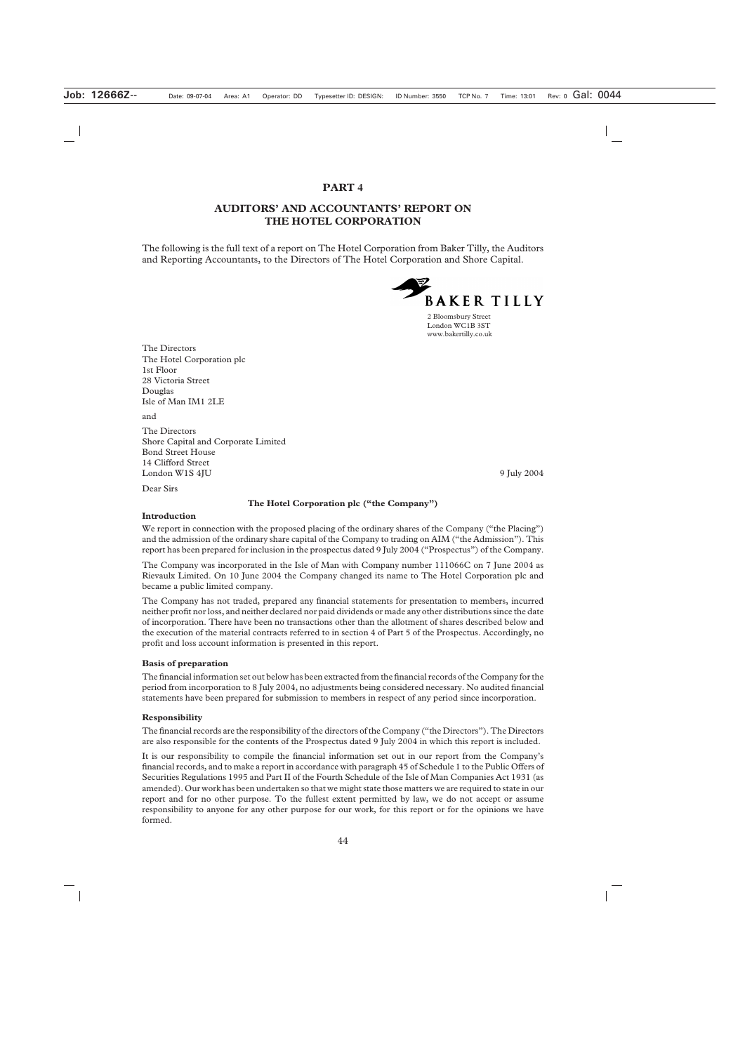#### **PART 4**

## **AUDITORS' AND ACCOUNTANTS' REPORT ON THE HOTEL CORPORATION**

The following is the full text of a report on The Hotel Corporation from Baker Tilly, the Auditors and Reporting Accountants, to the Directors of The Hotel Corporation and Shore Capital.



2 Bloomsbury Street London WC1B 3ST www.bakertilly.co.uk

The Directors The Hotel Corporation plc 1st Floor 28 Victoria Street Douglas Isle of Man IM1 2LE

and

The Directors Shore Capital and Corporate Limited Bond Street House 14 Clifford Street London W1S 4JU 9 July 2004

Dear Sirs

#### **The Hotel Corporation plc ("the Company")**

#### **Introduction**

We report in connection with the proposed placing of the ordinary shares of the Company ("the Placing") and the admission of the ordinary share capital of the Company to trading on AIM ("the Admission"). This report has been prepared for inclusion in the prospectus dated 9 July 2004 ("Prospectus") of the Company.

The Company was incorporated in the Isle of Man with Company number 111066C on 7 June 2004 as Rievaulx Limited. On 10 June 2004 the Company changed its name to The Hotel Corporation plc and became a public limited company.

The Company has not traded, prepared any financial statements for presentation to members, incurred neither profit nor loss, and neither declared nor paid dividends or made any other distributions since the date of incorporation. There have been no transactions other than the allotment of shares described below and the execution of the material contracts referred to in section 4 of Part 5 of the Prospectus. Accordingly, no profit and loss account information is presented in this report.

#### **Basis of preparation**

The financial information set out below has been extracted from the financial records of the Company for the period from incorporation to 8 July 2004, no adjustments being considered necessary. No audited financial statements have been prepared for submission to members in respect of any period since incorporation.

#### **Responsibility**

The financial records are the responsibility of the directors of the Company ("the Directors"). The Directors are also responsible for the contents of the Prospectus dated 9 July 2004 in which this report is included.

It is our responsibility to compile the financial information set out in our report from the Company's financial records, and to make a report in accordance with paragraph 45 of Schedule 1 to the Public Offers of Securities Regulations 1995 and Part II of the Fourth Schedule of the Isle of Man Companies Act 1931 (as amended). Our work has been undertaken so that we might state those matters we are required to state in our report and for no other purpose. To the fullest extent permitted by law, we do not accept or assume responsibility to anyone for any other purpose for our work, for this report or for the opinions we have formed.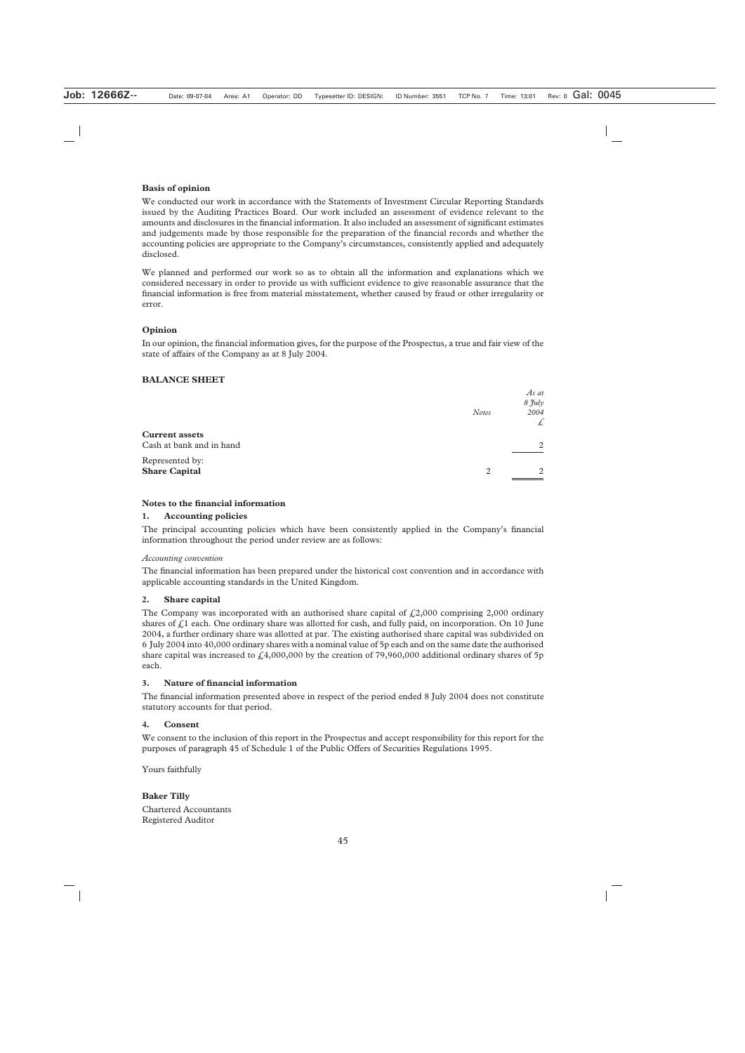#### **Basis of opinion**

We conducted our work in accordance with the Statements of Investment Circular Reporting Standards issued by the Auditing Practices Board. Our work included an assessment of evidence relevant to the amounts and disclosures in the financial information. It also included an assessment of significant estimates and judgements made by those responsible for the preparation of the financial records and whether the accounting policies are appropriate to the Company's circumstances, consistently applied and adequately disclosed.

We planned and performed our work so as to obtain all the information and explanations which we considered necessary in order to provide us with sufficient evidence to give reasonable assurance that the financial information is free from material misstatement, whether caused by fraud or other irregularity or error.

#### **Opinion**

In our opinion, the financial information gives, for the purpose of the Prospectus, a true and fair view of the state of affairs of the Company as at 8 July 2004.

#### **BALANCE SHEET**

|                                                   | <b>Notes</b> | As at<br>8 July<br>2004<br>£ |
|---------------------------------------------------|--------------|------------------------------|
| <b>Current assets</b><br>Cash at bank and in hand |              | 2                            |
| Represented by:<br><b>Share Capital</b>           | 2            | 2                            |

#### **Notes to the financial information**

#### **1. Accounting policies**

The principal accounting policies which have been consistently applied in the Company's financial information throughout the period under review are as follows:

#### *Accounting convention*

The financial information has been prepared under the historical cost convention and in accordance with applicable accounting standards in the United Kingdom.

#### **2. Share capital**

The Company was incorporated with an authorised share capital of  $\text{\textsterling}2,000$  comprising 2,000 ordinary shares of  $\ell$ 1 each. One ordinary share was allotted for cash, and fully paid, on incorporation. On 10 June 2004, a further ordinary share was allotted at par. The existing authorised share capital was subdivided on 6 July 2004 into 40,000 ordinary shares with a nominal value of 5p each and on the same date the authorised share capital was increased to  $\mathcal{L}4,000,000$  by the creation of 79,960,000 additional ordinary shares of 5p each.

#### **3. Nature of financial information**

The financial information presented above in respect of the period ended 8 July 2004 does not constitute statutory accounts for that period.

#### **4. Consent**

We consent to the inclusion of this report in the Prospectus and accept responsibility for this report for the purposes of paragraph 45 of Schedule 1 of the Public Offers of Securities Regulations 1995.

Yours faithfully

#### **Baker Tilly** Chartered Accountants Registered Auditor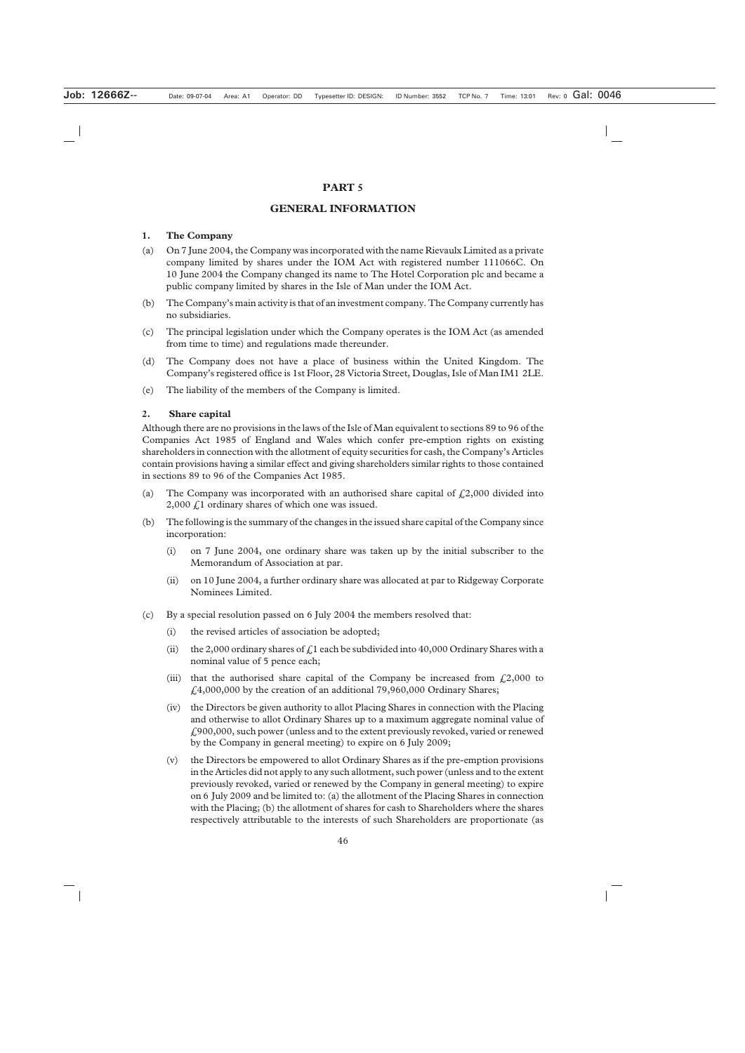#### **PART 5**

#### **GENERAL INFORMATION**

#### **1. The Company**

- (a) On 7 June 2004, the Company was incorporated with the name Rievaulx Limited as a private company limited by shares under the IOM Act with registered number 111066C. On 10 June 2004 the Company changed its name to The Hotel Corporation plc and became a public company limited by shares in the Isle of Man under the IOM Act.
- (b) The Company's main activity is that of an investment company. The Company currently has no subsidiaries.
- (c) The principal legislation under which the Company operates is the IOM Act (as amended from time to time) and regulations made thereunder.
- (d) The Company does not have a place of business within the United Kingdom. The Company's registered office is 1st Floor, 28 Victoria Street, Douglas, Isle of Man IM1 2LE.
- (e) The liability of the members of the Company is limited.

#### **2. Share capital**

Although there are no provisions in the laws of the Isle of Man equivalent to sections 89 to 96 of the Companies Act 1985 of England and Wales which confer pre-emption rights on existing shareholders in connection with the allotment of equity securities for cash, the Company's Articles contain provisions having a similar effect and giving shareholders similar rights to those contained in sections 89 to 96 of the Companies Act 1985.

- (a) The Company was incorporated with an authorised share capital of  $\text{\textsterling}2,000$  divided into  $2,000 \text{ f}$  ordinary shares of which one was issued.
- (b) The following is the summary of the changes in the issued share capital of the Company since incorporation:
	- (i) on 7 June 2004, one ordinary share was taken up by the initial subscriber to the Memorandum of Association at par.
	- (ii) on 10 June 2004, a further ordinary share was allocated at par to Ridgeway Corporate Nominees Limited.
- (c) By a special resolution passed on 6 July 2004 the members resolved that:
	- (i) the revised articles of association be adopted;
	- (ii) the 2,000 ordinary shares of  $\zeta$ 1 each be subdivided into 40,000 Ordinary Shares with a nominal value of 5 pence each;
	- (iii) that the authorised share capital of the Company be increased from  $\text{\textsterling}2,000$  to  $£4,000,000$  by the creation of an additional 79,960,000 Ordinary Shares;
	- (iv) the Directors be given authority to allot Placing Shares in connection with the Placing and otherwise to allot Ordinary Shares up to a maximum aggregate nominal value of £900,000, such power (unless and to the extent previously revoked, varied or renewed by the Company in general meeting) to expire on 6 July 2009;
	- (v) the Directors be empowered to allot Ordinary Shares as if the pre-emption provisions in the Articles did not apply to any such allotment, such power (unless and to the extent previously revoked, varied or renewed by the Company in general meeting) to expire on 6 July 2009 and be limited to: (a) the allotment of the Placing Shares in connection with the Placing; (b) the allotment of shares for cash to Shareholders where the shares respectively attributable to the interests of such Shareholders are proportionate (as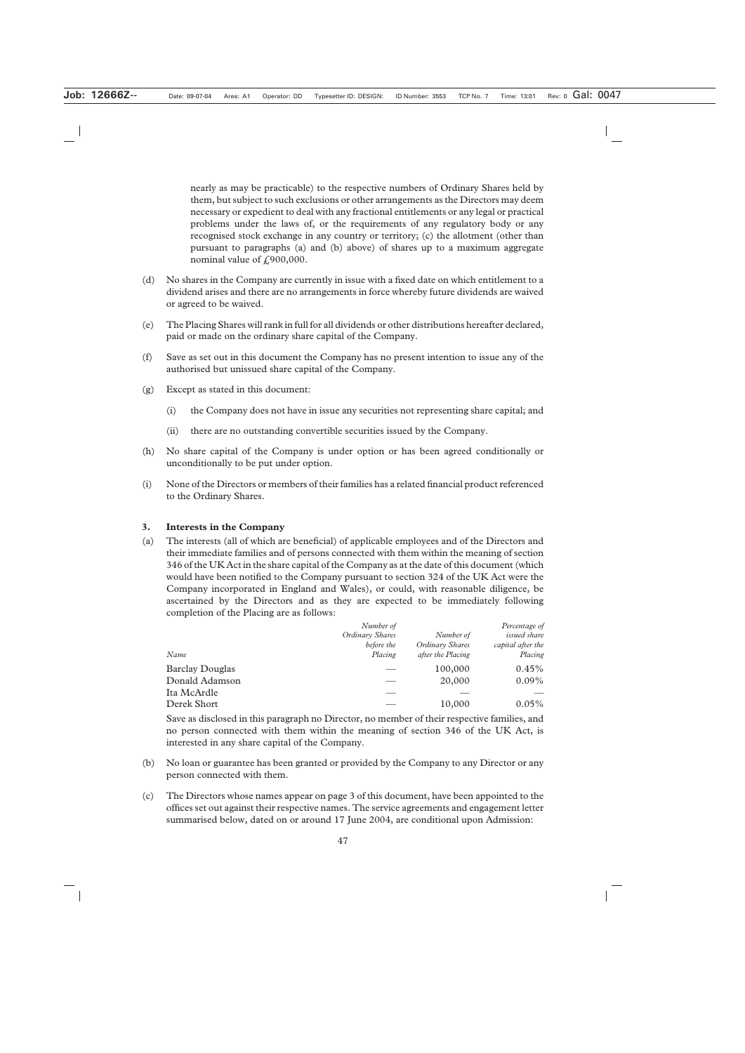nearly as may be practicable) to the respective numbers of Ordinary Shares held by them, but subject to such exclusions or other arrangements as the Directors may deem necessary or expedient to deal with any fractional entitlements or any legal or practical problems under the laws of, or the requirements of any regulatory body or any recognised stock exchange in any country or territory; (c) the allotment (other than pursuant to paragraphs (a) and (b) above) of shares up to a maximum aggregate nominal value of  $f(900,000)$ .

- (d) No shares in the Company are currently in issue with a fixed date on which entitlement to a dividend arises and there are no arrangements in force whereby future dividends are waived or agreed to be waived.
- (e) The Placing Shares will rank in full for all dividends or other distributions hereafter declared, paid or made on the ordinary share capital of the Company.
- (f) Save as set out in this document the Company has no present intention to issue any of the authorised but unissued share capital of the Company.
- (g) Except as stated in this document:
	- (i) the Company does not have in issue any securities not representing share capital; and
	- (ii) there are no outstanding convertible securities issued by the Company.
- (h) No share capital of the Company is under option or has been agreed conditionally or unconditionally to be put under option.
- (i) None of the Directors or members of their families has a related financial product referenced to the Ordinary Shares.

#### **3. Interests in the Company**

(a) The interests (all of which are beneficial) of applicable employees and of the Directors and their immediate families and of persons connected with them within the meaning of section 346 of the UK Act in the share capital of the Company as at the date of this document (which would have been notified to the Company pursuant to section 324 of the UK Act were the Company incorporated in England and Wales), or could, with reasonable diligence, be ascertained by the Directors and as they are expected to be immediately following completion of the Placing are as follows:

| Number of       |                   | Percentage of       |
|-----------------|-------------------|---------------------|
| Ordinary Shares | Number of         | <i>issued share</i> |
| before the      | Ordinary Shares   | capital after the   |
| Placing         | after the Placing | Placing             |
|                 | 100,000           | $0.45\%$            |
|                 | 20,000            | $0.09\%$            |
|                 |                   |                     |
|                 | 10,000            | $0.05\%$            |
|                 |                   |                     |

Save as disclosed in this paragraph no Director, no member of their respective families, and no person connected with them within the meaning of section 346 of the UK Act, is interested in any share capital of the Company.

- (b) No loan or guarantee has been granted or provided by the Company to any Director or any person connected with them.
- (c) The Directors whose names appear on page 3 of this document, have been appointed to the offices set out against their respective names. The service agreements and engagement letter summarised below, dated on or around 17 June 2004, are conditional upon Admission: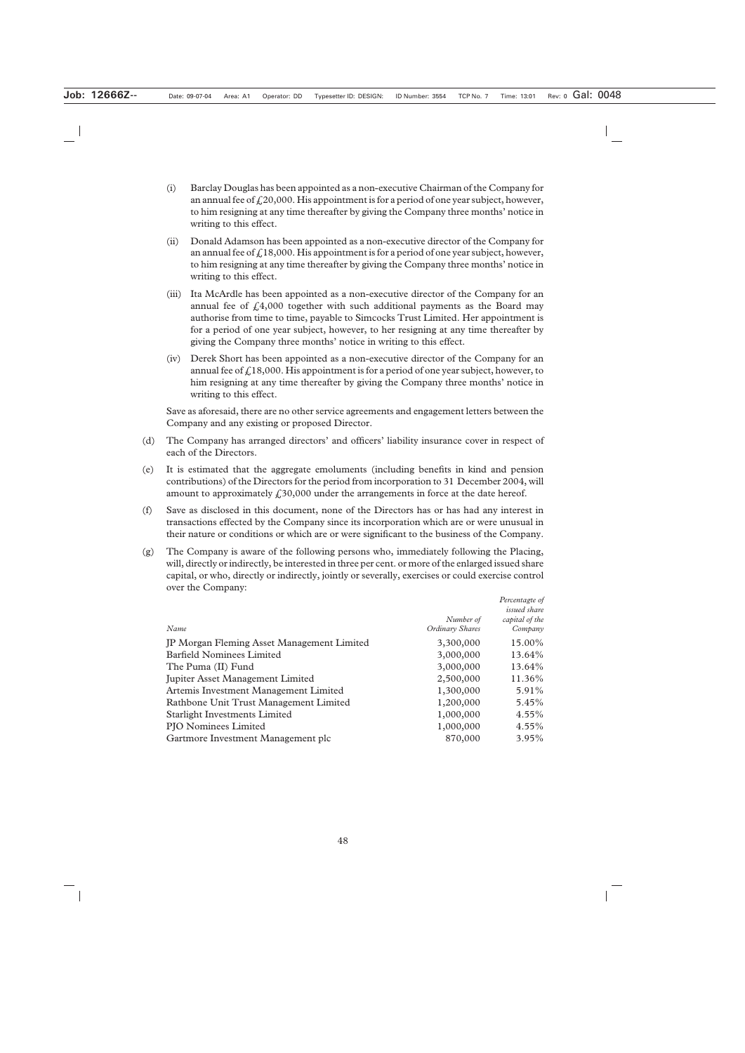- (i) Barclay Douglas has been appointed as a non-executive Chairman of the Company for an annual fee of  $f<sub>1</sub>(20,000)$ . His appointment is for a period of one year subject, however, to him resigning at any time thereafter by giving the Company three months' notice in writing to this effect.
- (ii) Donald Adamson has been appointed as a non-executive director of the Company for an annual fee of  $f<sub>i</sub>18,000$ . His appointment is for a period of one year subject, however, to him resigning at any time thereafter by giving the Company three months' notice in writing to this effect.
- (iii) Ita McArdle has been appointed as a non-executive director of the Company for an annual fee of  $\frac{1}{4}4,000$  together with such additional payments as the Board may authorise from time to time, payable to Simcocks Trust Limited. Her appointment is for a period of one year subject, however, to her resigning at any time thereafter by giving the Company three months' notice in writing to this effect.
- (iv) Derek Short has been appointed as a non-executive director of the Company for an annual fee of  $\text{\textsterling}18,000$ . His appointment is for a period of one year subject, however, to him resigning at any time thereafter by giving the Company three months' notice in writing to this effect.

Save as aforesaid, there are no other service agreements and engagement letters between the Company and any existing or proposed Director.

- (d) The Company has arranged directors' and officers' liability insurance cover in respect of each of the Directors.
- (e) It is estimated that the aggregate emoluments (including benefits in kind and pension contributions) of the Directors for the period from incorporation to 31 December 2004, will amount to approximately  $\text{\textsterling}30,000$  under the arrangements in force at the date hereof.
- (f) Save as disclosed in this document, none of the Directors has or has had any interest in transactions effected by the Company since its incorporation which are or were unusual in their nature or conditions or which are or were significant to the business of the Company.
- (g) The Company is aware of the following persons who, immediately following the Placing, will, directly or indirectly, be interested in three per cent. or more of the enlarged issued share capital, or who, directly or indirectly, jointly or severally, exercises or could exercise control over the Company:

| Name                                       | Number of<br>Ordinary Shares | Percentagte of<br><i>issued share</i><br>capital of the<br>Company |
|--------------------------------------------|------------------------------|--------------------------------------------------------------------|
| JP Morgan Fleming Asset Management Limited | 3,300,000                    | 15.00%                                                             |
| <b>Barfield Nominees Limited</b>           | 3,000,000                    | 13.64%                                                             |
| The Puma (II) Fund                         | 3,000,000                    | 13.64%                                                             |
| Jupiter Asset Management Limited           | 2,500,000                    | 11.36%                                                             |
| Artemis Investment Management Limited      | 1,300,000                    | 5.91%                                                              |
| Rathbone Unit Trust Management Limited     | 1,200,000                    | 5.45%                                                              |
| <b>Starlight Investments Limited</b>       | 1,000,000                    | 4.55%                                                              |
| <b>PJO</b> Nominees Limited                | 1,000,000                    | $4.55\%$                                                           |
| Gartmore Investment Management plc         | 870,000                      | $3.95\%$                                                           |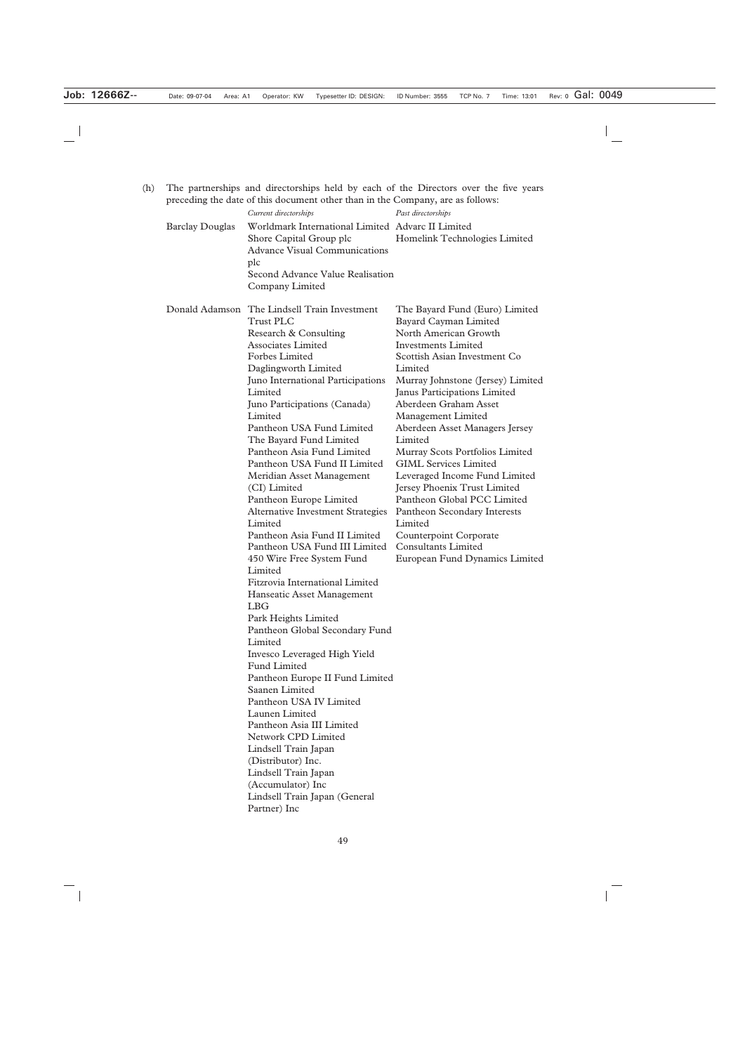| (h) | The partnerships and directorships held by each of the Directors over the five years<br>preceding the date of this document other than in the Company, are as follows: |                                                                                                                                                                                                                                                                                                                                                                                                                                                                                                                                                                                                                                                                                                                                                                                                                                                                                                                                                                                                                                                                                                                                                |                                                                                                                                                                                                                                                                                                                                                                                                                                                                                                                                                                                                                                                         |
|-----|------------------------------------------------------------------------------------------------------------------------------------------------------------------------|------------------------------------------------------------------------------------------------------------------------------------------------------------------------------------------------------------------------------------------------------------------------------------------------------------------------------------------------------------------------------------------------------------------------------------------------------------------------------------------------------------------------------------------------------------------------------------------------------------------------------------------------------------------------------------------------------------------------------------------------------------------------------------------------------------------------------------------------------------------------------------------------------------------------------------------------------------------------------------------------------------------------------------------------------------------------------------------------------------------------------------------------|---------------------------------------------------------------------------------------------------------------------------------------------------------------------------------------------------------------------------------------------------------------------------------------------------------------------------------------------------------------------------------------------------------------------------------------------------------------------------------------------------------------------------------------------------------------------------------------------------------------------------------------------------------|
|     |                                                                                                                                                                        | Current directorships                                                                                                                                                                                                                                                                                                                                                                                                                                                                                                                                                                                                                                                                                                                                                                                                                                                                                                                                                                                                                                                                                                                          | Past directorships                                                                                                                                                                                                                                                                                                                                                                                                                                                                                                                                                                                                                                      |
|     | <b>Barclay Douglas</b>                                                                                                                                                 | Worldmark International Limited Advarc II Limited<br>Shore Capital Group plc<br><b>Advance Visual Communications</b><br>plc                                                                                                                                                                                                                                                                                                                                                                                                                                                                                                                                                                                                                                                                                                                                                                                                                                                                                                                                                                                                                    | Homelink Technologies Limited                                                                                                                                                                                                                                                                                                                                                                                                                                                                                                                                                                                                                           |
|     |                                                                                                                                                                        | Second Advance Value Realisation<br>Company Limited                                                                                                                                                                                                                                                                                                                                                                                                                                                                                                                                                                                                                                                                                                                                                                                                                                                                                                                                                                                                                                                                                            |                                                                                                                                                                                                                                                                                                                                                                                                                                                                                                                                                                                                                                                         |
|     |                                                                                                                                                                        | Donald Adamson The Lindsell Train Investment<br><b>Trust PLC</b><br>Research & Consulting<br><b>Associates Limited</b><br><b>Forbes Limited</b><br>Daglingworth Limited<br>Juno International Participations<br>Limited<br>Juno Participations (Canada)<br>Limited<br>Pantheon USA Fund Limited<br>The Bayard Fund Limited<br>Pantheon Asia Fund Limited<br>Pantheon USA Fund II Limited<br>Meridian Asset Management<br>(CI) Limited<br>Pantheon Europe Limited<br><b>Alternative Investment Strategies</b><br>Limited<br>Pantheon Asia Fund II Limited<br>Pantheon USA Fund III Limited<br>450 Wire Free System Fund<br>Limited<br>Fitzrovia International Limited<br>Hanseatic Asset Management<br><b>LBG</b><br>Park Heights Limited<br>Pantheon Global Secondary Fund<br>Limited<br>Invesco Leveraged High Yield<br><b>Fund Limited</b><br>Pantheon Europe II Fund Limited<br>Saanen Limited<br>Pantheon USA IV Limited<br>Launen Limited<br>Pantheon Asia III Limited<br>Network CPD Limited<br>Lindsell Train Japan<br>(Distributor) Inc.<br>Lindsell Train Japan<br>(Accumulator) Inc<br>Lindsell Train Japan (General<br>Partner) Inc | The Bayard Fund (Euro) Limited<br>Bayard Cayman Limited<br>North American Growth<br><b>Investments Limited</b><br>Scottish Asian Investment Co<br>Limited<br>Murray Johnstone (Jersey) Limited<br>Janus Participations Limited<br>Aberdeen Graham Asset<br>Management Limited<br>Aberdeen Asset Managers Jersey<br>Limited<br><b>Murray Scots Portfolios Limited</b><br><b>GIML Services Limited</b><br>Leveraged Income Fund Limited<br>Jersey Phoenix Trust Limited<br>Pantheon Global PCC Limited<br><b>Pantheon Secondary Interests</b><br>Limited<br><b>Counterpoint Corporate</b><br><b>Consultants Limited</b><br>European Fund Dynamics Limited |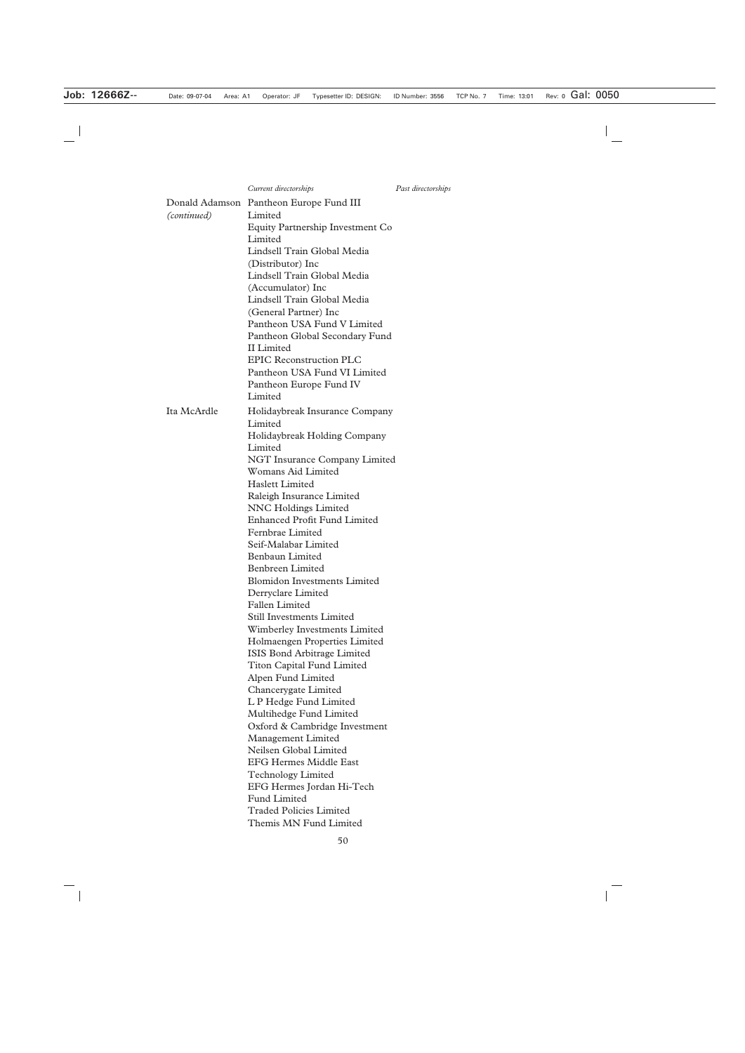|             | Donald Adamson Pantheon Europe Fund III |
|-------------|-----------------------------------------|
| (continued) | Limited                                 |
|             | <b>Equity Partnership Investment Co</b> |
|             | Limited                                 |
|             | Lindsell Train Global Media             |
|             | (Distributor) Inc                       |
|             | Lindsell Train Global Media             |
|             | (Accumulator) Inc                       |
|             | Lindsell Train Global Media             |
|             | (General Partner) Inc                   |
|             | Pantheon USA Fund V Limited             |
|             | Pantheon Global Secondary Fund          |
|             | <b>II</b> Limited                       |
|             | <b>EPIC Reconstruction PLC</b>          |
|             | Pantheon USA Fund VI Limited            |
|             | Pantheon Europe Fund IV                 |
|             | Limited                                 |
| Ita McArdle | Holidaybreak Insurance Company          |
|             | Limited                                 |
|             | Holidaybreak Holding Company            |
|             | Limited                                 |
|             | <b>NGT Insurance Company Limited</b>    |
|             | Womans Aid Limited                      |
|             | <b>Haslett Limited</b>                  |
|             | Raleigh Insurance Limited               |
|             | <b>NNC Holdings Limited</b>             |
|             | <b>Enhanced Profit Fund Limited</b>     |
|             | Fernbrae Limited                        |
|             | Seif-Malabar Limited                    |
|             | <b>Benbaun Limited</b>                  |
|             | Benbreen Limited                        |
|             | <b>Blomidon Investments Limited</b>     |
|             | Derryclare Limited                      |
|             | <b>Fallen Limited</b>                   |
|             | <b>Still Investments Limited</b>        |
|             | <b>Wimberley Investments Limited</b>    |
|             | Holmaengen Properties Limited           |
|             | <b>ISIS Bond Arbitrage Limited</b>      |
|             | <b>Titon Capital Fund Limited</b>       |
|             | Alpen Fund Limited                      |
|             | Chancerygate Limited                    |
|             | L P Hedge Fund Limited                  |
|             | Multihedge Fund Limited                 |
|             | Oxford & Cambridge Investment           |
|             | <b>Management Limited</b>               |
|             | Neilsen Global Limited                  |
|             | <b>EFG Hermes Middle East</b>           |
|             | <b>Technology Limited</b>               |
|             | EFG Hermes Jordan Hi-Tech               |
|             | <b>Fund Limited</b>                     |
|             | <b>Traded Policies Limited</b>          |
|             | Themis MN Fund Limited                  |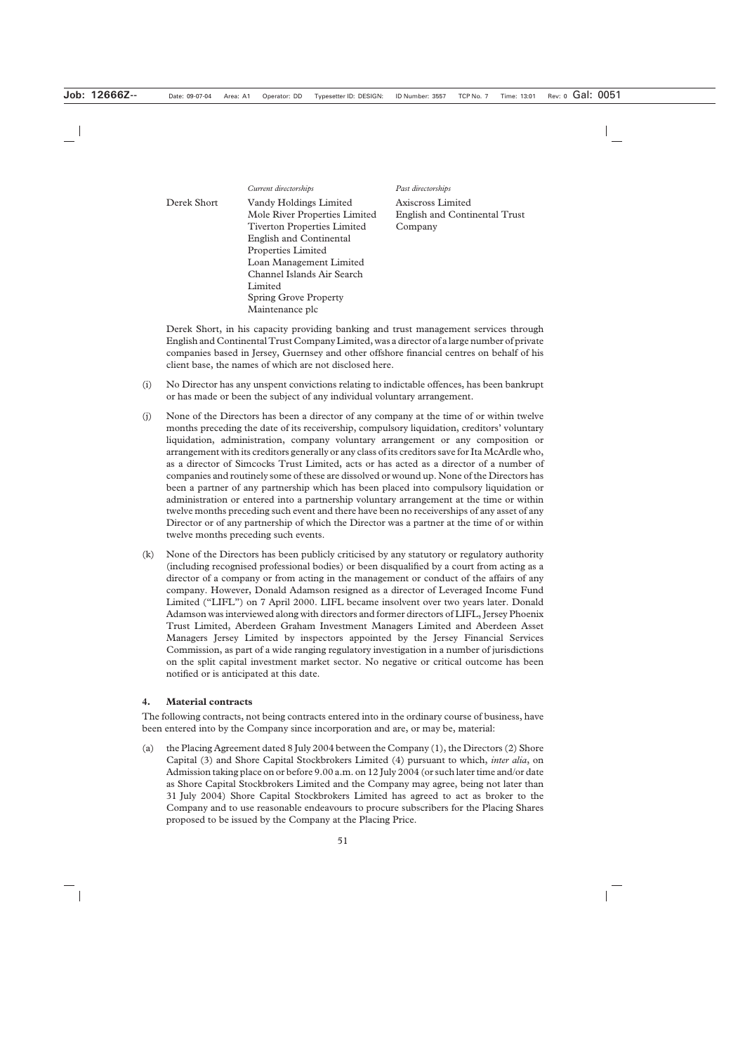*Current directorships Past directorships*

| Derek Short | Vandy Holdings Limited             | Axiscross Limited                    |
|-------------|------------------------------------|--------------------------------------|
|             | Mole River Properties Limited      | <b>English and Continental Trust</b> |
|             | <b>Tiverton Properties Limited</b> | Company                              |
|             | <b>English and Continental</b>     |                                      |
|             | <b>Properties Limited</b>          |                                      |
|             | Loan Management Limited            |                                      |
|             | Channel Islands Air Search         |                                      |
|             | Limited                            |                                      |
|             | <b>Spring Grove Property</b>       |                                      |
|             | Maintenance plc                    |                                      |

Derek Short, in his capacity providing banking and trust management services through English and Continental Trust Company Limited, was a director of a large number of private companies based in Jersey, Guernsey and other offshore financial centres on behalf of his client base, the names of which are not disclosed here.

- (i) No Director has any unspent convictions relating to indictable offences, has been bankrupt or has made or been the subject of any individual voluntary arrangement.
- (j) None of the Directors has been a director of any company at the time of or within twelve months preceding the date of its receivership, compulsory liquidation, creditors' voluntary liquidation, administration, company voluntary arrangement or any composition or arrangement with its creditors generally or any class of its creditors save for Ita McArdle who, as a director of Simcocks Trust Limited, acts or has acted as a director of a number of companies and routinely some of these are dissolved or wound up. None of the Directors has been a partner of any partnership which has been placed into compulsory liquidation or administration or entered into a partnership voluntary arrangement at the time or within twelve months preceding such event and there have been no receiverships of any asset of any Director or of any partnership of which the Director was a partner at the time of or within twelve months preceding such events.
- (k) None of the Directors has been publicly criticised by any statutory or regulatory authority (including recognised professional bodies) or been disqualified by a court from acting as a director of a company or from acting in the management or conduct of the affairs of any company. However, Donald Adamson resigned as a director of Leveraged Income Fund Limited ("LIFL") on 7 April 2000. LIFL became insolvent over two years later. Donald Adamson was interviewed along with directors and former directors of LIFL, Jersey Phoenix Trust Limited, Aberdeen Graham Investment Managers Limited and Aberdeen Asset Managers Jersey Limited by inspectors appointed by the Jersey Financial Services Commission, as part of a wide ranging regulatory investigation in a number of jurisdictions on the split capital investment market sector. No negative or critical outcome has been notified or is anticipated at this date.

#### **4. Material contracts**

The following contracts, not being contracts entered into in the ordinary course of business, have been entered into by the Company since incorporation and are, or may be, material:

(a) the Placing Agreement dated 8 July 2004 between the Company (1), the Directors (2) Shore Capital (3) and Shore Capital Stockbrokers Limited (4) pursuant to which, *inter alia*, on Admission taking place on or before 9.00 a.m. on 12 July 2004 (or such later time and/or date as Shore Capital Stockbrokers Limited and the Company may agree, being not later than 31 July 2004) Shore Capital Stockbrokers Limited has agreed to act as broker to the Company and to use reasonable endeavours to procure subscribers for the Placing Shares proposed to be issued by the Company at the Placing Price.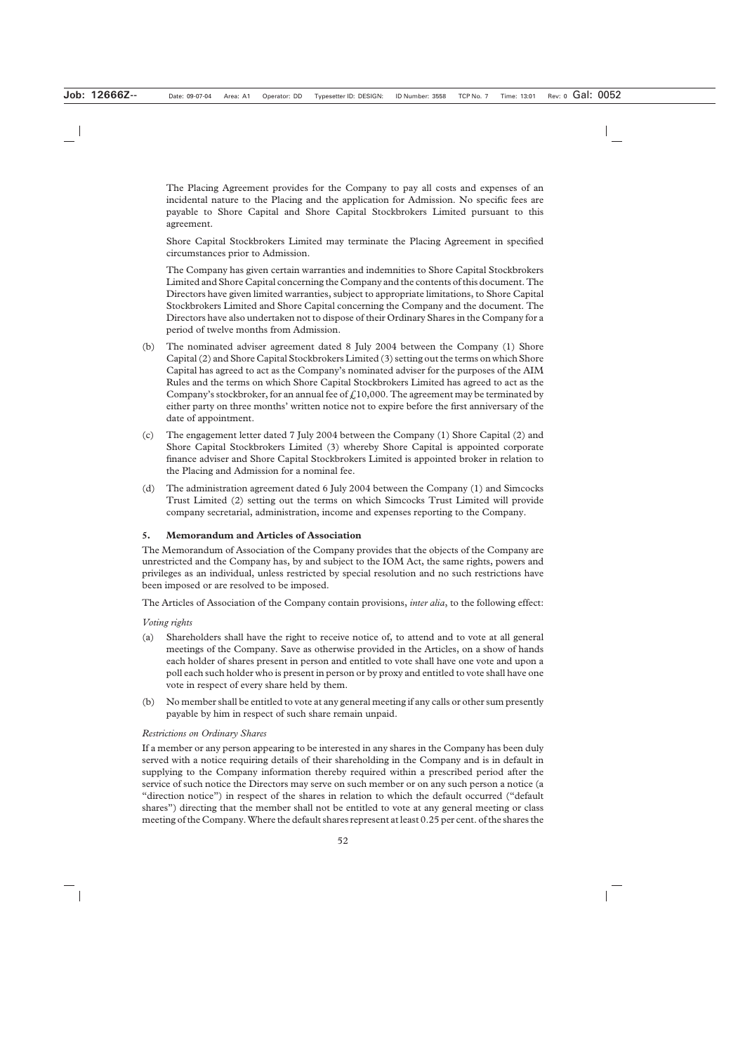The Placing Agreement provides for the Company to pay all costs and expenses of an incidental nature to the Placing and the application for Admission. No specific fees are payable to Shore Capital and Shore Capital Stockbrokers Limited pursuant to this agreement.

Shore Capital Stockbrokers Limited may terminate the Placing Agreement in specified circumstances prior to Admission.

The Company has given certain warranties and indemnities to Shore Capital Stockbrokers Limited and Shore Capital concerning the Company and the contents of this document. The Directors have given limited warranties, subject to appropriate limitations, to Shore Capital Stockbrokers Limited and Shore Capital concerning the Company and the document. The Directors have also undertaken not to dispose of their Ordinary Shares in the Company for a period of twelve months from Admission.

- (b) The nominated adviser agreement dated 8 July 2004 between the Company (1) Shore Capital (2) and Shore Capital Stockbrokers Limited (3) setting out the terms on which Shore Capital has agreed to act as the Company's nominated adviser for the purposes of the AIM Rules and the terms on which Shore Capital Stockbrokers Limited has agreed to act as the Company's stockbroker, for an annual fee of  $f<sub>0</sub>10,000$ . The agreement may be terminated by either party on three months' written notice not to expire before the first anniversary of the date of appointment.
- (c) The engagement letter dated 7 July 2004 between the Company (1) Shore Capital (2) and Shore Capital Stockbrokers Limited (3) whereby Shore Capital is appointed corporate finance adviser and Shore Capital Stockbrokers Limited is appointed broker in relation to the Placing and Admission for a nominal fee.
- (d) The administration agreement dated 6 July 2004 between the Company (1) and Simcocks Trust Limited (2) setting out the terms on which Simcocks Trust Limited will provide company secretarial, administration, income and expenses reporting to the Company.

#### **5. Memorandum and Articles of Association**

The Memorandum of Association of the Company provides that the objects of the Company are unrestricted and the Company has, by and subject to the IOM Act, the same rights, powers and privileges as an individual, unless restricted by special resolution and no such restrictions have been imposed or are resolved to be imposed.

The Articles of Association of the Company contain provisions, *inter alia*, to the following effect:

#### *Voting rights*

- (a) Shareholders shall have the right to receive notice of, to attend and to vote at all general meetings of the Company. Save as otherwise provided in the Articles, on a show of hands each holder of shares present in person and entitled to vote shall have one vote and upon a poll each such holder who is present in person or by proxy and entitled to vote shall have one vote in respect of every share held by them.
- (b) No member shall be entitled to vote at any general meeting if any calls or other sum presently payable by him in respect of such share remain unpaid.

#### *Restrictions on Ordinary Shares*

If a member or any person appearing to be interested in any shares in the Company has been duly served with a notice requiring details of their shareholding in the Company and is in default in supplying to the Company information thereby required within a prescribed period after the service of such notice the Directors may serve on such member or on any such person a notice (a "direction notice") in respect of the shares in relation to which the default occurred ("default shares") directing that the member shall not be entitled to vote at any general meeting or class meeting of the Company. Where the default shares represent at least 0.25 per cent. of the shares the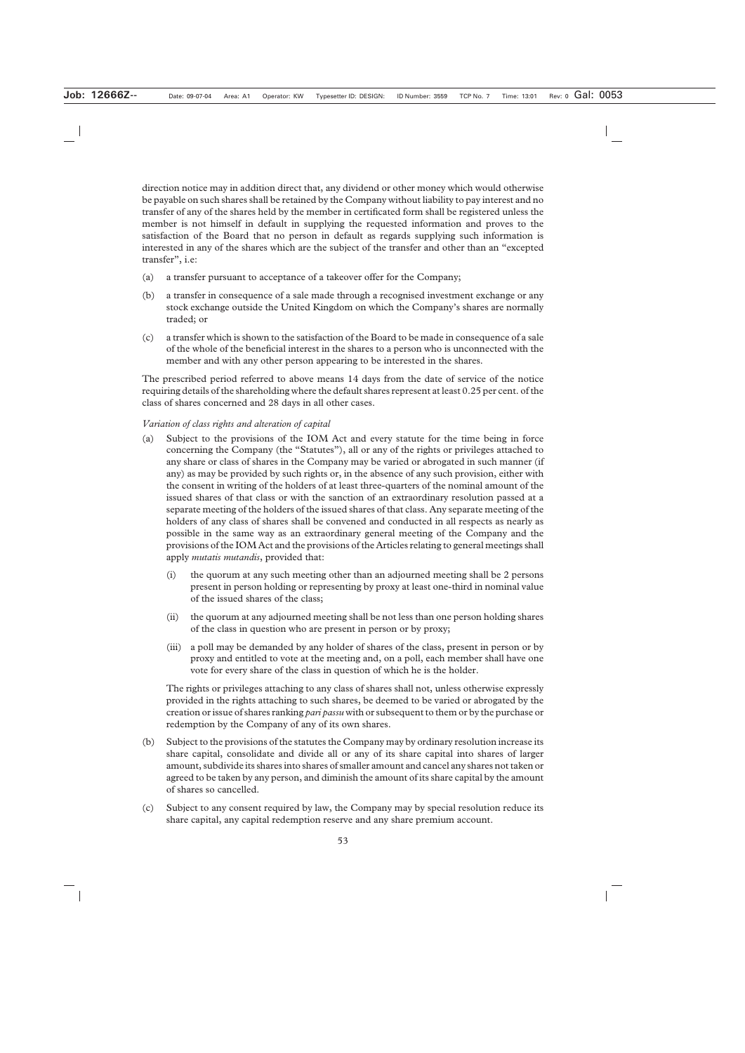direction notice may in addition direct that, any dividend or other money which would otherwise be payable on such shares shall be retained by the Company without liability to pay interest and no transfer of any of the shares held by the member in certificated form shall be registered unless the member is not himself in default in supplying the requested information and proves to the satisfaction of the Board that no person in default as regards supplying such information is interested in any of the shares which are the subject of the transfer and other than an "excepted transfer", i.e:

- (a) a transfer pursuant to acceptance of a takeover offer for the Company;
- (b) a transfer in consequence of a sale made through a recognised investment exchange or any stock exchange outside the United Kingdom on which the Company's shares are normally traded; or
- (c) a transfer which is shown to the satisfaction of the Board to be made in consequence of a sale of the whole of the beneficial interest in the shares to a person who is unconnected with the member and with any other person appearing to be interested in the shares.

The prescribed period referred to above means 14 days from the date of service of the notice requiring details of the shareholding where the default shares represent at least 0.25 per cent. of the class of shares concerned and 28 days in all other cases.

#### *Variation of class rights and alteration of capital*

- (a) Subject to the provisions of the IOM Act and every statute for the time being in force concerning the Company (the "Statutes"), all or any of the rights or privileges attached to any share or class of shares in the Company may be varied or abrogated in such manner (if any) as may be provided by such rights or, in the absence of any such provision, either with the consent in writing of the holders of at least three-quarters of the nominal amount of the issued shares of that class or with the sanction of an extraordinary resolution passed at a separate meeting of the holders of the issued shares of that class. Any separate meeting of the holders of any class of shares shall be convened and conducted in all respects as nearly as possible in the same way as an extraordinary general meeting of the Company and the provisions of the IOM Act and the provisions of the Articles relating to general meetings shall apply *mutatis mutandis*, provided that:
	- (i) the quorum at any such meeting other than an adjourned meeting shall be 2 persons present in person holding or representing by proxy at least one-third in nominal value of the issued shares of the class;
	- (ii) the quorum at any adjourned meeting shall be not less than one person holding shares of the class in question who are present in person or by proxy;
	- (iii) a poll may be demanded by any holder of shares of the class, present in person or by proxy and entitled to vote at the meeting and, on a poll, each member shall have one vote for every share of the class in question of which he is the holder.

The rights or privileges attaching to any class of shares shall not, unless otherwise expressly provided in the rights attaching to such shares, be deemed to be varied or abrogated by the creation or issue of shares ranking *pari passu* with or subsequent to them or by the purchase or redemption by the Company of any of its own shares.

- (b) Subject to the provisions of the statutes the Company may by ordinary resolution increase its share capital, consolidate and divide all or any of its share capital into shares of larger amount, subdivide its shares into shares of smaller amount and cancel any shares not taken or agreed to be taken by any person, and diminish the amount of its share capital by the amount of shares so cancelled.
- (c) Subject to any consent required by law, the Company may by special resolution reduce its share capital, any capital redemption reserve and any share premium account.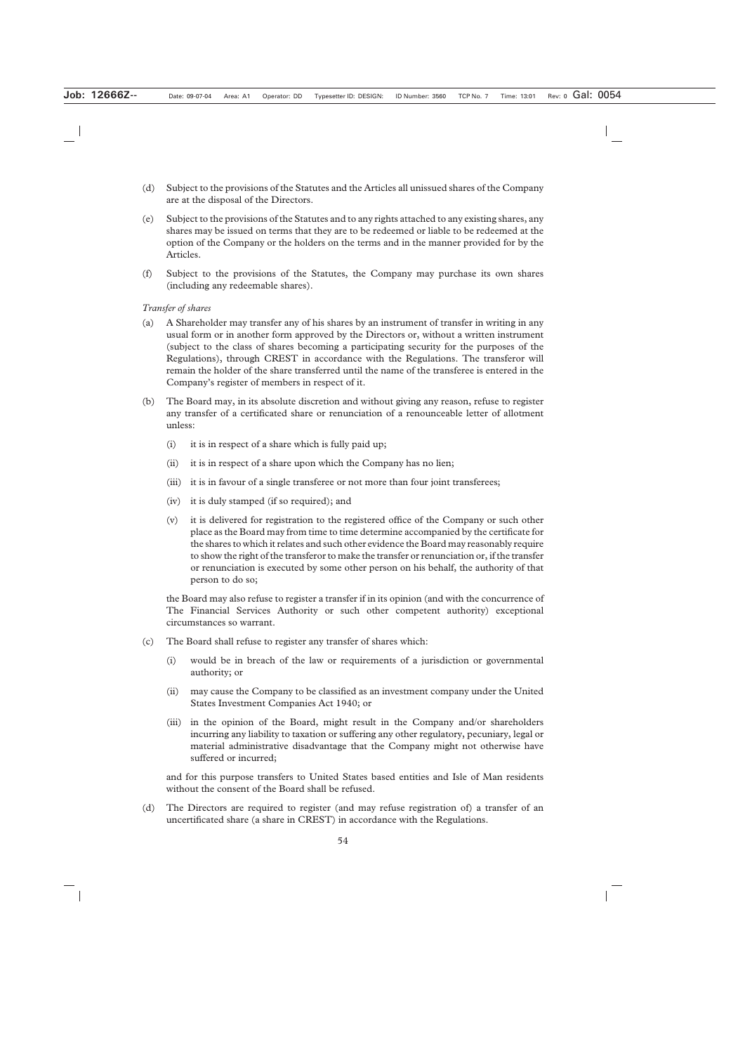- (d) Subject to the provisions of the Statutes and the Articles all unissued shares of the Company are at the disposal of the Directors.
- (e) Subject to the provisions of the Statutes and to any rights attached to any existing shares, any shares may be issued on terms that they are to be redeemed or liable to be redeemed at the option of the Company or the holders on the terms and in the manner provided for by the Articles.
- (f) Subject to the provisions of the Statutes, the Company may purchase its own shares (including any redeemable shares).

#### *Transfer of shares*

- (a) A Shareholder may transfer any of his shares by an instrument of transfer in writing in any usual form or in another form approved by the Directors or, without a written instrument (subject to the class of shares becoming a participating security for the purposes of the Regulations), through CREST in accordance with the Regulations. The transferor will remain the holder of the share transferred until the name of the transferee is entered in the Company's register of members in respect of it.
- (b) The Board may, in its absolute discretion and without giving any reason, refuse to register any transfer of a certificated share or renunciation of a renounceable letter of allotment unless:
	- (i) it is in respect of a share which is fully paid up;
	- (ii) it is in respect of a share upon which the Company has no lien;
	- (iii) it is in favour of a single transferee or not more than four joint transferees;
	- (iv) it is duly stamped (if so required); and
	- (v) it is delivered for registration to the registered office of the Company or such other place as the Board may from time to time determine accompanied by the certificate for the shares to which it relates and such other evidence the Board may reasonably require to show the right of the transferor to make the transfer or renunciation or, if the transfer or renunciation is executed by some other person on his behalf, the authority of that person to do so;

the Board may also refuse to register a transfer if in its opinion (and with the concurrence of The Financial Services Authority or such other competent authority) exceptional circumstances so warrant.

- (c) The Board shall refuse to register any transfer of shares which:
	- (i) would be in breach of the law or requirements of a jurisdiction or governmental authority; or
	- (ii) may cause the Company to be classified as an investment company under the United States Investment Companies Act 1940; or
	- (iii) in the opinion of the Board, might result in the Company and/or shareholders incurring any liability to taxation or suffering any other regulatory, pecuniary, legal or material administrative disadvantage that the Company might not otherwise have suffered or incurred;

and for this purpose transfers to United States based entities and Isle of Man residents without the consent of the Board shall be refused.

(d) The Directors are required to register (and may refuse registration of) a transfer of an uncertificated share (a share in CREST) in accordance with the Regulations.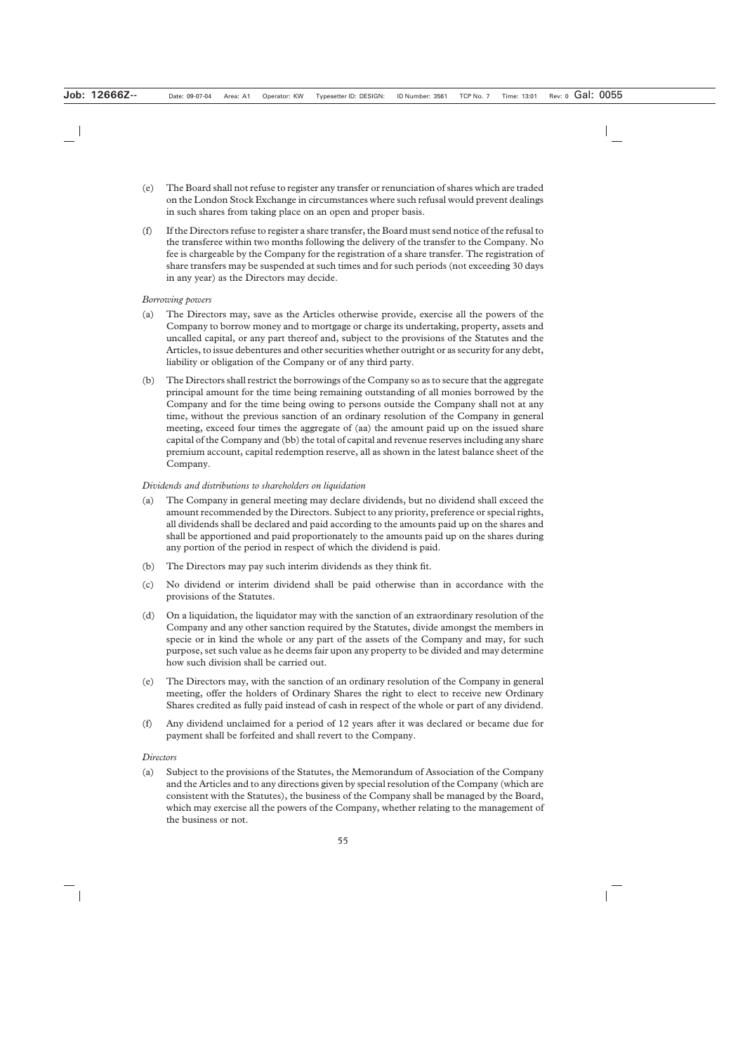- (e) The Board shall not refuse to register any transfer or renunciation of shares which are traded on the London Stock Exchange in circumstances where such refusal would prevent dealings in such shares from taking place on an open and proper basis.
- (f) If the Directors refuse to register a share transfer, the Board must send notice of the refusal to the transferee within two months following the delivery of the transfer to the Company. No fee is chargeable by the Company for the registration of a share transfer. The registration of share transfers may be suspended at such times and for such periods (not exceeding 30 days in any year) as the Directors may decide.

#### *Borrowing powers*

- (a) The Directors may, save as the Articles otherwise provide, exercise all the powers of the Company to borrow money and to mortgage or charge its undertaking, property, assets and uncalled capital, or any part thereof and, subject to the provisions of the Statutes and the Articles, to issue debentures and other securities whether outright or as security for any debt, liability or obligation of the Company or of any third party.
- (b) The Directors shall restrict the borrowings of the Company so as to secure that the aggregate principal amount for the time being remaining outstanding of all monies borrowed by the Company and for the time being owing to persons outside the Company shall not at any time, without the previous sanction of an ordinary resolution of the Company in general meeting, exceed four times the aggregate of (aa) the amount paid up on the issued share capital of the Company and (bb) the total of capital and revenue reserves including any share premium account, capital redemption reserve, all as shown in the latest balance sheet of the Company.

#### *Dividends and distributions to shareholders on liquidation*

- (a) The Company in general meeting may declare dividends, but no dividend shall exceed the amount recommended by the Directors. Subject to any priority, preference or special rights, all dividends shall be declared and paid according to the amounts paid up on the shares and shall be apportioned and paid proportionately to the amounts paid up on the shares during any portion of the period in respect of which the dividend is paid.
- (b) The Directors may pay such interim dividends as they think fit.
- (c) No dividend or interim dividend shall be paid otherwise than in accordance with the provisions of the Statutes.
- (d) On a liquidation, the liquidator may with the sanction of an extraordinary resolution of the Company and any other sanction required by the Statutes, divide amongst the members in specie or in kind the whole or any part of the assets of the Company and may, for such purpose, set such value as he deems fair upon any property to be divided and may determine how such division shall be carried out.
- (e) The Directors may, with the sanction of an ordinary resolution of the Company in general meeting, offer the holders of Ordinary Shares the right to elect to receive new Ordinary Shares credited as fully paid instead of cash in respect of the whole or part of any dividend.
- (f) Any dividend unclaimed for a period of 12 years after it was declared or became due for payment shall be forfeited and shall revert to the Company.

#### *Directors*

(a) Subject to the provisions of the Statutes, the Memorandum of Association of the Company and the Articles and to any directions given by special resolution of the Company (which are consistent with the Statutes), the business of the Company shall be managed by the Board, which may exercise all the powers of the Company, whether relating to the management of the business or not.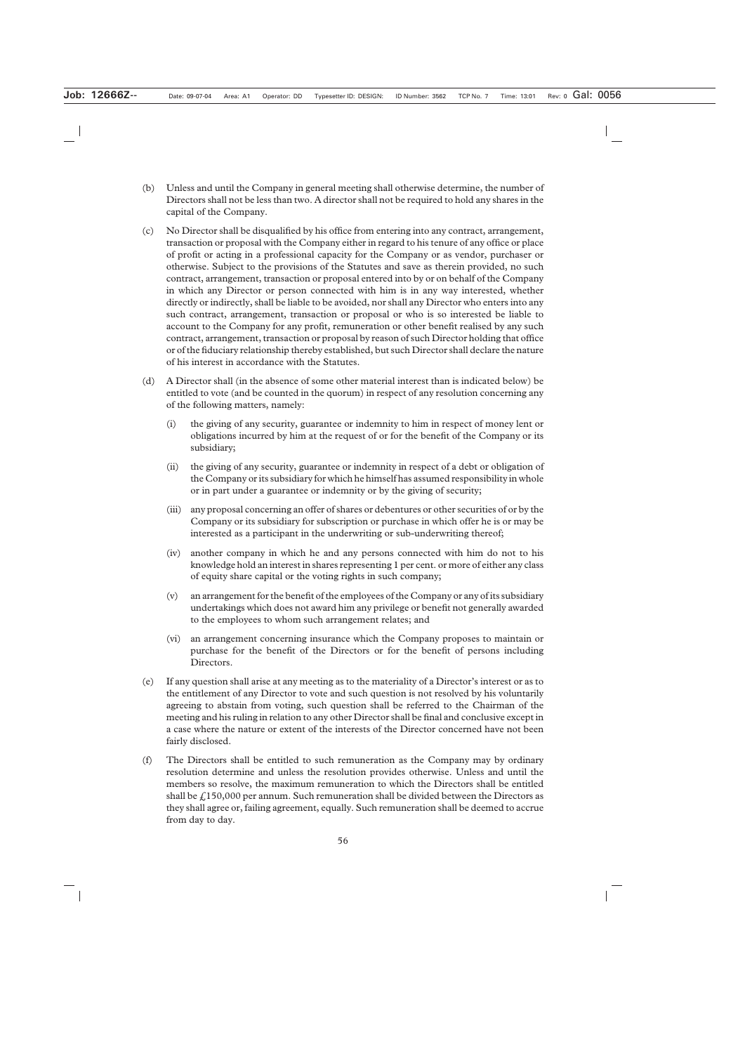- (b) Unless and until the Company in general meeting shall otherwise determine, the number of Directors shall not be less than two. A director shall not be required to hold any shares in the capital of the Company.
- (c) No Director shall be disqualified by his office from entering into any contract, arrangement, transaction or proposal with the Company either in regard to his tenure of any office or place of profit or acting in a professional capacity for the Company or as vendor, purchaser or otherwise. Subject to the provisions of the Statutes and save as therein provided, no such contract, arrangement, transaction or proposal entered into by or on behalf of the Company in which any Director or person connected with him is in any way interested, whether directly or indirectly, shall be liable to be avoided, nor shall any Director who enters into any such contract, arrangement, transaction or proposal or who is so interested be liable to account to the Company for any profit, remuneration or other benefit realised by any such contract, arrangement, transaction or proposal by reason of such Director holding that office or of the fiduciary relationship thereby established, but such Director shall declare the nature of his interest in accordance with the Statutes.
- (d) A Director shall (in the absence of some other material interest than is indicated below) be entitled to vote (and be counted in the quorum) in respect of any resolution concerning any of the following matters, namely:
	- (i) the giving of any security, guarantee or indemnity to him in respect of money lent or obligations incurred by him at the request of or for the benefit of the Company or its subsidiary;
	- (ii) the giving of any security, guarantee or indemnity in respect of a debt or obligation of the Company or its subsidiary for which he himself has assumed responsibility in whole or in part under a guarantee or indemnity or by the giving of security;
	- (iii) any proposal concerning an offer of shares or debentures or other securities of or by the Company or its subsidiary for subscription or purchase in which offer he is or may be interested as a participant in the underwriting or sub-underwriting thereof;
	- (iv) another company in which he and any persons connected with him do not to his knowledge hold an interest in shares representing 1 per cent. or more of either any class of equity share capital or the voting rights in such company;
	- (v) an arrangement for the benefit of the employees of the Company or any of its subsidiary undertakings which does not award him any privilege or benefit not generally awarded to the employees to whom such arrangement relates; and
	- (vi) an arrangement concerning insurance which the Company proposes to maintain or purchase for the benefit of the Directors or for the benefit of persons including Directors.
- (e) If any question shall arise at any meeting as to the materiality of a Director's interest or as to the entitlement of any Director to vote and such question is not resolved by his voluntarily agreeing to abstain from voting, such question shall be referred to the Chairman of the meeting and his ruling in relation to any other Director shall be final and conclusive except in a case where the nature or extent of the interests of the Director concerned have not been fairly disclosed.
- (f) The Directors shall be entitled to such remuneration as the Company may by ordinary resolution determine and unless the resolution provides otherwise. Unless and until the members so resolve, the maximum remuneration to which the Directors shall be entitled shall be  $\frac{1}{2}$  150,000 per annum. Such remuneration shall be divided between the Directors as they shall agree or, failing agreement, equally. Such remuneration shall be deemed to accrue from day to day.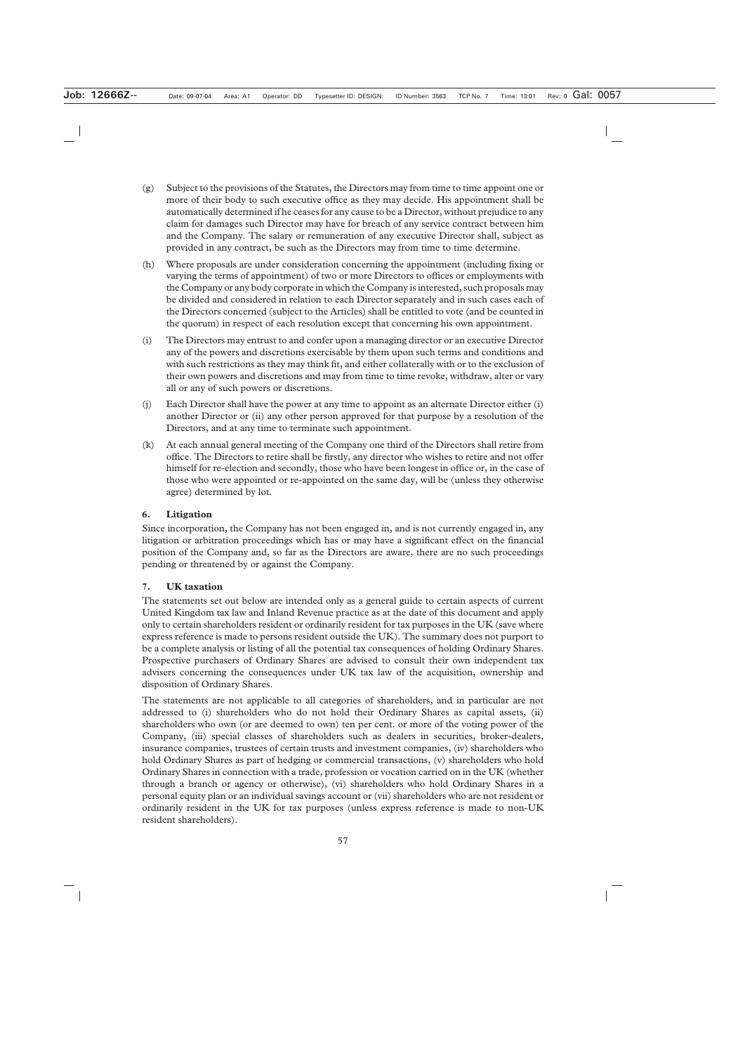- (g) Subject to the provisions of the Statutes, the Directors may from time to time appoint one or more of their body to such executive office as they may decide. His appointment shall be automatically determined if he ceases for any cause to be a Director, without prejudice to any claim for damages such Director may have for breach of any service contract between him and the Company. The salary or remuneration of any executive Director shall, subject as provided in any contract, be such as the Directors may from time to time determine.
- (h) Where proposals are under consideration concerning the appointment (including fixing or varying the terms of appointment) of two or more Directors to offices or employments with the Company or any body corporate in which the Company is interested, such proposals may be divided and considered in relation to each Director separately and in such cases each of the Directors concerned (subject to the Articles) shall be entitled to vote (and be counted in the quorum) in respect of each resolution except that concerning his own appointment.
- (i) The Directors may entrust to and confer upon a managing director or an executive Director any of the powers and discretions exercisable by them upon such terms and conditions and with such restrictions as they may think fit, and either collaterally with or to the exclusion of their own powers and discretions and may from time to time revoke, withdraw, alter or vary all or any of such powers or discretions.
- (j) Each Director shall have the power at any time to appoint as an alternate Director either (i) another Director or (ii) any other person approved for that purpose by a resolution of the Directors, and at any time to terminate such appointment.
- (k) At each annual general meeting of the Company one third of the Directors shall retire from office. The Directors to retire shall be firstly, any director who wishes to retire and not offer himself for re-election and secondly, those who have been longest in office or, in the case of those who were appointed or re-appointed on the same day, will be (unless they otherwise agree) determined by lot.

# **6. Litigation**

Since incorporation, the Company has not been engaged in, and is not currently engaged in, any litigation or arbitration proceedings which has or may have a significant effect on the financial position of the Company and, so far as the Directors are aware, there are no such proceedings pending or threatened by or against the Company.

#### **7. UK taxation**

The statements set out below are intended only as a general guide to certain aspects of current United Kingdom tax law and Inland Revenue practice as at the date of this document and apply only to certain shareholders resident or ordinarily resident for tax purposes in the UK (save where express reference is made to persons resident outside the UK). The summary does not purport to be a complete analysis or listing of all the potential tax consequences of holding Ordinary Shares. Prospective purchasers of Ordinary Shares are advised to consult their own independent tax advisers concerning the consequences under UK tax law of the acquisition, ownership and disposition of Ordinary Shares.

The statements are not applicable to all categories of shareholders, and in particular are not addressed to (i) shareholders who do not hold their Ordinary Shares as capital assets, (ii) shareholders who own (or are deemed to own) ten per cent. or more of the voting power of the Company, (iii) special classes of shareholders such as dealers in securities, broker-dealers, insurance companies, trustees of certain trusts and investment companies, (iv) shareholders who hold Ordinary Shares as part of hedging or commercial transactions, (v) shareholders who hold Ordinary Shares in connection with a trade, profession or vocation carried on in the UK (whether through a branch or agency or otherwise), (vi) shareholders who hold Ordinary Shares in a personal equity plan or an individual savings account or (vii) shareholders who are not resident or ordinarily resident in the UK for tax purposes (unless express reference is made to non-UK resident shareholders).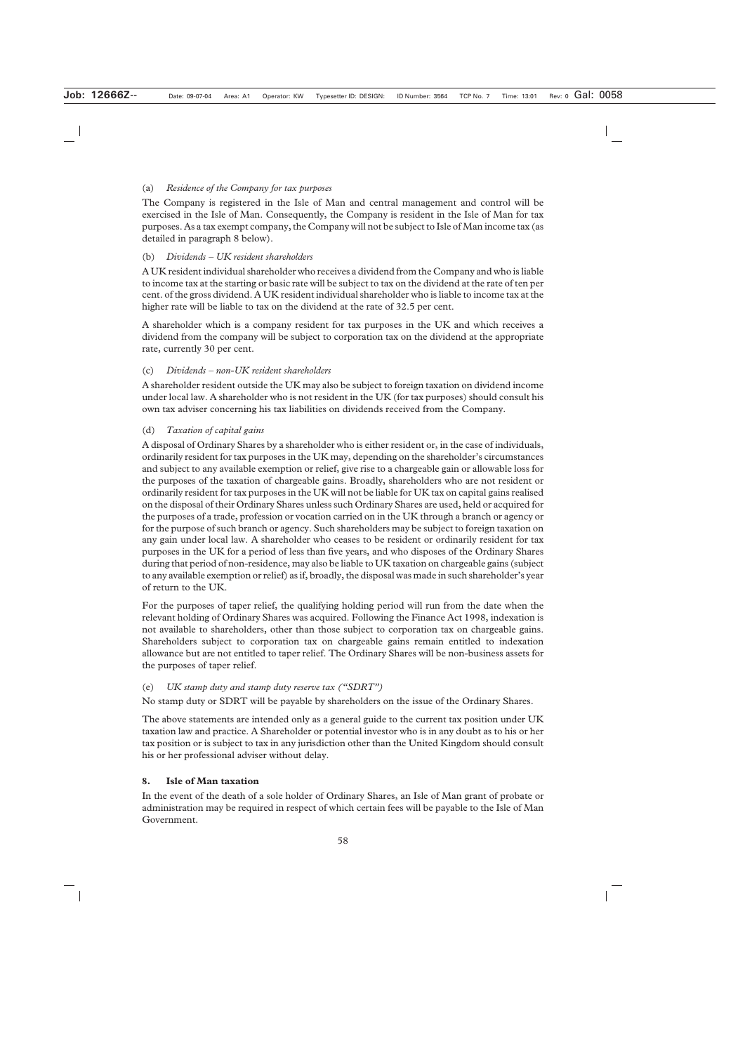# (a) *Residence of the Company for tax purposes*

The Company is registered in the Isle of Man and central management and control will be exercised in the Isle of Man. Consequently, the Company is resident in the Isle of Man for tax purposes. As a tax exempt company, the Company will not be subject to Isle of Man income tax (as detailed in paragraph 8 below).

## (b) *Dividends – UK resident shareholders*

A UK resident individual shareholder who receives a dividend from the Company and who is liable to income tax at the starting or basic rate will be subject to tax on the dividend at the rate of ten per cent. of the gross dividend. A UK resident individual shareholder who is liable to income tax at the higher rate will be liable to tax on the dividend at the rate of 32.5 per cent.

A shareholder which is a company resident for tax purposes in the UK and which receives a dividend from the company will be subject to corporation tax on the dividend at the appropriate rate, currently 30 per cent.

#### (c) *Dividends – non-UK resident shareholders*

A shareholder resident outside the UK may also be subject to foreign taxation on dividend income under local law. A shareholder who is not resident in the UK (for tax purposes) should consult his own tax adviser concerning his tax liabilities on dividends received from the Company.

# (d) *Taxation of capital gains*

A disposal of Ordinary Shares by a shareholder who is either resident or, in the case of individuals, ordinarily resident for tax purposes in the UK may, depending on the shareholder's circumstances and subject to any available exemption or relief, give rise to a chargeable gain or allowable loss for the purposes of the taxation of chargeable gains. Broadly, shareholders who are not resident or ordinarily resident for tax purposes in the UK will not be liable for UK tax on capital gains realised on the disposal of their Ordinary Shares unless such Ordinary Shares are used, held or acquired for the purposes of a trade, profession or vocation carried on in the UK through a branch or agency or for the purpose of such branch or agency. Such shareholders may be subject to foreign taxation on any gain under local law. A shareholder who ceases to be resident or ordinarily resident for tax purposes in the UK for a period of less than five years, and who disposes of the Ordinary Shares during that period of non-residence, may also be liable to UK taxation on chargeable gains (subject to any available exemption or relief) as if, broadly, the disposal was made in such shareholder's year of return to the UK.

For the purposes of taper relief, the qualifying holding period will run from the date when the relevant holding of Ordinary Shares was acquired. Following the Finance Act 1998, indexation is not available to shareholders, other than those subject to corporation tax on chargeable gains. Shareholders subject to corporation tax on chargeable gains remain entitled to indexation allowance but are not entitled to taper relief. The Ordinary Shares will be non-business assets for the purposes of taper relief.

#### (e) *UK stamp duty and stamp duty reserve tax ("SDRT")*

No stamp duty or SDRT will be payable by shareholders on the issue of the Ordinary Shares.

The above statements are intended only as a general guide to the current tax position under UK taxation law and practice. A Shareholder or potential investor who is in any doubt as to his or her tax position or is subject to tax in any jurisdiction other than the United Kingdom should consult his or her professional adviser without delay.

#### **8. Isle of Man taxation**

In the event of the death of a sole holder of Ordinary Shares, an Isle of Man grant of probate or administration may be required in respect of which certain fees will be payable to the Isle of Man Government.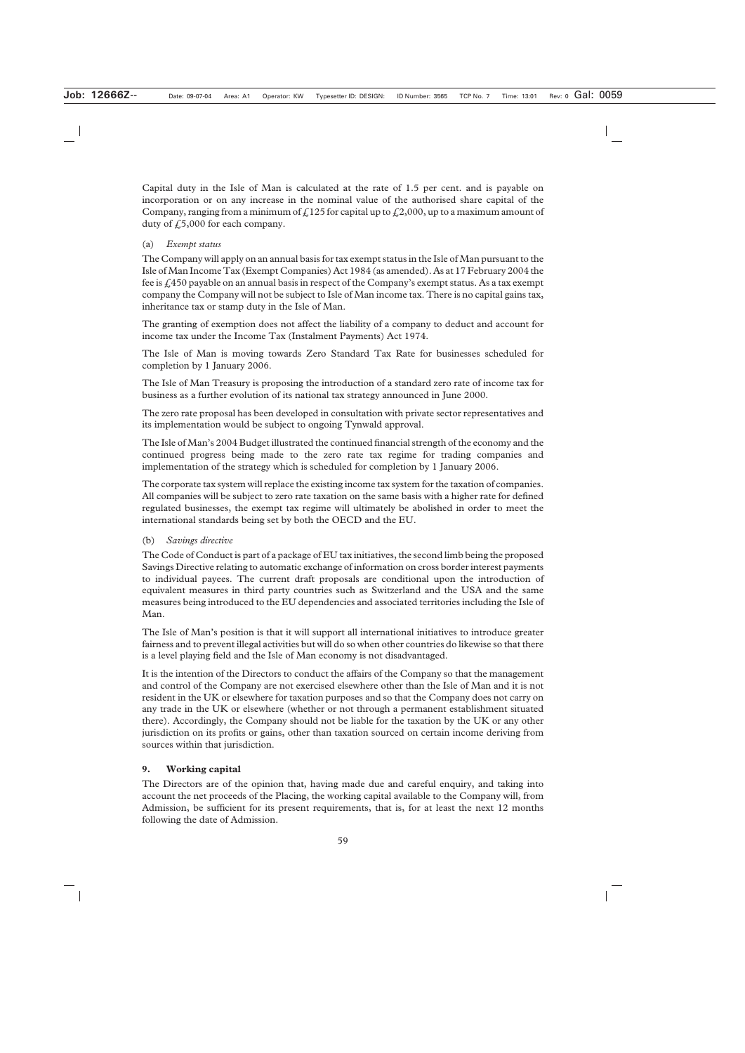Capital duty in the Isle of Man is calculated at the rate of 1.5 per cent. and is payable on incorporation or on any increase in the nominal value of the authorised share capital of the Company, ranging from a minimum of  $f(125)$  for capital up to  $f(2,000)$ , up to a maximum amount of duty of  $f(5,000)$  for each company.

# (a) *Exempt status*

The Company will apply on an annual basis for tax exempt status in the Isle of Man pursuant to the Isle of Man Income Tax (Exempt Companies) Act 1984 (as amended). As at 17 February 2004 the fee is £450 payable on an annual basis in respect of the Company's exempt status. As a tax exempt company the Company will not be subject to Isle of Man income tax. There is no capital gains tax, inheritance tax or stamp duty in the Isle of Man.

The granting of exemption does not affect the liability of a company to deduct and account for income tax under the Income Tax (Instalment Payments) Act 1974.

The Isle of Man is moving towards Zero Standard Tax Rate for businesses scheduled for completion by 1 January 2006.

The Isle of Man Treasury is proposing the introduction of a standard zero rate of income tax for business as a further evolution of its national tax strategy announced in June 2000.

The zero rate proposal has been developed in consultation with private sector representatives and its implementation would be subject to ongoing Tynwald approval.

The Isle of Man's 2004 Budget illustrated the continued financial strength of the economy and the continued progress being made to the zero rate tax regime for trading companies and implementation of the strategy which is scheduled for completion by 1 January 2006.

The corporate tax system will replace the existing income tax system for the taxation of companies. All companies will be subject to zero rate taxation on the same basis with a higher rate for defined regulated businesses, the exempt tax regime will ultimately be abolished in order to meet the international standards being set by both the OECD and the EU.

# (b) *Savings directive*

The Code of Conduct is part of a package of EU tax initiatives, the second limb being the proposed Savings Directive relating to automatic exchange of information on cross border interest payments to individual payees. The current draft proposals are conditional upon the introduction of equivalent measures in third party countries such as Switzerland and the USA and the same measures being introduced to the EU dependencies and associated territories including the Isle of Man.

The Isle of Man's position is that it will support all international initiatives to introduce greater fairness and to prevent illegal activities but will do so when other countries do likewise so that there is a level playing field and the Isle of Man economy is not disadvantaged.

It is the intention of the Directors to conduct the affairs of the Company so that the management and control of the Company are not exercised elsewhere other than the Isle of Man and it is not resident in the UK or elsewhere for taxation purposes and so that the Company does not carry on any trade in the UK or elsewhere (whether or not through a permanent establishment situated there). Accordingly, the Company should not be liable for the taxation by the UK or any other jurisdiction on its profits or gains, other than taxation sourced on certain income deriving from sources within that jurisdiction.

# **9. Working capital**

The Directors are of the opinion that, having made due and careful enquiry, and taking into account the net proceeds of the Placing, the working capital available to the Company will, from Admission, be sufficient for its present requirements, that is, for at least the next 12 months following the date of Admission.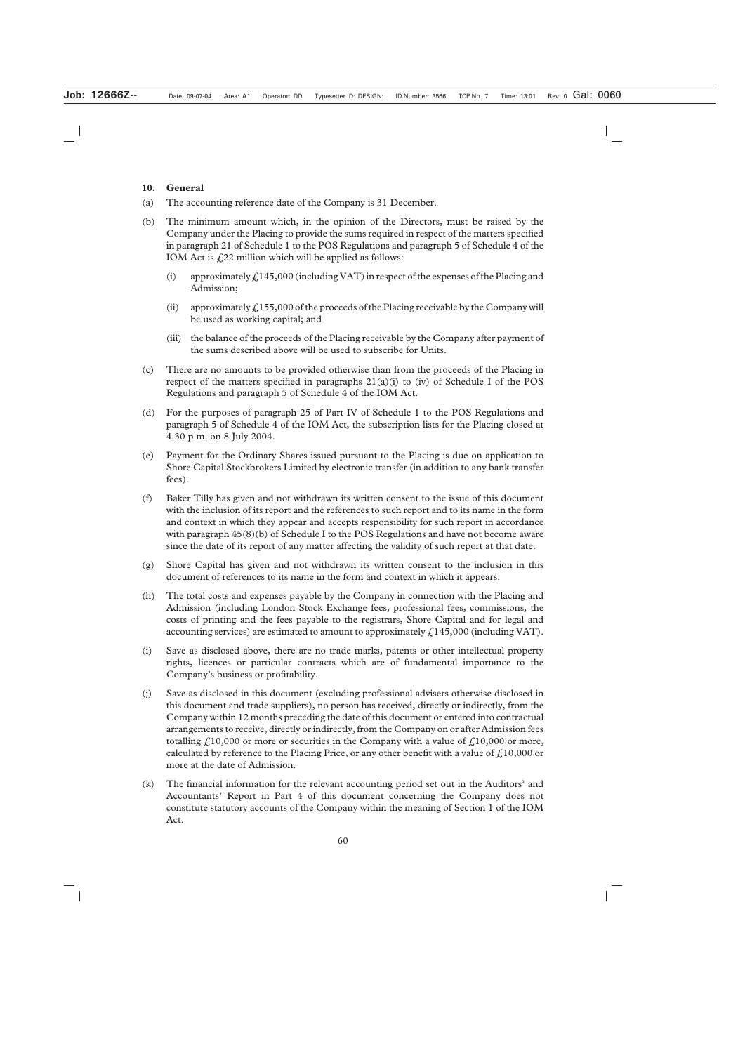#### **10. General**

- (a) The accounting reference date of the Company is 31 December.
- (b) The minimum amount which, in the opinion of the Directors, must be raised by the Company under the Placing to provide the sums required in respect of the matters specified in paragraph 21 of Schedule 1 to the POS Regulations and paragraph 5 of Schedule 4 of the IOM Act is  $f(22)$  million which will be applied as follows:
	- (i) approximately  $\frac{\ell}{145,000}$  (including VAT) in respect of the expenses of the Placing and Admission;
	- (ii) approximately  $f<sub>155,000</sub>$  of the proceeds of the Placing receivable by the Company will be used as working capital; and
	- (iii) the balance of the proceeds of the Placing receivable by the Company after payment of the sums described above will be used to subscribe for Units.
- (c) There are no amounts to be provided otherwise than from the proceeds of the Placing in respect of the matters specified in paragraphs  $21(a)(i)$  to (iv) of Schedule I of the POS Regulations and paragraph 5 of Schedule 4 of the IOM Act.
- (d) For the purposes of paragraph 25 of Part IV of Schedule 1 to the POS Regulations and paragraph 5 of Schedule 4 of the IOM Act, the subscription lists for the Placing closed at 4.30 p.m. on 8 July 2004.
- (e) Payment for the Ordinary Shares issued pursuant to the Placing is due on application to Shore Capital Stockbrokers Limited by electronic transfer (in addition to any bank transfer fees).
- (f) Baker Tilly has given and not withdrawn its written consent to the issue of this document with the inclusion of its report and the references to such report and to its name in the form and context in which they appear and accepts responsibility for such report in accordance with paragraph 45(8)(b) of Schedule I to the POS Regulations and have not become aware since the date of its report of any matter affecting the validity of such report at that date.
- (g) Shore Capital has given and not withdrawn its written consent to the inclusion in this document of references to its name in the form and context in which it appears.
- (h) The total costs and expenses payable by the Company in connection with the Placing and Admission (including London Stock Exchange fees, professional fees, commissions, the costs of printing and the fees payable to the registrars, Shore Capital and for legal and accounting services) are estimated to amount to approximately  $\text{\textsterling}145,000$  (including VAT).
- (i) Save as disclosed above, there are no trade marks, patents or other intellectual property rights, licences or particular contracts which are of fundamental importance to the Company's business or profitability.
- (j) Save as disclosed in this document (excluding professional advisers otherwise disclosed in this document and trade suppliers), no person has received, directly or indirectly, from the Company within 12 months preceding the date of this document or entered into contractual arrangements to receive, directly or indirectly, from the Company on or after Admission fees totalling  $\frac{1}{2}10,000$  or more or securities in the Company with a value of  $\frac{1}{2}10,000$  or more, calculated by reference to the Placing Price, or any other benefit with a value of  $\mathcal{L}10,000$  or more at the date of Admission.
- (k) The financial information for the relevant accounting period set out in the Auditors' and Accountants' Report in Part 4 of this document concerning the Company does not constitute statutory accounts of the Company within the meaning of Section 1 of the IOM Act.